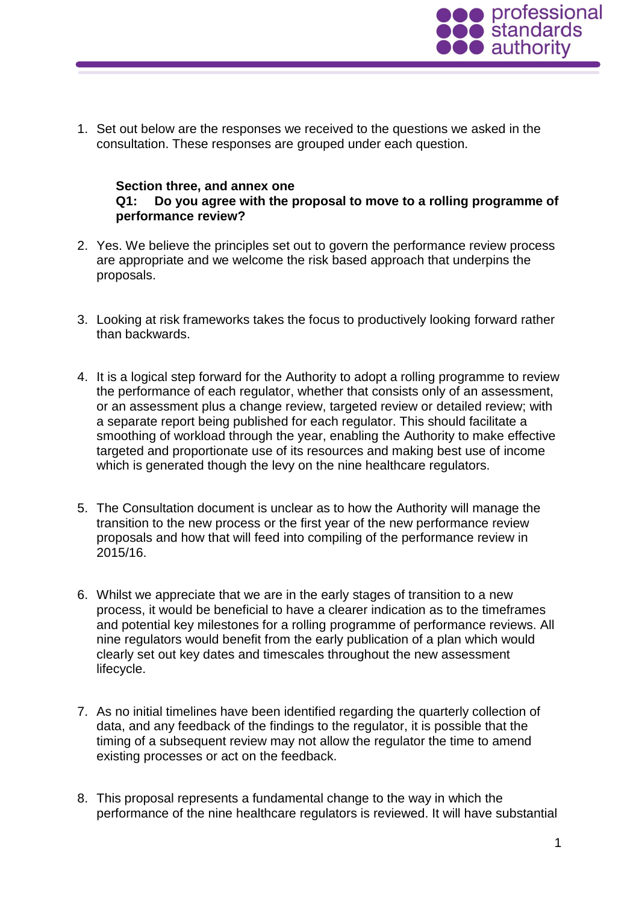

1. Set out below are the responses we received to the questions we asked in the consultation. These responses are grouped under each question.

### **Section three, and annex one Q1: Do you agree with the proposal to move to a rolling programme of performance review?**

- 2. Yes. We believe the principles set out to govern the performance review process are appropriate and we welcome the risk based approach that underpins the proposals.
- 3. Looking at risk frameworks takes the focus to productively looking forward rather than backwards.
- 4. It is a logical step forward for the Authority to adopt a rolling programme to review the performance of each regulator, whether that consists only of an assessment, or an assessment plus a change review, targeted review or detailed review; with a separate report being published for each regulator. This should facilitate a smoothing of workload through the year, enabling the Authority to make effective targeted and proportionate use of its resources and making best use of income which is generated though the levy on the nine healthcare regulators.
- 5. The Consultation document is unclear as to how the Authority will manage the transition to the new process or the first year of the new performance review proposals and how that will feed into compiling of the performance review in 2015/16.
- 6. Whilst we appreciate that we are in the early stages of transition to a new process, it would be beneficial to have a clearer indication as to the timeframes and potential key milestones for a rolling programme of performance reviews. All nine regulators would benefit from the early publication of a plan which would clearly set out key dates and timescales throughout the new assessment lifecycle.
- 7. As no initial timelines have been identified regarding the quarterly collection of data, and any feedback of the findings to the regulator, it is possible that the timing of a subsequent review may not allow the regulator the time to amend existing processes or act on the feedback.
- 8. This proposal represents a fundamental change to the way in which the performance of the nine healthcare regulators is reviewed. It will have substantial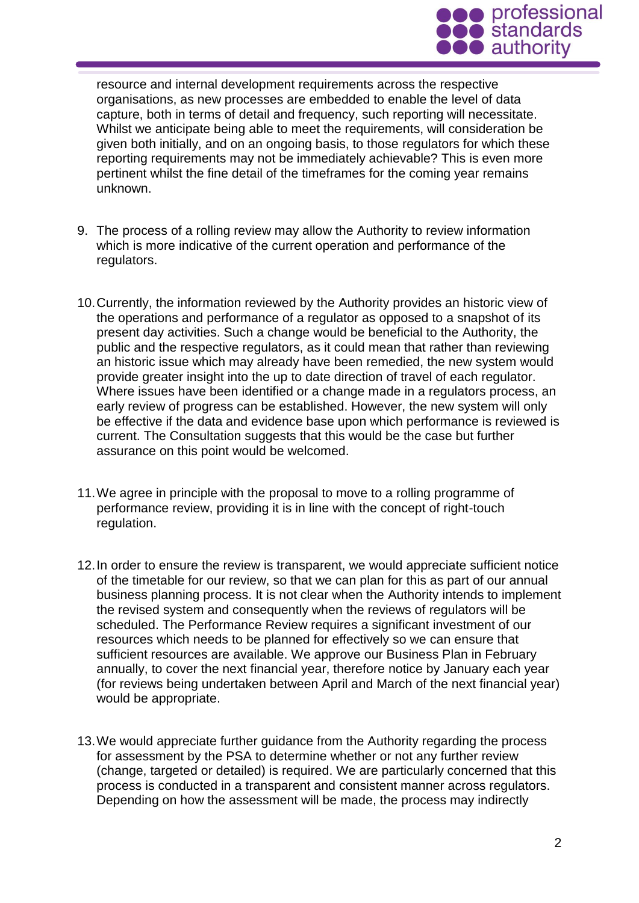

resource and internal development requirements across the respective organisations, as new processes are embedded to enable the level of data capture, both in terms of detail and frequency, such reporting will necessitate. Whilst we anticipate being able to meet the requirements, will consideration be given both initially, and on an ongoing basis, to those regulators for which these reporting requirements may not be immediately achievable? This is even more pertinent whilst the fine detail of the timeframes for the coming year remains unknown.

- 9. The process of a rolling review may allow the Authority to review information which is more indicative of the current operation and performance of the regulators.
- 10.Currently, the information reviewed by the Authority provides an historic view of the operations and performance of a regulator as opposed to a snapshot of its present day activities. Such a change would be beneficial to the Authority, the public and the respective regulators, as it could mean that rather than reviewing an historic issue which may already have been remedied, the new system would provide greater insight into the up to date direction of travel of each regulator. Where issues have been identified or a change made in a regulators process, an early review of progress can be established. However, the new system will only be effective if the data and evidence base upon which performance is reviewed is current. The Consultation suggests that this would be the case but further assurance on this point would be welcomed.
- 11.We agree in principle with the proposal to move to a rolling programme of performance review, providing it is in line with the concept of right-touch regulation.
- 12.In order to ensure the review is transparent, we would appreciate sufficient notice of the timetable for our review, so that we can plan for this as part of our annual business planning process. It is not clear when the Authority intends to implement the revised system and consequently when the reviews of regulators will be scheduled. The Performance Review requires a significant investment of our resources which needs to be planned for effectively so we can ensure that sufficient resources are available. We approve our Business Plan in February annually, to cover the next financial year, therefore notice by January each year (for reviews being undertaken between April and March of the next financial year) would be appropriate.
- 13.We would appreciate further guidance from the Authority regarding the process for assessment by the PSA to determine whether or not any further review (change, targeted or detailed) is required. We are particularly concerned that this process is conducted in a transparent and consistent manner across regulators. Depending on how the assessment will be made, the process may indirectly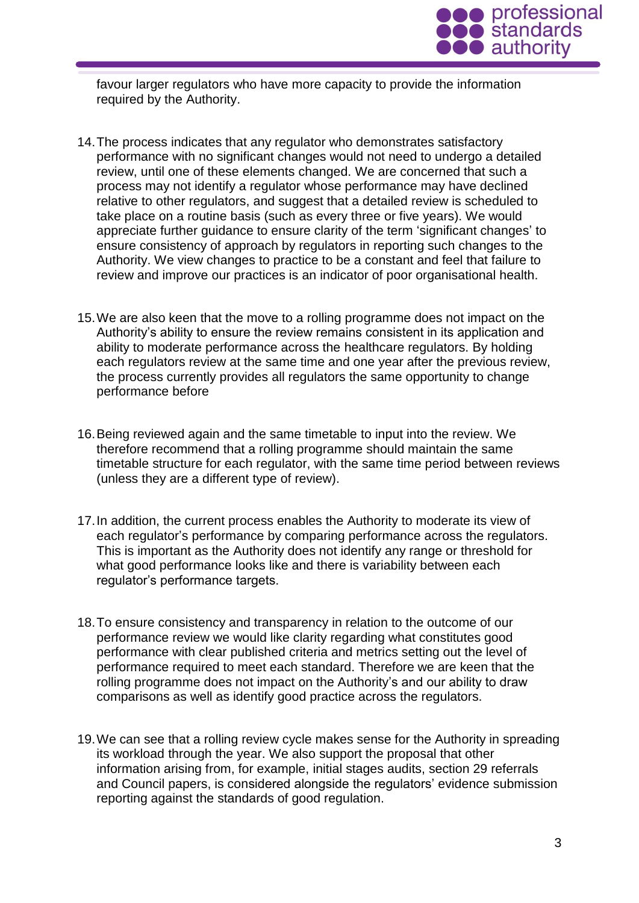

favour larger regulators who have more capacity to provide the information required by the Authority.

- 14.The process indicates that any regulator who demonstrates satisfactory performance with no significant changes would not need to undergo a detailed review, until one of these elements changed. We are concerned that such a process may not identify a regulator whose performance may have declined relative to other regulators, and suggest that a detailed review is scheduled to take place on a routine basis (such as every three or five years). We would appreciate further guidance to ensure clarity of the term 'significant changes' to ensure consistency of approach by regulators in reporting such changes to the Authority. We view changes to practice to be a constant and feel that failure to review and improve our practices is an indicator of poor organisational health.
- 15.We are also keen that the move to a rolling programme does not impact on the Authority's ability to ensure the review remains consistent in its application and ability to moderate performance across the healthcare regulators. By holding each regulators review at the same time and one year after the previous review, the process currently provides all regulators the same opportunity to change performance before
- 16.Being reviewed again and the same timetable to input into the review. We therefore recommend that a rolling programme should maintain the same timetable structure for each regulator, with the same time period between reviews (unless they are a different type of review).
- 17.In addition, the current process enables the Authority to moderate its view of each regulator's performance by comparing performance across the regulators. This is important as the Authority does not identify any range or threshold for what good performance looks like and there is variability between each regulator's performance targets.
- 18.To ensure consistency and transparency in relation to the outcome of our performance review we would like clarity regarding what constitutes good performance with clear published criteria and metrics setting out the level of performance required to meet each standard. Therefore we are keen that the rolling programme does not impact on the Authority's and our ability to draw comparisons as well as identify good practice across the regulators.
- 19.We can see that a rolling review cycle makes sense for the Authority in spreading its workload through the year. We also support the proposal that other information arising from, for example, initial stages audits, section 29 referrals and Council papers, is considered alongside the regulators' evidence submission reporting against the standards of good regulation.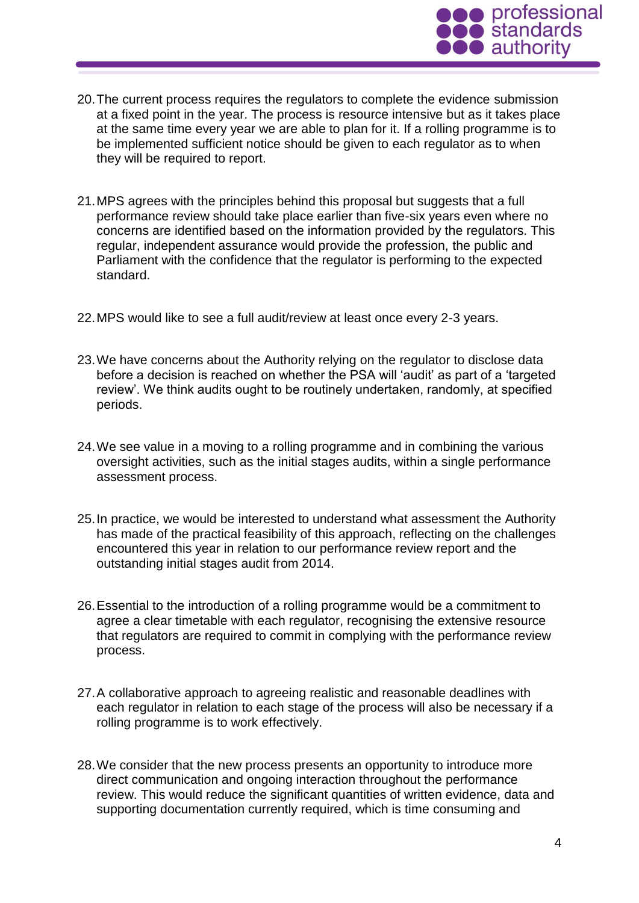

- 20.The current process requires the regulators to complete the evidence submission at a fixed point in the year. The process is resource intensive but as it takes place at the same time every year we are able to plan for it. If a rolling programme is to be implemented sufficient notice should be given to each regulator as to when they will be required to report.
- 21.MPS agrees with the principles behind this proposal but suggests that a full performance review should take place earlier than five-six years even where no concerns are identified based on the information provided by the regulators. This regular, independent assurance would provide the profession, the public and Parliament with the confidence that the regulator is performing to the expected standard.
- 22.MPS would like to see a full audit/review at least once every 2-3 years.
- 23.We have concerns about the Authority relying on the regulator to disclose data before a decision is reached on whether the PSA will 'audit' as part of a 'targeted review'. We think audits ought to be routinely undertaken, randomly, at specified periods.
- 24.We see value in a moving to a rolling programme and in combining the various oversight activities, such as the initial stages audits, within a single performance assessment process.
- 25.In practice, we would be interested to understand what assessment the Authority has made of the practical feasibility of this approach, reflecting on the challenges encountered this year in relation to our performance review report and the outstanding initial stages audit from 2014.
- 26.Essential to the introduction of a rolling programme would be a commitment to agree a clear timetable with each regulator, recognising the extensive resource that regulators are required to commit in complying with the performance review process.
- 27.A collaborative approach to agreeing realistic and reasonable deadlines with each regulator in relation to each stage of the process will also be necessary if a rolling programme is to work effectively.
- 28.We consider that the new process presents an opportunity to introduce more direct communication and ongoing interaction throughout the performance review. This would reduce the significant quantities of written evidence, data and supporting documentation currently required, which is time consuming and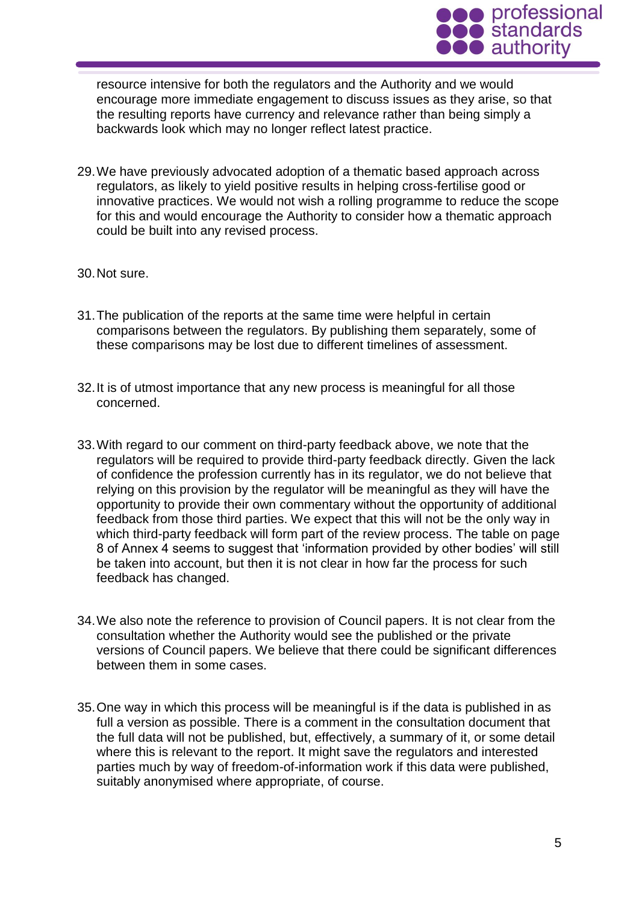

resource intensive for both the regulators and the Authority and we would encourage more immediate engagement to discuss issues as they arise, so that the resulting reports have currency and relevance rather than being simply a backwards look which may no longer reflect latest practice.

- 29.We have previously advocated adoption of a thematic based approach across regulators, as likely to yield positive results in helping cross-fertilise good or innovative practices. We would not wish a rolling programme to reduce the scope for this and would encourage the Authority to consider how a thematic approach could be built into any revised process.
- 30.Not sure.
- 31.The publication of the reports at the same time were helpful in certain comparisons between the regulators. By publishing them separately, some of these comparisons may be lost due to different timelines of assessment.
- 32.It is of utmost importance that any new process is meaningful for all those concerned.
- 33.With regard to our comment on third-party feedback above, we note that the regulators will be required to provide third-party feedback directly. Given the lack of confidence the profession currently has in its regulator, we do not believe that relying on this provision by the regulator will be meaningful as they will have the opportunity to provide their own commentary without the opportunity of additional feedback from those third parties. We expect that this will not be the only way in which third-party feedback will form part of the review process. The table on page 8 of Annex 4 seems to suggest that 'information provided by other bodies' will still be taken into account, but then it is not clear in how far the process for such feedback has changed.
- 34.We also note the reference to provision of Council papers. It is not clear from the consultation whether the Authority would see the published or the private versions of Council papers. We believe that there could be significant differences between them in some cases.
- 35.One way in which this process will be meaningful is if the data is published in as full a version as possible. There is a comment in the consultation document that the full data will not be published, but, effectively, a summary of it, or some detail where this is relevant to the report. It might save the regulators and interested parties much by way of freedom-of-information work if this data were published, suitably anonymised where appropriate, of course.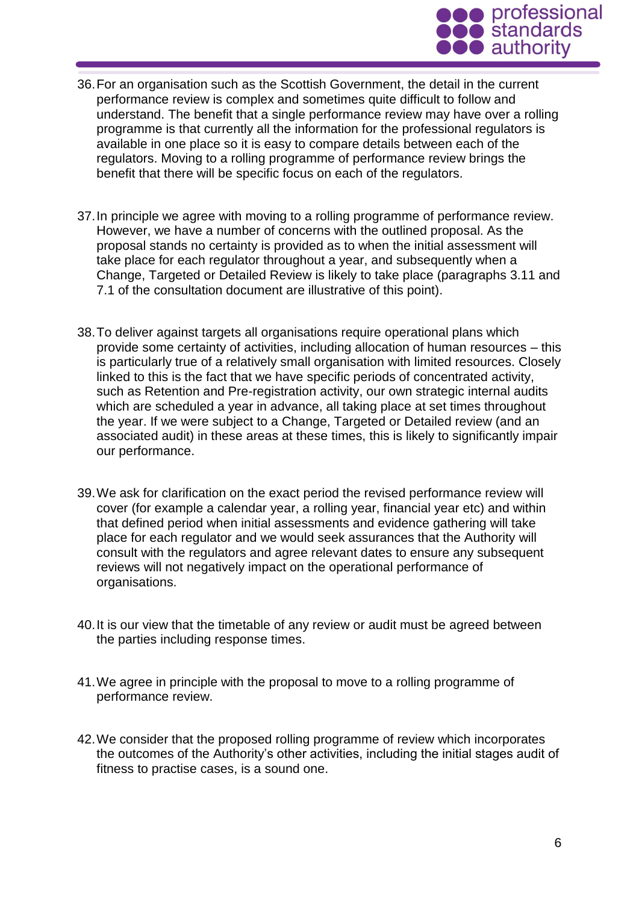

- 36.For an organisation such as the Scottish Government, the detail in the current performance review is complex and sometimes quite difficult to follow and understand. The benefit that a single performance review may have over a rolling programme is that currently all the information for the professional regulators is available in one place so it is easy to compare details between each of the regulators. Moving to a rolling programme of performance review brings the benefit that there will be specific focus on each of the regulators.
- 37.In principle we agree with moving to a rolling programme of performance review. However, we have a number of concerns with the outlined proposal. As the proposal stands no certainty is provided as to when the initial assessment will take place for each regulator throughout a year, and subsequently when a Change, Targeted or Detailed Review is likely to take place (paragraphs 3.11 and 7.1 of the consultation document are illustrative of this point).
- 38.To deliver against targets all organisations require operational plans which provide some certainty of activities, including allocation of human resources – this is particularly true of a relatively small organisation with limited resources. Closely linked to this is the fact that we have specific periods of concentrated activity, such as Retention and Pre-registration activity, our own strategic internal audits which are scheduled a year in advance, all taking place at set times throughout the year. If we were subject to a Change, Targeted or Detailed review (and an associated audit) in these areas at these times, this is likely to significantly impair our performance.
- 39.We ask for clarification on the exact period the revised performance review will cover (for example a calendar year, a rolling year, financial year etc) and within that defined period when initial assessments and evidence gathering will take place for each regulator and we would seek assurances that the Authority will consult with the regulators and agree relevant dates to ensure any subsequent reviews will not negatively impact on the operational performance of organisations.
- 40.It is our view that the timetable of any review or audit must be agreed between the parties including response times.
- 41.We agree in principle with the proposal to move to a rolling programme of performance review.
- 42.We consider that the proposed rolling programme of review which incorporates the outcomes of the Authority's other activities, including the initial stages audit of fitness to practise cases, is a sound one.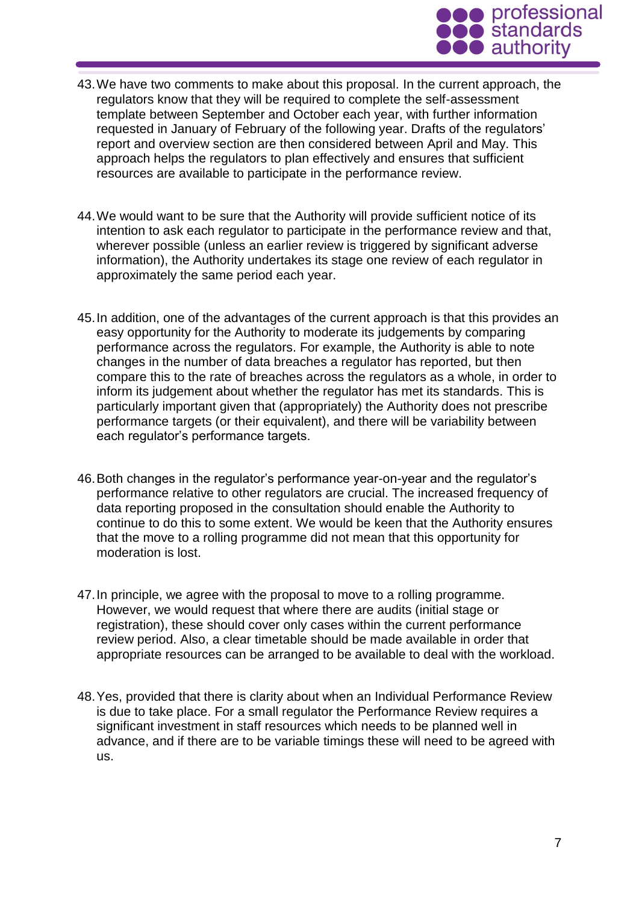

- 43.We have two comments to make about this proposal. In the current approach, the regulators know that they will be required to complete the self-assessment template between September and October each year, with further information requested in January of February of the following year. Drafts of the regulators' report and overview section are then considered between April and May. This approach helps the regulators to plan effectively and ensures that sufficient resources are available to participate in the performance review.
- 44.We would want to be sure that the Authority will provide sufficient notice of its intention to ask each regulator to participate in the performance review and that, wherever possible (unless an earlier review is triggered by significant adverse information), the Authority undertakes its stage one review of each regulator in approximately the same period each year.
- 45.In addition, one of the advantages of the current approach is that this provides an easy opportunity for the Authority to moderate its judgements by comparing performance across the regulators. For example, the Authority is able to note changes in the number of data breaches a regulator has reported, but then compare this to the rate of breaches across the regulators as a whole, in order to inform its judgement about whether the regulator has met its standards. This is particularly important given that (appropriately) the Authority does not prescribe performance targets (or their equivalent), and there will be variability between each regulator's performance targets.
- 46.Both changes in the regulator's performance year-on-year and the regulator's performance relative to other regulators are crucial. The increased frequency of data reporting proposed in the consultation should enable the Authority to continue to do this to some extent. We would be keen that the Authority ensures that the move to a rolling programme did not mean that this opportunity for moderation is lost.
- 47.In principle, we agree with the proposal to move to a rolling programme. However, we would request that where there are audits (initial stage or registration), these should cover only cases within the current performance review period. Also, a clear timetable should be made available in order that appropriate resources can be arranged to be available to deal with the workload.
- 48.Yes, provided that there is clarity about when an Individual Performance Review is due to take place. For a small regulator the Performance Review requires a significant investment in staff resources which needs to be planned well in advance, and if there are to be variable timings these will need to be agreed with us.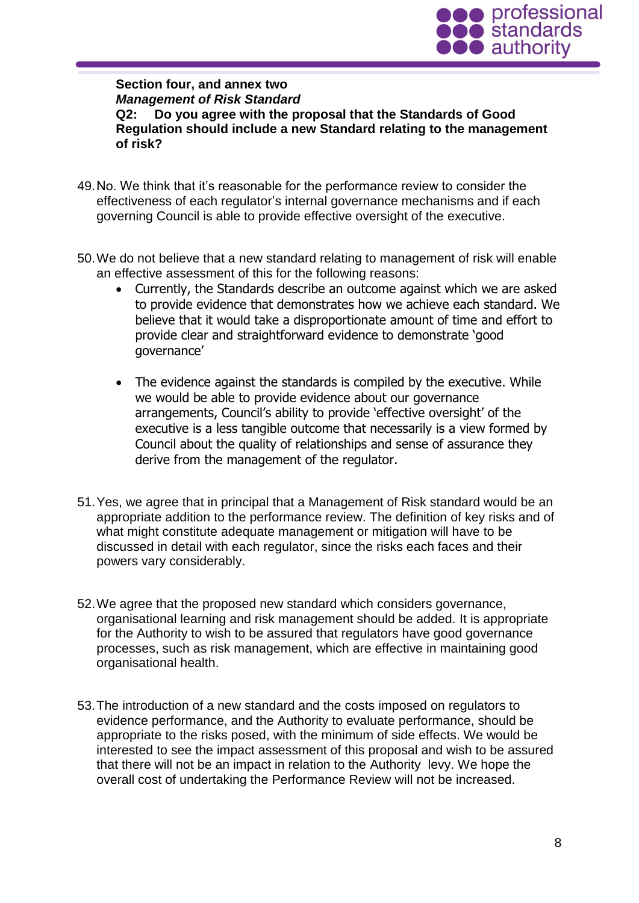

**Section four, and annex two** *Management of Risk Standard* **Q2: Do you agree with the proposal that the Standards of Good Regulation should include a new Standard relating to the management of risk?**

- 49.No. We think that it's reasonable for the performance review to consider the effectiveness of each regulator's internal governance mechanisms and if each governing Council is able to provide effective oversight of the executive.
- 50.We do not believe that a new standard relating to management of risk will enable an effective assessment of this for the following reasons:
	- Currently, the Standards describe an outcome against which we are asked to provide evidence that demonstrates how we achieve each standard. We believe that it would take a disproportionate amount of time and effort to provide clear and straightforward evidence to demonstrate 'good governance'
	- The evidence against the standards is compiled by the executive. While we would be able to provide evidence about our governance arrangements, Council's ability to provide 'effective oversight' of the executive is a less tangible outcome that necessarily is a view formed by Council about the quality of relationships and sense of assurance they derive from the management of the regulator.
- 51.Yes, we agree that in principal that a Management of Risk standard would be an appropriate addition to the performance review. The definition of key risks and of what might constitute adequate management or mitigation will have to be discussed in detail with each regulator, since the risks each faces and their powers vary considerably.
- 52.We agree that the proposed new standard which considers governance, organisational learning and risk management should be added. It is appropriate for the Authority to wish to be assured that regulators have good governance processes, such as risk management, which are effective in maintaining good organisational health.
- 53.The introduction of a new standard and the costs imposed on regulators to evidence performance, and the Authority to evaluate performance, should be appropriate to the risks posed, with the minimum of side effects. We would be interested to see the impact assessment of this proposal and wish to be assured that there will not be an impact in relation to the Authority levy. We hope the overall cost of undertaking the Performance Review will not be increased.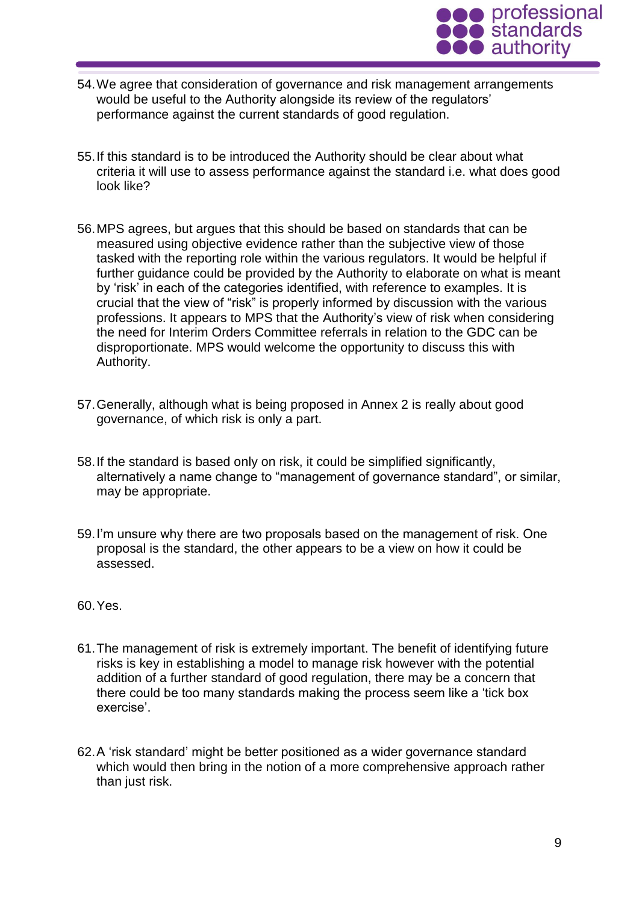

- 54.We agree that consideration of governance and risk management arrangements would be useful to the Authority alongside its review of the regulators' performance against the current standards of good regulation.
- 55.If this standard is to be introduced the Authority should be clear about what criteria it will use to assess performance against the standard i.e. what does good look like?
- 56.MPS agrees, but argues that this should be based on standards that can be measured using objective evidence rather than the subjective view of those tasked with the reporting role within the various regulators. It would be helpful if further guidance could be provided by the Authority to elaborate on what is meant by 'risk' in each of the categories identified, with reference to examples. It is crucial that the view of "risk" is properly informed by discussion with the various professions. It appears to MPS that the Authority's view of risk when considering the need for Interim Orders Committee referrals in relation to the GDC can be disproportionate. MPS would welcome the opportunity to discuss this with Authority.
- 57.Generally, although what is being proposed in Annex 2 is really about good governance, of which risk is only a part.
- 58.If the standard is based only on risk, it could be simplified significantly, alternatively a name change to "management of governance standard", or similar, may be appropriate.
- 59.I'm unsure why there are two proposals based on the management of risk. One proposal is the standard, the other appears to be a view on how it could be assessed.
- 60.Yes.
- 61.The management of risk is extremely important. The benefit of identifying future risks is key in establishing a model to manage risk however with the potential addition of a further standard of good regulation, there may be a concern that there could be too many standards making the process seem like a 'tick box exercise'.
- 62.A 'risk standard' might be better positioned as a wider governance standard which would then bring in the notion of a more comprehensive approach rather than just risk.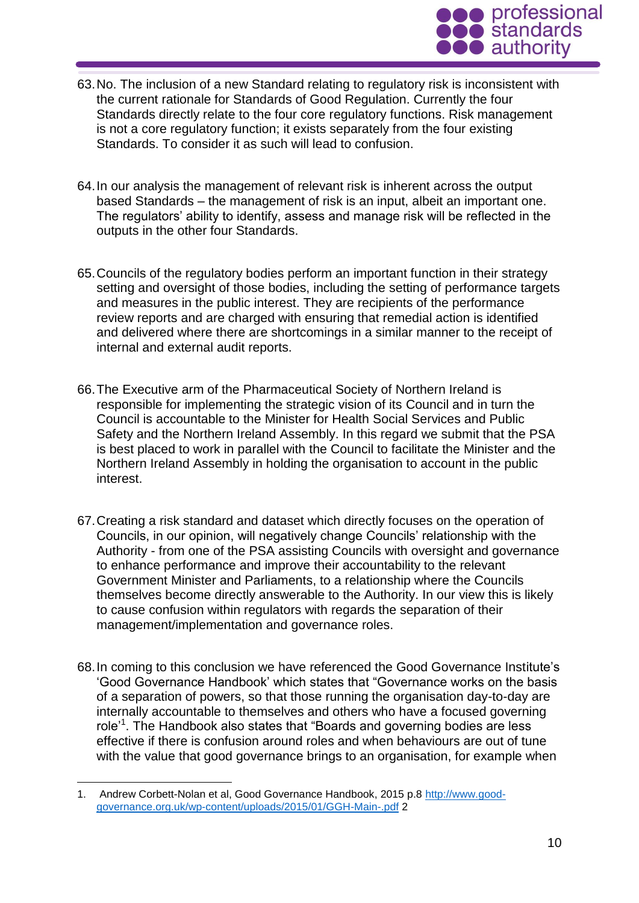

- 63.No. The inclusion of a new Standard relating to regulatory risk is inconsistent with the current rationale for Standards of Good Regulation. Currently the four Standards directly relate to the four core regulatory functions. Risk management is not a core regulatory function; it exists separately from the four existing Standards. To consider it as such will lead to confusion.
- 64.In our analysis the management of relevant risk is inherent across the output based Standards – the management of risk is an input, albeit an important one. The regulators' ability to identify, assess and manage risk will be reflected in the outputs in the other four Standards.
- 65.Councils of the regulatory bodies perform an important function in their strategy setting and oversight of those bodies, including the setting of performance targets and measures in the public interest. They are recipients of the performance review reports and are charged with ensuring that remedial action is identified and delivered where there are shortcomings in a similar manner to the receipt of internal and external audit reports.
- 66.The Executive arm of the Pharmaceutical Society of Northern Ireland is responsible for implementing the strategic vision of its Council and in turn the Council is accountable to the Minister for Health Social Services and Public Safety and the Northern Ireland Assembly. In this regard we submit that the PSA is best placed to work in parallel with the Council to facilitate the Minister and the Northern Ireland Assembly in holding the organisation to account in the public interest.
- 67.Creating a risk standard and dataset which directly focuses on the operation of Councils, in our opinion, will negatively change Councils' relationship with the Authority - from one of the PSA assisting Councils with oversight and governance to enhance performance and improve their accountability to the relevant Government Minister and Parliaments, to a relationship where the Councils themselves become directly answerable to the Authority. In our view this is likely to cause confusion within regulators with regards the separation of their management/implementation and governance roles.
- 68.In coming to this conclusion we have referenced the Good Governance Institute's 'Good Governance Handbook' which states that "Governance works on the basis of a separation of powers, so that those running the organisation day-to-day are internally accountable to themselves and others who have a focused governing role<sup>'1</sup>. The Handbook also states that "Boards and governing bodies are less effective if there is confusion around roles and when behaviours are out of tune with the value that good governance brings to an organisation, for example when

1

<sup>1.</sup> Andrew Corbett-Nolan et al, Good Governance Handbook, 2015 p.8 [http://www.good](http://www.good-governance.org.uk/wp-content/uploads/2015/01/GGH-Main-.pdf)[governance.org.uk/wp-content/uploads/2015/01/GGH-Main-.pdf](http://www.good-governance.org.uk/wp-content/uploads/2015/01/GGH-Main-.pdf) 2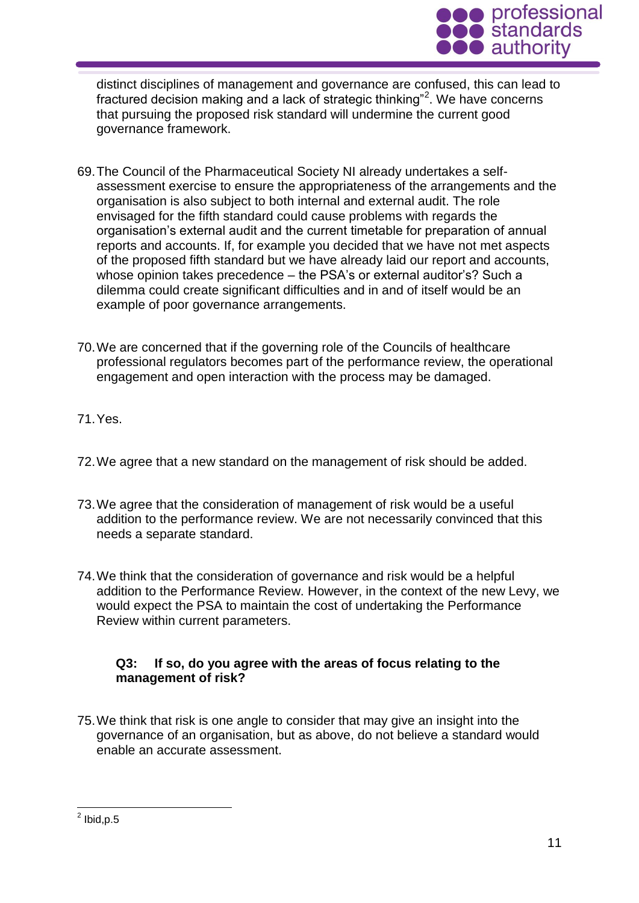

distinct disciplines of management and governance are confused, this can lead to fractured decision making and a lack of strategic thinking"<sup>2</sup>. We have concerns that pursuing the proposed risk standard will undermine the current good governance framework.

- 69.The Council of the Pharmaceutical Society NI already undertakes a selfassessment exercise to ensure the appropriateness of the arrangements and the organisation is also subject to both internal and external audit. The role envisaged for the fifth standard could cause problems with regards the organisation's external audit and the current timetable for preparation of annual reports and accounts. If, for example you decided that we have not met aspects of the proposed fifth standard but we have already laid our report and accounts, whose opinion takes precedence – the PSA's or external auditor's? Such a dilemma could create significant difficulties and in and of itself would be an example of poor governance arrangements.
- 70.We are concerned that if the governing role of the Councils of healthcare professional regulators becomes part of the performance review, the operational engagement and open interaction with the process may be damaged.
- 71.Yes.
- 72.We agree that a new standard on the management of risk should be added.
- 73.We agree that the consideration of management of risk would be a useful addition to the performance review. We are not necessarily convinced that this needs a separate standard.
- 74.We think that the consideration of governance and risk would be a helpful addition to the Performance Review. However, in the context of the new Levy, we would expect the PSA to maintain the cost of undertaking the Performance Review within current parameters.

# **Q3: If so, do you agree with the areas of focus relating to the management of risk?**

75.We think that risk is one angle to consider that may give an insight into the governance of an organisation, but as above, do not believe a standard would enable an accurate assessment.

 2 Ibid,p.5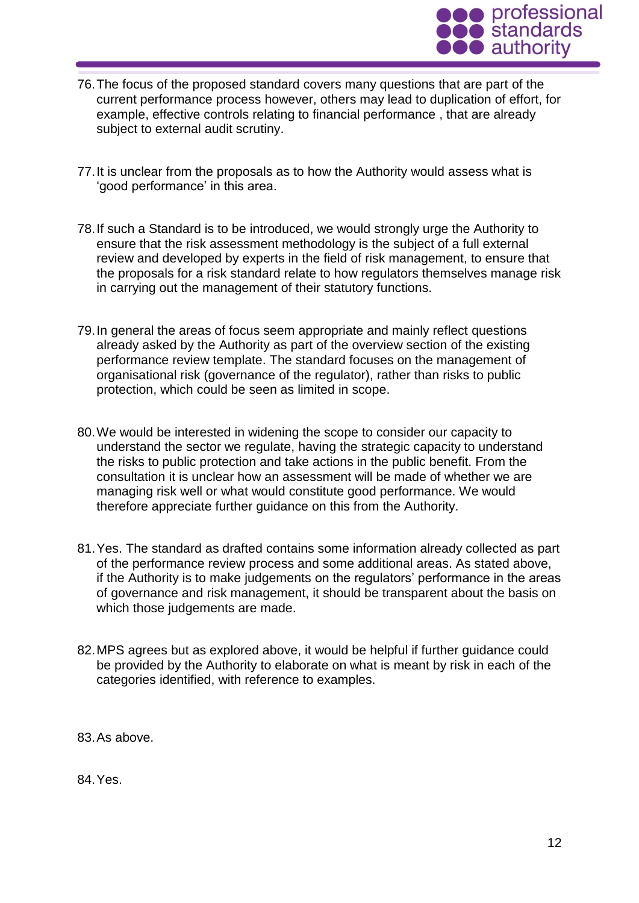

- 76.The focus of the proposed standard covers many questions that are part of the current performance process however, others may lead to duplication of effort, for example, effective controls relating to financial performance , that are already subject to external audit scrutiny.
- 77.It is unclear from the proposals as to how the Authority would assess what is 'good performance' in this area.
- 78.If such a Standard is to be introduced, we would strongly urge the Authority to ensure that the risk assessment methodology is the subject of a full external review and developed by experts in the field of risk management, to ensure that the proposals for a risk standard relate to how regulators themselves manage risk in carrying out the management of their statutory functions.
- 79.In general the areas of focus seem appropriate and mainly reflect questions already asked by the Authority as part of the overview section of the existing performance review template. The standard focuses on the management of organisational risk (governance of the regulator), rather than risks to public protection, which could be seen as limited in scope.
- 80.We would be interested in widening the scope to consider our capacity to understand the sector we regulate, having the strategic capacity to understand the risks to public protection and take actions in the public benefit. From the consultation it is unclear how an assessment will be made of whether we are managing risk well or what would constitute good performance. We would therefore appreciate further guidance on this from the Authority.
- 81.Yes. The standard as drafted contains some information already collected as part of the performance review process and some additional areas. As stated above, if the Authority is to make judgements on the regulators' performance in the areas of governance and risk management, it should be transparent about the basis on which those judgements are made.
- 82.MPS agrees but as explored above, it would be helpful if further guidance could be provided by the Authority to elaborate on what is meant by risk in each of the categories identified, with reference to examples.

83.As above.

84.Yes.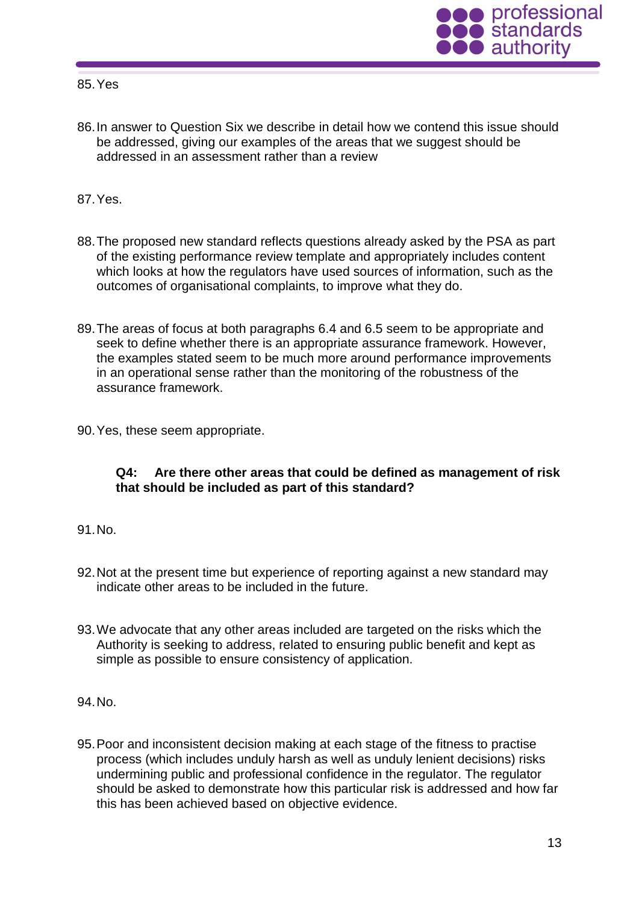85.Yes



86.In answer to Question Six we describe in detail how we contend this issue should be addressed, giving our examples of the areas that we suggest should be addressed in an assessment rather than a review

87.Yes.

- 88.The proposed new standard reflects questions already asked by the PSA as part of the existing performance review template and appropriately includes content which looks at how the regulators have used sources of information, such as the outcomes of organisational complaints, to improve what they do.
- 89.The areas of focus at both paragraphs 6.4 and 6.5 seem to be appropriate and seek to define whether there is an appropriate assurance framework. However, the examples stated seem to be much more around performance improvements in an operational sense rather than the monitoring of the robustness of the assurance framework.
- 90.Yes, these seem appropriate.

# **Q4: Are there other areas that could be defined as management of risk that should be included as part of this standard?**

- 91.No.
- 92.Not at the present time but experience of reporting against a new standard may indicate other areas to be included in the future.
- 93.We advocate that any other areas included are targeted on the risks which the Authority is seeking to address, related to ensuring public benefit and kept as simple as possible to ensure consistency of application.

94.No.

95.Poor and inconsistent decision making at each stage of the fitness to practise process (which includes unduly harsh as well as unduly lenient decisions) risks undermining public and professional confidence in the regulator. The regulator should be asked to demonstrate how this particular risk is addressed and how far this has been achieved based on objective evidence.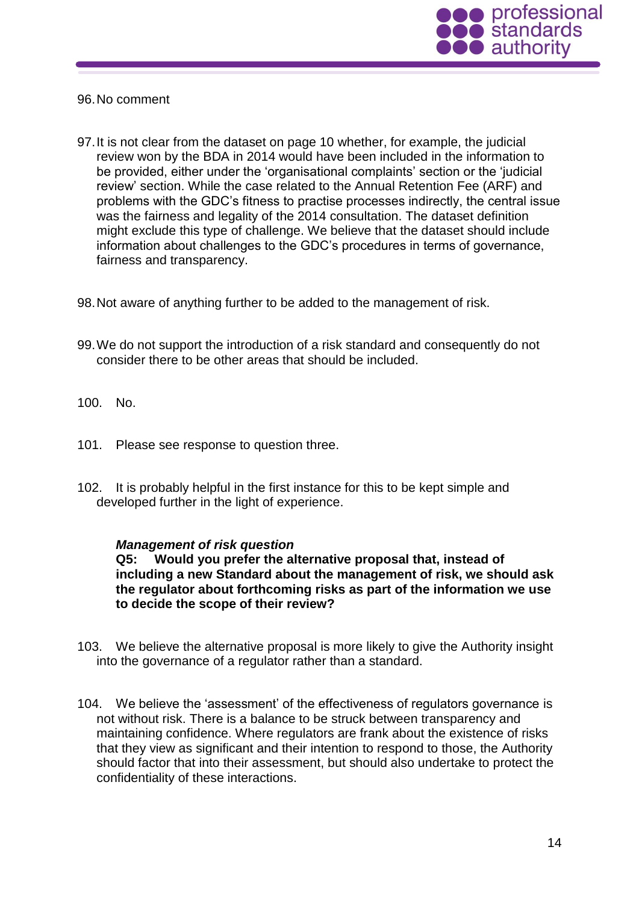

### 96.No comment

- 97.It is not clear from the dataset on page 10 whether, for example, the judicial review won by the BDA in 2014 would have been included in the information to be provided, either under the 'organisational complaints' section or the 'judicial review' section. While the case related to the Annual Retention Fee (ARF) and problems with the GDC's fitness to practise processes indirectly, the central issue was the fairness and legality of the 2014 consultation. The dataset definition might exclude this type of challenge. We believe that the dataset should include information about challenges to the GDC's procedures in terms of governance, fairness and transparency.
- 98.Not aware of anything further to be added to the management of risk.
- 99.We do not support the introduction of a risk standard and consequently do not consider there to be other areas that should be included.
- 100. No.
- 101. Please see response to question three.
- 102. It is probably helpful in the first instance for this to be kept simple and developed further in the light of experience.

#### *Management of risk question*

**Q5: Would you prefer the alternative proposal that, instead of including a new Standard about the management of risk, we should ask the regulator about forthcoming risks as part of the information we use to decide the scope of their review?**

- 103. We believe the alternative proposal is more likely to give the Authority insight into the governance of a regulator rather than a standard.
- 104. We believe the 'assessment' of the effectiveness of regulators governance is not without risk. There is a balance to be struck between transparency and maintaining confidence. Where regulators are frank about the existence of risks that they view as significant and their intention to respond to those, the Authority should factor that into their assessment, but should also undertake to protect the confidentiality of these interactions.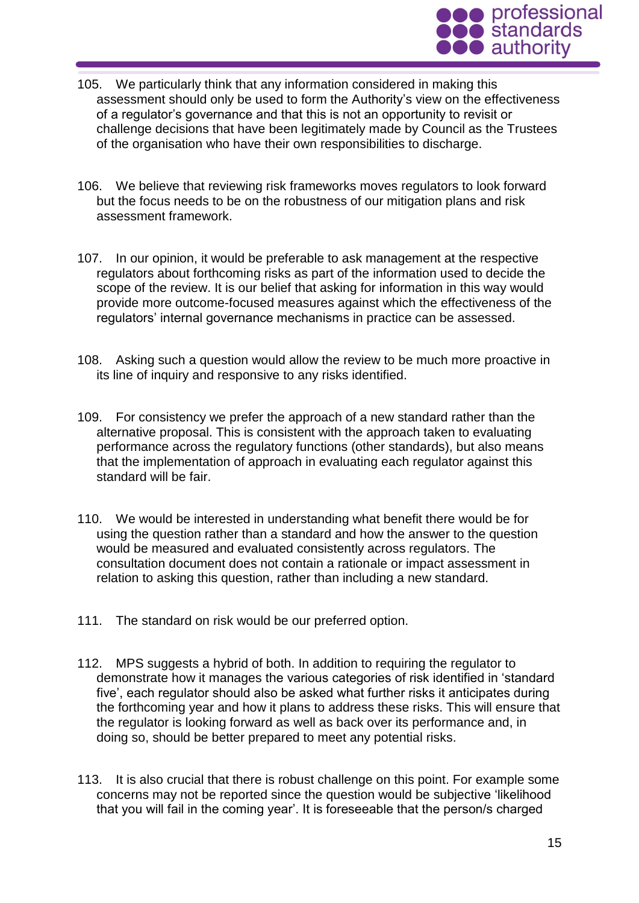

- 105. We particularly think that any information considered in making this assessment should only be used to form the Authority's view on the effectiveness of a regulator's governance and that this is not an opportunity to revisit or challenge decisions that have been legitimately made by Council as the Trustees of the organisation who have their own responsibilities to discharge.
- 106. We believe that reviewing risk frameworks moves regulators to look forward but the focus needs to be on the robustness of our mitigation plans and risk assessment framework.
- 107. In our opinion, it would be preferable to ask management at the respective regulators about forthcoming risks as part of the information used to decide the scope of the review. It is our belief that asking for information in this way would provide more outcome-focused measures against which the effectiveness of the regulators' internal governance mechanisms in practice can be assessed.
- 108. Asking such a question would allow the review to be much more proactive in its line of inquiry and responsive to any risks identified.
- 109. For consistency we prefer the approach of a new standard rather than the alternative proposal. This is consistent with the approach taken to evaluating performance across the regulatory functions (other standards), but also means that the implementation of approach in evaluating each regulator against this standard will be fair.
- 110. We would be interested in understanding what benefit there would be for using the question rather than a standard and how the answer to the question would be measured and evaluated consistently across regulators. The consultation document does not contain a rationale or impact assessment in relation to asking this question, rather than including a new standard.
- 111. The standard on risk would be our preferred option.
- 112. MPS suggests a hybrid of both. In addition to requiring the regulator to demonstrate how it manages the various categories of risk identified in 'standard five', each regulator should also be asked what further risks it anticipates during the forthcoming year and how it plans to address these risks. This will ensure that the regulator is looking forward as well as back over its performance and, in doing so, should be better prepared to meet any potential risks.
- 113. It is also crucial that there is robust challenge on this point. For example some concerns may not be reported since the question would be subjective 'likelihood that you will fail in the coming year'. It is foreseeable that the person/s charged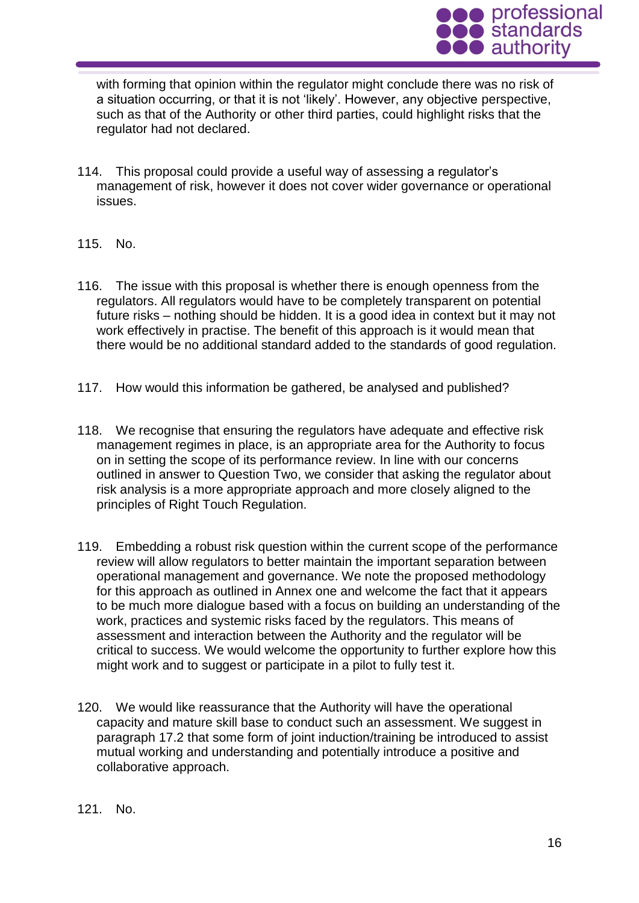

with forming that opinion within the regulator might conclude there was no risk of a situation occurring, or that it is not 'likely'. However, any objective perspective, such as that of the Authority or other third parties, could highlight risks that the regulator had not declared.

- 114. This proposal could provide a useful way of assessing a regulator's management of risk, however it does not cover wider governance or operational issues.
- 115. No.
- 116. The issue with this proposal is whether there is enough openness from the regulators. All regulators would have to be completely transparent on potential future risks – nothing should be hidden. It is a good idea in context but it may not work effectively in practise. The benefit of this approach is it would mean that there would be no additional standard added to the standards of good regulation.
- 117. How would this information be gathered, be analysed and published?
- 118. We recognise that ensuring the regulators have adequate and effective risk management regimes in place, is an appropriate area for the Authority to focus on in setting the scope of its performance review. In line with our concerns outlined in answer to Question Two, we consider that asking the regulator about risk analysis is a more appropriate approach and more closely aligned to the principles of Right Touch Regulation.
- 119. Embedding a robust risk question within the current scope of the performance review will allow regulators to better maintain the important separation between operational management and governance. We note the proposed methodology for this approach as outlined in Annex one and welcome the fact that it appears to be much more dialogue based with a focus on building an understanding of the work, practices and systemic risks faced by the regulators. This means of assessment and interaction between the Authority and the regulator will be critical to success. We would welcome the opportunity to further explore how this might work and to suggest or participate in a pilot to fully test it.
- 120. We would like reassurance that the Authority will have the operational capacity and mature skill base to conduct such an assessment. We suggest in paragraph 17.2 that some form of joint induction/training be introduced to assist mutual working and understanding and potentially introduce a positive and collaborative approach.

#### 121. No.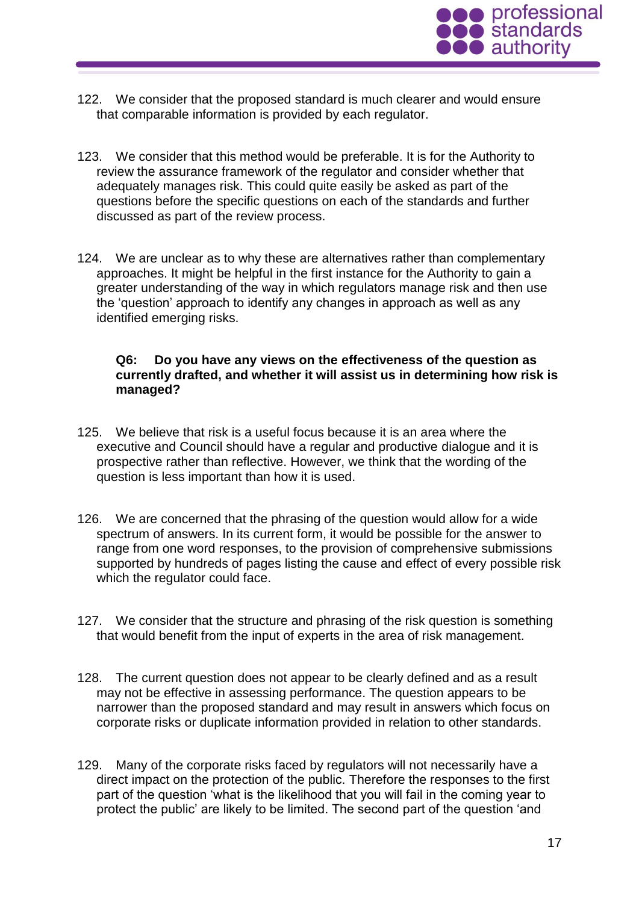

- 122. We consider that the proposed standard is much clearer and would ensure that comparable information is provided by each regulator.
- 123. We consider that this method would be preferable. It is for the Authority to review the assurance framework of the regulator and consider whether that adequately manages risk. This could quite easily be asked as part of the questions before the specific questions on each of the standards and further discussed as part of the review process.
- 124. We are unclear as to why these are alternatives rather than complementary approaches. It might be helpful in the first instance for the Authority to gain a greater understanding of the way in which regulators manage risk and then use the 'question' approach to identify any changes in approach as well as any identified emerging risks.

### **Q6: Do you have any views on the effectiveness of the question as currently drafted, and whether it will assist us in determining how risk is managed?**

- 125. We believe that risk is a useful focus because it is an area where the executive and Council should have a regular and productive dialogue and it is prospective rather than reflective. However, we think that the wording of the question is less important than how it is used.
- 126. We are concerned that the phrasing of the question would allow for a wide spectrum of answers. In its current form, it would be possible for the answer to range from one word responses, to the provision of comprehensive submissions supported by hundreds of pages listing the cause and effect of every possible risk which the regulator could face.
- 127. We consider that the structure and phrasing of the risk question is something that would benefit from the input of experts in the area of risk management.
- 128. The current question does not appear to be clearly defined and as a result may not be effective in assessing performance. The question appears to be narrower than the proposed standard and may result in answers which focus on corporate risks or duplicate information provided in relation to other standards.
- 129. Many of the corporate risks faced by regulators will not necessarily have a direct impact on the protection of the public. Therefore the responses to the first part of the question 'what is the likelihood that you will fail in the coming year to protect the public' are likely to be limited. The second part of the question 'and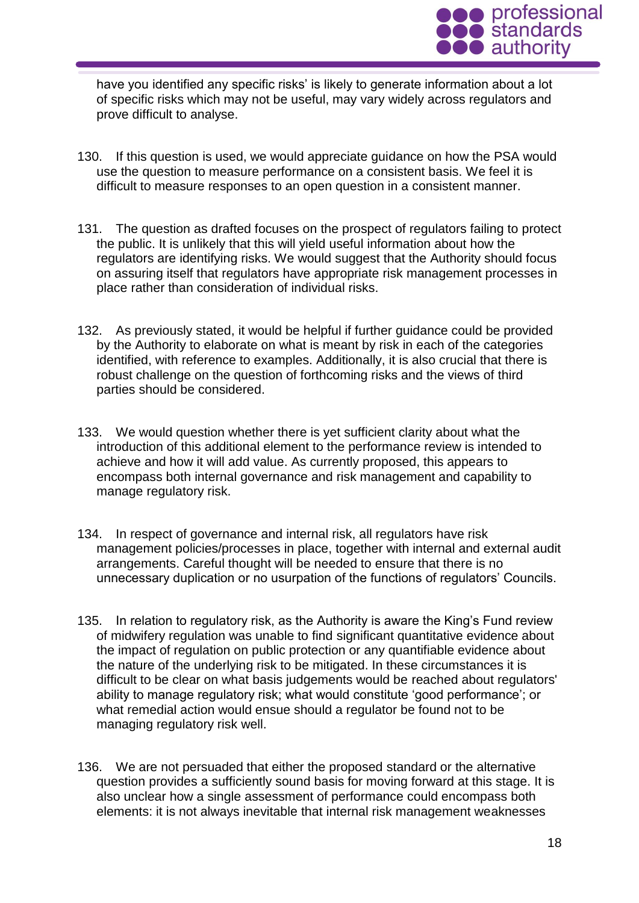

have you identified any specific risks' is likely to generate information about a lot of specific risks which may not be useful, may vary widely across regulators and prove difficult to analyse.

- 130. If this question is used, we would appreciate guidance on how the PSA would use the question to measure performance on a consistent basis. We feel it is difficult to measure responses to an open question in a consistent manner.
- 131. The question as drafted focuses on the prospect of regulators failing to protect the public. It is unlikely that this will yield useful information about how the regulators are identifying risks. We would suggest that the Authority should focus on assuring itself that regulators have appropriate risk management processes in place rather than consideration of individual risks.
- 132. As previously stated, it would be helpful if further guidance could be provided by the Authority to elaborate on what is meant by risk in each of the categories identified, with reference to examples. Additionally, it is also crucial that there is robust challenge on the question of forthcoming risks and the views of third parties should be considered.
- 133. We would question whether there is yet sufficient clarity about what the introduction of this additional element to the performance review is intended to achieve and how it will add value. As currently proposed, this appears to encompass both internal governance and risk management and capability to manage regulatory risk.
- 134. In respect of governance and internal risk, all regulators have risk management policies/processes in place, together with internal and external audit arrangements. Careful thought will be needed to ensure that there is no unnecessary duplication or no usurpation of the functions of regulators' Councils.
- 135. In relation to regulatory risk, as the Authority is aware the King's Fund review of midwifery regulation was unable to find significant quantitative evidence about the impact of regulation on public protection or any quantifiable evidence about the nature of the underlying risk to be mitigated. In these circumstances it is difficult to be clear on what basis judgements would be reached about regulators' ability to manage regulatory risk; what would constitute 'good performance'; or what remedial action would ensue should a regulator be found not to be managing regulatory risk well.
- 136. We are not persuaded that either the proposed standard or the alternative question provides a sufficiently sound basis for moving forward at this stage. It is also unclear how a single assessment of performance could encompass both elements: it is not always inevitable that internal risk management weaknesses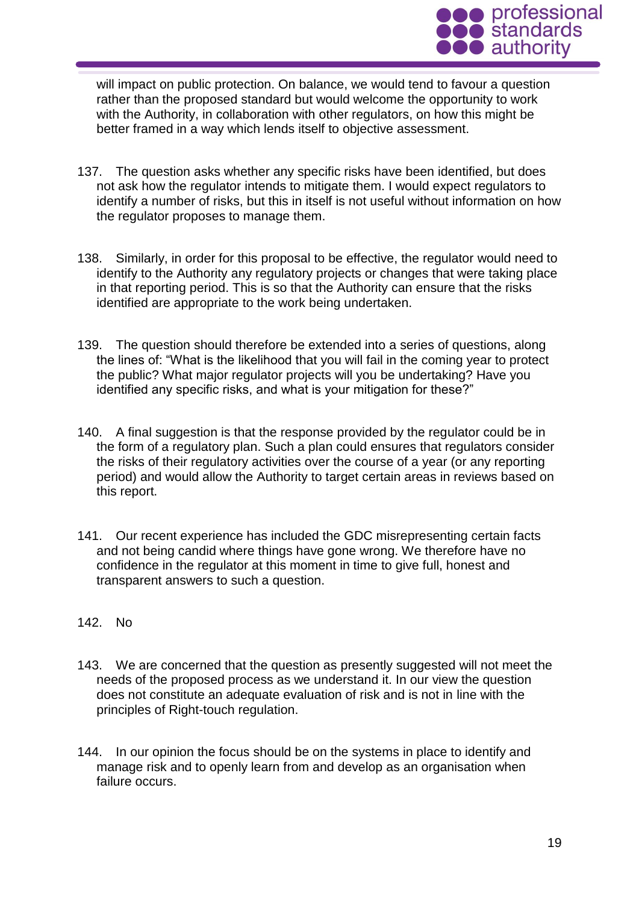

will impact on public protection. On balance, we would tend to favour a question rather than the proposed standard but would welcome the opportunity to work with the Authority, in collaboration with other regulators, on how this might be better framed in a way which lends itself to objective assessment.

- 137. The question asks whether any specific risks have been identified, but does not ask how the regulator intends to mitigate them. I would expect regulators to identify a number of risks, but this in itself is not useful without information on how the regulator proposes to manage them.
- 138. Similarly, in order for this proposal to be effective, the regulator would need to identify to the Authority any regulatory projects or changes that were taking place in that reporting period. This is so that the Authority can ensure that the risks identified are appropriate to the work being undertaken.
- 139. The question should therefore be extended into a series of questions, along the lines of: "What is the likelihood that you will fail in the coming year to protect the public? What major regulator projects will you be undertaking? Have you identified any specific risks, and what is your mitigation for these?"
- 140. A final suggestion is that the response provided by the regulator could be in the form of a regulatory plan. Such a plan could ensures that regulators consider the risks of their regulatory activities over the course of a year (or any reporting period) and would allow the Authority to target certain areas in reviews based on this report.
- 141. Our recent experience has included the GDC misrepresenting certain facts and not being candid where things have gone wrong. We therefore have no confidence in the regulator at this moment in time to give full, honest and transparent answers to such a question.
- 142. No
- 143. We are concerned that the question as presently suggested will not meet the needs of the proposed process as we understand it. In our view the question does not constitute an adequate evaluation of risk and is not in line with the principles of Right-touch regulation.
- 144. In our opinion the focus should be on the systems in place to identify and manage risk and to openly learn from and develop as an organisation when failure occurs.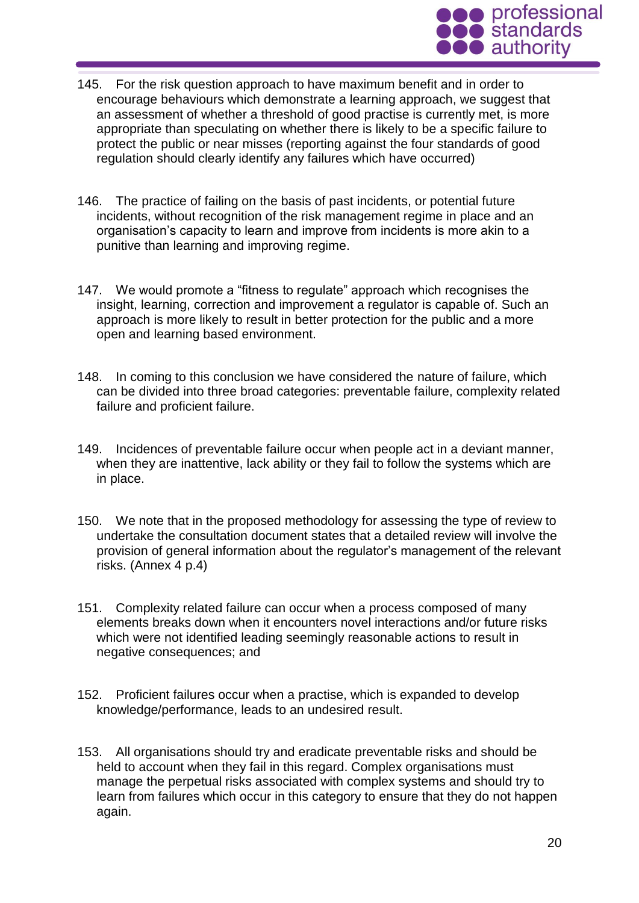

- 145. For the risk question approach to have maximum benefit and in order to encourage behaviours which demonstrate a learning approach, we suggest that an assessment of whether a threshold of good practise is currently met, is more appropriate than speculating on whether there is likely to be a specific failure to protect the public or near misses (reporting against the four standards of good regulation should clearly identify any failures which have occurred)
- 146. The practice of failing on the basis of past incidents, or potential future incidents, without recognition of the risk management regime in place and an organisation's capacity to learn and improve from incidents is more akin to a punitive than learning and improving regime.
- 147. We would promote a "fitness to regulate" approach which recognises the insight, learning, correction and improvement a regulator is capable of. Such an approach is more likely to result in better protection for the public and a more open and learning based environment.
- 148. In coming to this conclusion we have considered the nature of failure, which can be divided into three broad categories: preventable failure, complexity related failure and proficient failure.
- 149. Incidences of preventable failure occur when people act in a deviant manner, when they are inattentive, lack ability or they fail to follow the systems which are in place.
- 150. We note that in the proposed methodology for assessing the type of review to undertake the consultation document states that a detailed review will involve the provision of general information about the regulator's management of the relevant risks. (Annex 4 p.4)
- 151. Complexity related failure can occur when a process composed of many elements breaks down when it encounters novel interactions and/or future risks which were not identified leading seemingly reasonable actions to result in negative consequences; and
- 152. Proficient failures occur when a practise, which is expanded to develop knowledge/performance, leads to an undesired result.
- 153. All organisations should try and eradicate preventable risks and should be held to account when they fail in this regard. Complex organisations must manage the perpetual risks associated with complex systems and should try to learn from failures which occur in this category to ensure that they do not happen again.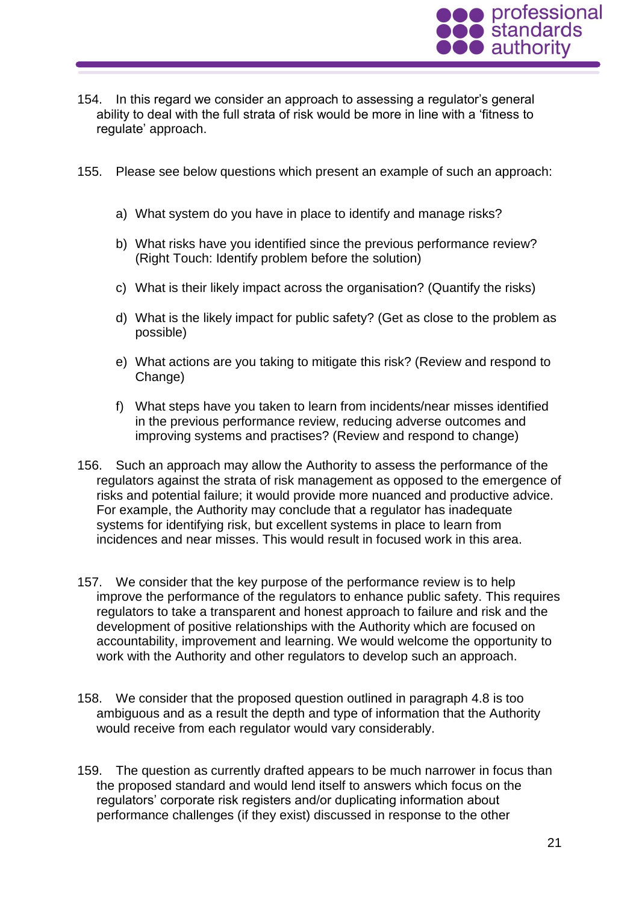

- 154. In this regard we consider an approach to assessing a regulator's general ability to deal with the full strata of risk would be more in line with a 'fitness to regulate' approach.
- 155. Please see below questions which present an example of such an approach:
	- a) What system do you have in place to identify and manage risks?
	- b) What risks have you identified since the previous performance review? (Right Touch: Identify problem before the solution)
	- c) What is their likely impact across the organisation? (Quantify the risks)
	- d) What is the likely impact for public safety? (Get as close to the problem as possible)
	- e) What actions are you taking to mitigate this risk? (Review and respond to Change)
	- f) What steps have you taken to learn from incidents/near misses identified in the previous performance review, reducing adverse outcomes and improving systems and practises? (Review and respond to change)
- 156. Such an approach may allow the Authority to assess the performance of the regulators against the strata of risk management as opposed to the emergence of risks and potential failure; it would provide more nuanced and productive advice. For example, the Authority may conclude that a regulator has inadequate systems for identifying risk, but excellent systems in place to learn from incidences and near misses. This would result in focused work in this area.
- 157. We consider that the key purpose of the performance review is to help improve the performance of the regulators to enhance public safety. This requires regulators to take a transparent and honest approach to failure and risk and the development of positive relationships with the Authority which are focused on accountability, improvement and learning. We would welcome the opportunity to work with the Authority and other regulators to develop such an approach.
- 158. We consider that the proposed question outlined in paragraph 4.8 is too ambiguous and as a result the depth and type of information that the Authority would receive from each regulator would vary considerably.
- 159. The question as currently drafted appears to be much narrower in focus than the proposed standard and would lend itself to answers which focus on the regulators' corporate risk registers and/or duplicating information about performance challenges (if they exist) discussed in response to the other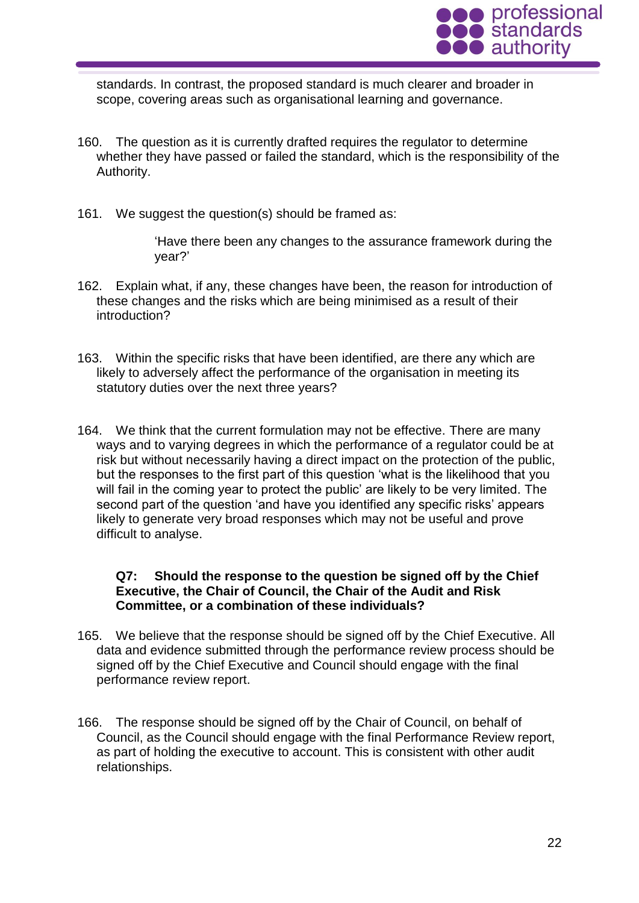

standards. In contrast, the proposed standard is much clearer and broader in scope, covering areas such as organisational learning and governance.

- 160. The question as it is currently drafted requires the regulator to determine whether they have passed or failed the standard, which is the responsibility of the Authority.
- 161. We suggest the question(s) should be framed as:

'Have there been any changes to the assurance framework during the year?'

- 162. Explain what, if any, these changes have been, the reason for introduction of these changes and the risks which are being minimised as a result of their introduction?
- 163. Within the specific risks that have been identified, are there any which are likely to adversely affect the performance of the organisation in meeting its statutory duties over the next three years?
- 164. We think that the current formulation may not be effective. There are many ways and to varying degrees in which the performance of a regulator could be at risk but without necessarily having a direct impact on the protection of the public, but the responses to the first part of this question 'what is the likelihood that you will fail in the coming year to protect the public' are likely to be very limited. The second part of the question 'and have you identified any specific risks' appears likely to generate very broad responses which may not be useful and prove difficult to analyse.

# **Q7: Should the response to the question be signed off by the Chief Executive, the Chair of Council, the Chair of the Audit and Risk Committee, or a combination of these individuals?**

- 165. We believe that the response should be signed off by the Chief Executive. All data and evidence submitted through the performance review process should be signed off by the Chief Executive and Council should engage with the final performance review report.
- 166. The response should be signed off by the Chair of Council, on behalf of Council, as the Council should engage with the final Performance Review report, as part of holding the executive to account. This is consistent with other audit relationships.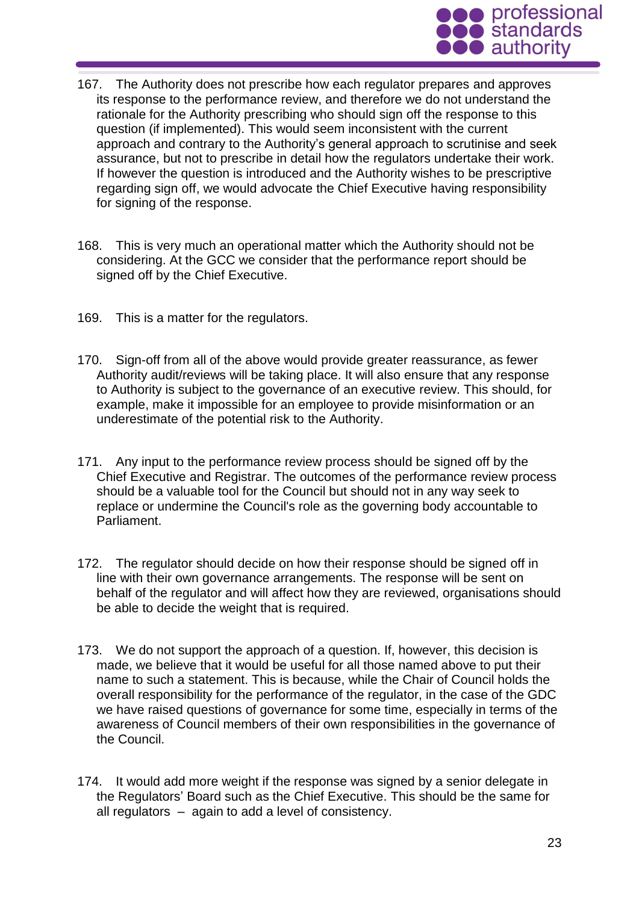

- 167. The Authority does not prescribe how each regulator prepares and approves its response to the performance review, and therefore we do not understand the rationale for the Authority prescribing who should sign off the response to this question (if implemented). This would seem inconsistent with the current approach and contrary to the Authority's general approach to scrutinise and seek assurance, but not to prescribe in detail how the regulators undertake their work. If however the question is introduced and the Authority wishes to be prescriptive regarding sign off, we would advocate the Chief Executive having responsibility for signing of the response.
- 168. This is very much an operational matter which the Authority should not be considering. At the GCC we consider that the performance report should be signed off by the Chief Executive.
- 169. This is a matter for the regulators.
- 170. Sign-off from all of the above would provide greater reassurance, as fewer Authority audit/reviews will be taking place. It will also ensure that any response to Authority is subject to the governance of an executive review. This should, for example, make it impossible for an employee to provide misinformation or an underestimate of the potential risk to the Authority.
- 171. Any input to the performance review process should be signed off by the Chief Executive and Registrar. The outcomes of the performance review process should be a valuable tool for the Council but should not in any way seek to replace or undermine the Council's role as the governing body accountable to Parliament.
- 172. The regulator should decide on how their response should be signed off in line with their own governance arrangements. The response will be sent on behalf of the regulator and will affect how they are reviewed, organisations should be able to decide the weight that is required.
- 173. We do not support the approach of a question. If, however, this decision is made, we believe that it would be useful for all those named above to put their name to such a statement. This is because, while the Chair of Council holds the overall responsibility for the performance of the regulator, in the case of the GDC we have raised questions of governance for some time, especially in terms of the awareness of Council members of their own responsibilities in the governance of the Council.
- 174. It would add more weight if the response was signed by a senior delegate in the Regulators' Board such as the Chief Executive. This should be the same for all regulators – again to add a level of consistency.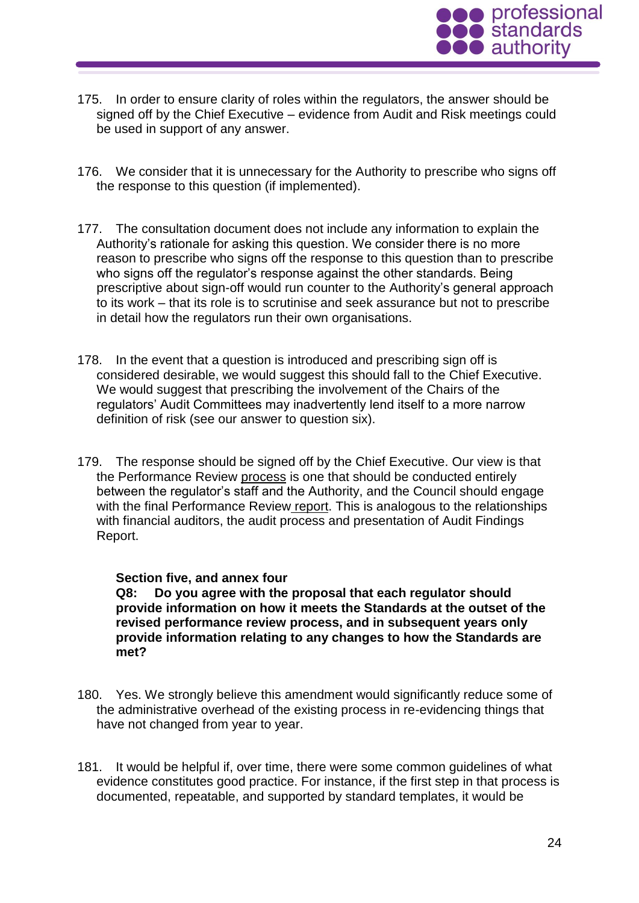

- 175. In order to ensure clarity of roles within the regulators, the answer should be signed off by the Chief Executive – evidence from Audit and Risk meetings could be used in support of any answer.
- 176. We consider that it is unnecessary for the Authority to prescribe who signs off the response to this question (if implemented).
- 177. The consultation document does not include any information to explain the Authority's rationale for asking this question. We consider there is no more reason to prescribe who signs off the response to this question than to prescribe who signs off the regulator's response against the other standards. Being prescriptive about sign-off would run counter to the Authority's general approach to its work – that its role is to scrutinise and seek assurance but not to prescribe in detail how the regulators run their own organisations.
- 178. In the event that a question is introduced and prescribing sign off is considered desirable, we would suggest this should fall to the Chief Executive. We would suggest that prescribing the involvement of the Chairs of the regulators' Audit Committees may inadvertently lend itself to a more narrow definition of risk (see our answer to question six).
- 179. The response should be signed off by the Chief Executive. Our view is that the Performance Review process is one that should be conducted entirely between the regulator's staff and the Authority, and the Council should engage with the final Performance Review report. This is analogous to the relationships with financial auditors, the audit process and presentation of Audit Findings Report.

#### **Section five, and annex four**

**Q8: Do you agree with the proposal that each regulator should provide information on how it meets the Standards at the outset of the revised performance review process, and in subsequent years only provide information relating to any changes to how the Standards are met?**

- 180. Yes. We strongly believe this amendment would significantly reduce some of the administrative overhead of the existing process in re-evidencing things that have not changed from year to year.
- 181. It would be helpful if, over time, there were some common guidelines of what evidence constitutes good practice. For instance, if the first step in that process is documented, repeatable, and supported by standard templates, it would be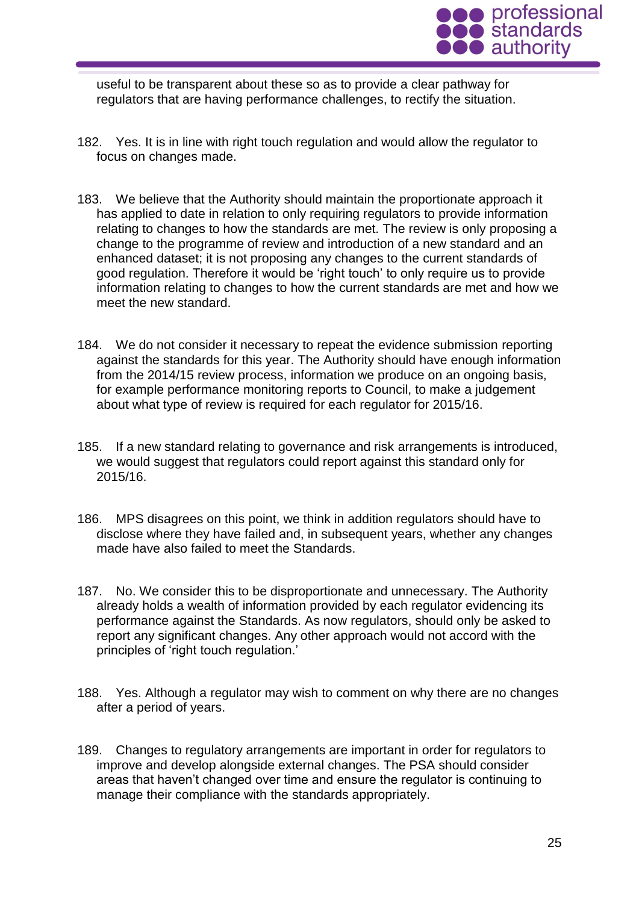

useful to be transparent about these so as to provide a clear pathway for regulators that are having performance challenges, to rectify the situation.

- 182. Yes. It is in line with right touch regulation and would allow the regulator to focus on changes made.
- 183. We believe that the Authority should maintain the proportionate approach it has applied to date in relation to only requiring regulators to provide information relating to changes to how the standards are met. The review is only proposing a change to the programme of review and introduction of a new standard and an enhanced dataset; it is not proposing any changes to the current standards of good regulation. Therefore it would be 'right touch' to only require us to provide information relating to changes to how the current standards are met and how we meet the new standard.
- 184. We do not consider it necessary to repeat the evidence submission reporting against the standards for this year. The Authority should have enough information from the 2014/15 review process, information we produce on an ongoing basis, for example performance monitoring reports to Council, to make a judgement about what type of review is required for each regulator for 2015/16.
- 185. If a new standard relating to governance and risk arrangements is introduced, we would suggest that regulators could report against this standard only for 2015/16.
- 186. MPS disagrees on this point, we think in addition regulators should have to disclose where they have failed and, in subsequent years, whether any changes made have also failed to meet the Standards.
- 187. No. We consider this to be disproportionate and unnecessary. The Authority already holds a wealth of information provided by each regulator evidencing its performance against the Standards. As now regulators, should only be asked to report any significant changes. Any other approach would not accord with the principles of 'right touch regulation.'
- 188. Yes. Although a regulator may wish to comment on why there are no changes after a period of years.
- 189. Changes to regulatory arrangements are important in order for regulators to improve and develop alongside external changes. The PSA should consider areas that haven't changed over time and ensure the regulator is continuing to manage their compliance with the standards appropriately.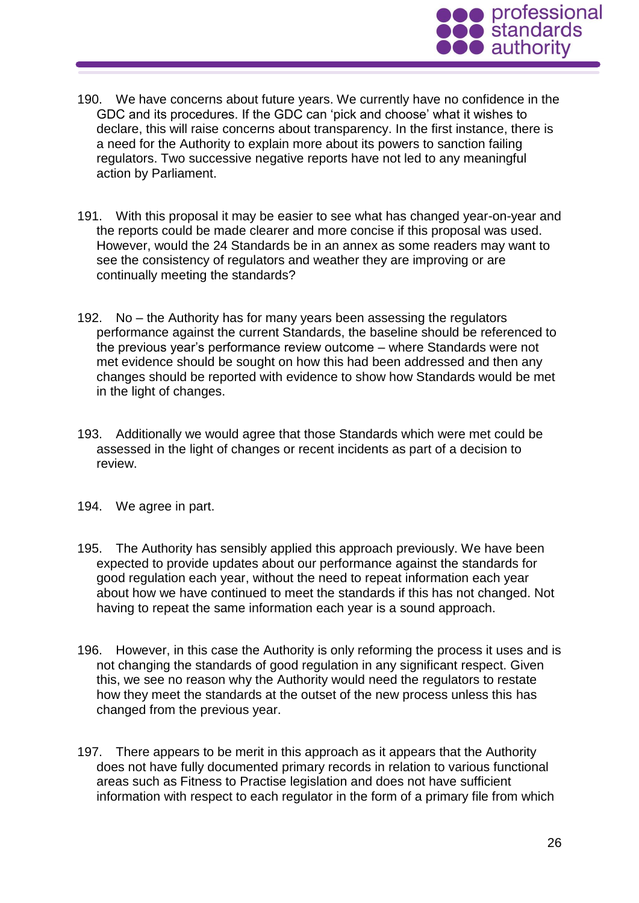

- 190. We have concerns about future years. We currently have no confidence in the GDC and its procedures. If the GDC can 'pick and choose' what it wishes to declare, this will raise concerns about transparency. In the first instance, there is a need for the Authority to explain more about its powers to sanction failing regulators. Two successive negative reports have not led to any meaningful action by Parliament.
- 191. With this proposal it may be easier to see what has changed year-on-year and the reports could be made clearer and more concise if this proposal was used. However, would the 24 Standards be in an annex as some readers may want to see the consistency of regulators and weather they are improving or are continually meeting the standards?
- 192. No the Authority has for many years been assessing the regulators performance against the current Standards, the baseline should be referenced to the previous year's performance review outcome – where Standards were not met evidence should be sought on how this had been addressed and then any changes should be reported with evidence to show how Standards would be met in the light of changes.
- 193. Additionally we would agree that those Standards which were met could be assessed in the light of changes or recent incidents as part of a decision to review.
- 194. We agree in part.
- 195. The Authority has sensibly applied this approach previously. We have been expected to provide updates about our performance against the standards for good regulation each year, without the need to repeat information each year about how we have continued to meet the standards if this has not changed. Not having to repeat the same information each year is a sound approach.
- 196. However, in this case the Authority is only reforming the process it uses and is not changing the standards of good regulation in any significant respect. Given this, we see no reason why the Authority would need the regulators to restate how they meet the standards at the outset of the new process unless this has changed from the previous year.
- 197. There appears to be merit in this approach as it appears that the Authority does not have fully documented primary records in relation to various functional areas such as Fitness to Practise legislation and does not have sufficient information with respect to each regulator in the form of a primary file from which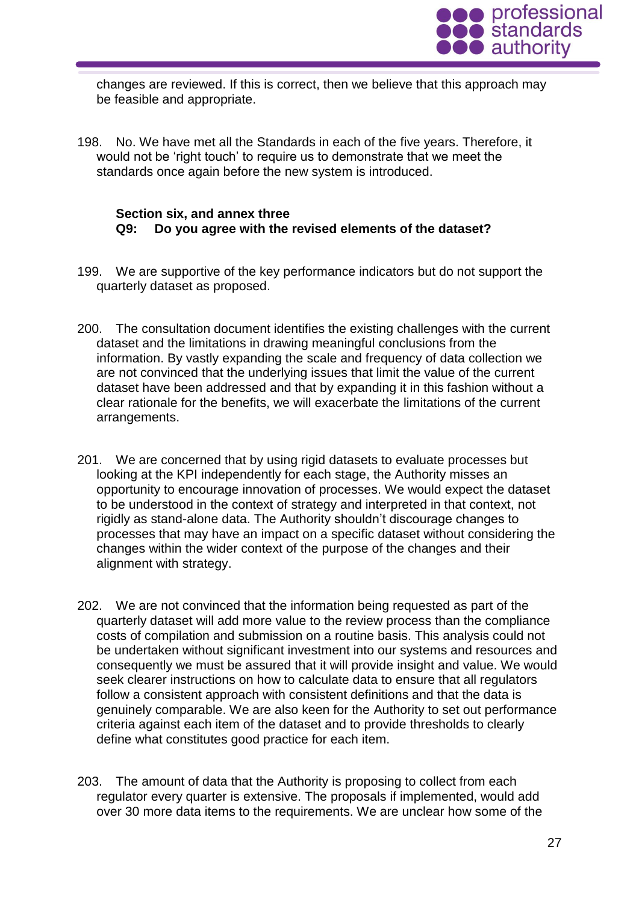

changes are reviewed. If this is correct, then we believe that this approach may be feasible and appropriate.

198. No. We have met all the Standards in each of the five years. Therefore, it would not be 'right touch' to require us to demonstrate that we meet the standards once again before the new system is introduced.

### **Section six, and annex three Q9: Do you agree with the revised elements of the dataset?**

- 199. We are supportive of the key performance indicators but do not support the quarterly dataset as proposed.
- 200. The consultation document identifies the existing challenges with the current dataset and the limitations in drawing meaningful conclusions from the information. By vastly expanding the scale and frequency of data collection we are not convinced that the underlying issues that limit the value of the current dataset have been addressed and that by expanding it in this fashion without a clear rationale for the benefits, we will exacerbate the limitations of the current arrangements.
- 201. We are concerned that by using rigid datasets to evaluate processes but looking at the KPI independently for each stage, the Authority misses an opportunity to encourage innovation of processes. We would expect the dataset to be understood in the context of strategy and interpreted in that context, not rigidly as stand-alone data. The Authority shouldn't discourage changes to processes that may have an impact on a specific dataset without considering the changes within the wider context of the purpose of the changes and their alignment with strategy.
- 202. We are not convinced that the information being requested as part of the quarterly dataset will add more value to the review process than the compliance costs of compilation and submission on a routine basis. This analysis could not be undertaken without significant investment into our systems and resources and consequently we must be assured that it will provide insight and value. We would seek clearer instructions on how to calculate data to ensure that all regulators follow a consistent approach with consistent definitions and that the data is genuinely comparable. We are also keen for the Authority to set out performance criteria against each item of the dataset and to provide thresholds to clearly define what constitutes good practice for each item.
- 203. The amount of data that the Authority is proposing to collect from each regulator every quarter is extensive. The proposals if implemented, would add over 30 more data items to the requirements. We are unclear how some of the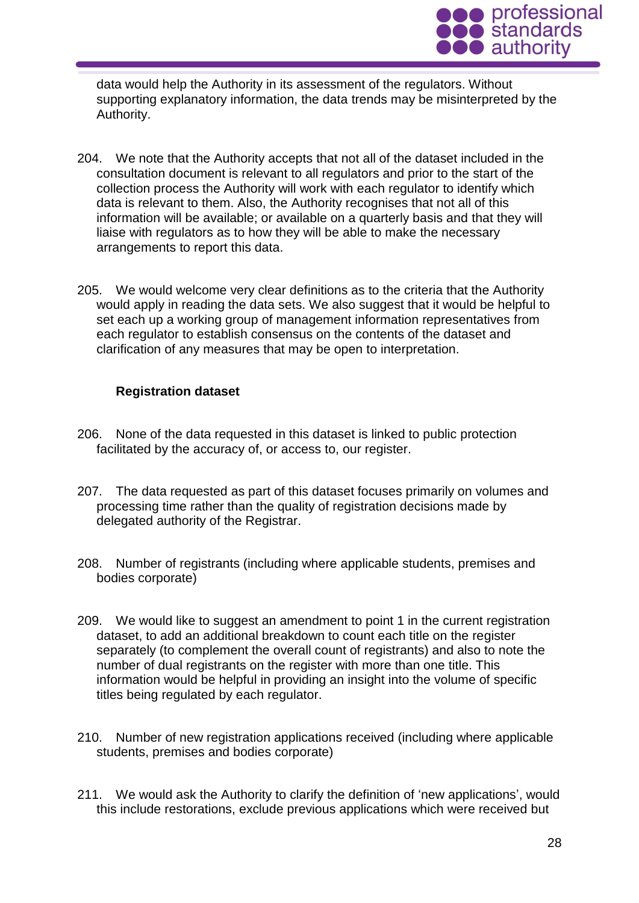

data would help the Authority in its assessment of the regulators. Without supporting explanatory information, the data trends may be misinterpreted by the Authority.

- 204. We note that the Authority accepts that not all of the dataset included in the consultation document is relevant to all regulators and prior to the start of the collection process the Authority will work with each regulator to identify which data is relevant to them. Also, the Authority recognises that not all of this information will be available; or available on a quarterly basis and that they will liaise with regulators as to how they will be able to make the necessary arrangements to report this data.
- 205. We would welcome very clear definitions as to the criteria that the Authority would apply in reading the data sets. We also suggest that it would be helpful to set each up a working group of management information representatives from each regulator to establish consensus on the contents of the dataset and clarification of any measures that may be open to interpretation.

# **Registration dataset**

- 206. None of the data requested in this dataset is linked to public protection facilitated by the accuracy of, or access to, our register.
- 207. The data requested as part of this dataset focuses primarily on volumes and processing time rather than the quality of registration decisions made by delegated authority of the Registrar.
- 208. Number of registrants (including where applicable students, premises and bodies corporate)
- 209. We would like to suggest an amendment to point 1 in the current registration dataset, to add an additional breakdown to count each title on the register separately (to complement the overall count of registrants) and also to note the number of dual registrants on the register with more than one title. This information would be helpful in providing an insight into the volume of specific titles being regulated by each regulator.
- 210. Number of new registration applications received (including where applicable students, premises and bodies corporate)
- 211. We would ask the Authority to clarify the definition of 'new applications', would this include restorations, exclude previous applications which were received but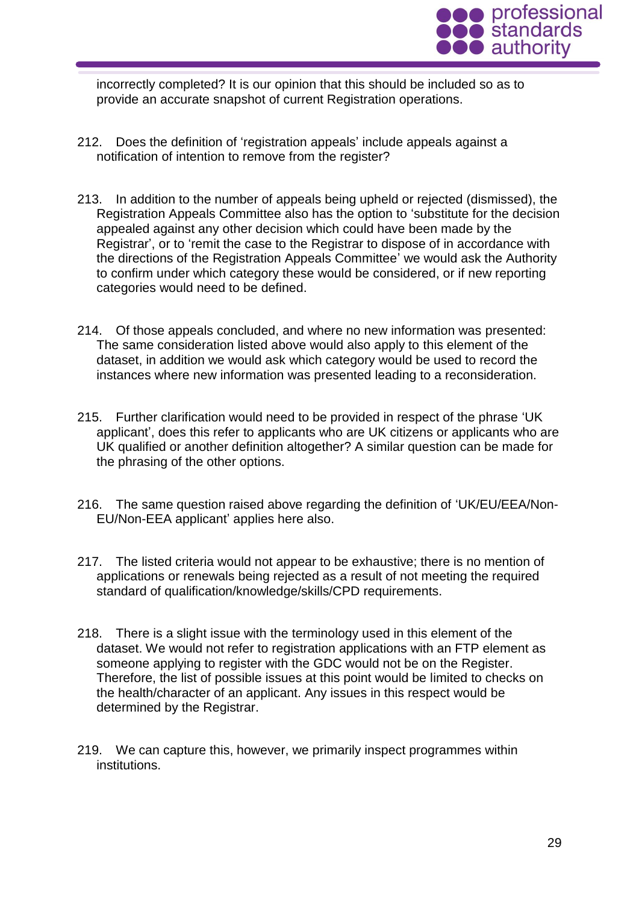

incorrectly completed? It is our opinion that this should be included so as to provide an accurate snapshot of current Registration operations.

- 212. Does the definition of 'registration appeals' include appeals against a notification of intention to remove from the register?
- 213. In addition to the number of appeals being upheld or rejected (dismissed), the Registration Appeals Committee also has the option to 'substitute for the decision appealed against any other decision which could have been made by the Registrar', or to 'remit the case to the Registrar to dispose of in accordance with the directions of the Registration Appeals Committee' we would ask the Authority to confirm under which category these would be considered, or if new reporting categories would need to be defined.
- 214. Of those appeals concluded, and where no new information was presented: The same consideration listed above would also apply to this element of the dataset, in addition we would ask which category would be used to record the instances where new information was presented leading to a reconsideration.
- 215. Further clarification would need to be provided in respect of the phrase 'UK applicant', does this refer to applicants who are UK citizens or applicants who are UK qualified or another definition altogether? A similar question can be made for the phrasing of the other options.
- 216. The same question raised above regarding the definition of 'UK/EU/EEA/Non-EU/Non-EEA applicant' applies here also.
- 217. The listed criteria would not appear to be exhaustive; there is no mention of applications or renewals being rejected as a result of not meeting the required standard of qualification/knowledge/skills/CPD requirements.
- 218. There is a slight issue with the terminology used in this element of the dataset. We would not refer to registration applications with an FTP element as someone applying to register with the GDC would not be on the Register. Therefore, the list of possible issues at this point would be limited to checks on the health/character of an applicant. Any issues in this respect would be determined by the Registrar.
- 219. We can capture this, however, we primarily inspect programmes within institutions.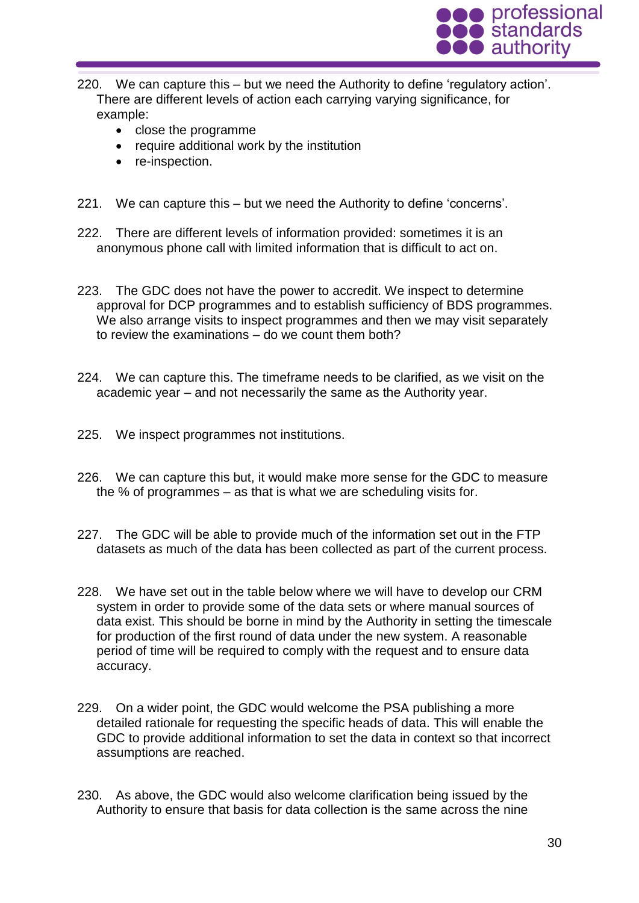

- 220. We can capture this but we need the Authority to define 'regulatory action'. There are different levels of action each carrying varying significance, for example:
	- close the programme
	- require additional work by the institution
	- re-inspection.
- 221. We can capture this but we need the Authority to define 'concerns'.
- 222. There are different levels of information provided: sometimes it is an anonymous phone call with limited information that is difficult to act on.
- 223. The GDC does not have the power to accredit. We inspect to determine approval for DCP programmes and to establish sufficiency of BDS programmes. We also arrange visits to inspect programmes and then we may visit separately to review the examinations – do we count them both?
- 224. We can capture this. The timeframe needs to be clarified, as we visit on the academic year – and not necessarily the same as the Authority year.
- 225. We inspect programmes not institutions.
- 226. We can capture this but, it would make more sense for the GDC to measure the % of programmes – as that is what we are scheduling visits for.
- 227. The GDC will be able to provide much of the information set out in the FTP datasets as much of the data has been collected as part of the current process.
- 228. We have set out in the table below where we will have to develop our CRM system in order to provide some of the data sets or where manual sources of data exist. This should be borne in mind by the Authority in setting the timescale for production of the first round of data under the new system. A reasonable period of time will be required to comply with the request and to ensure data accuracy.
- 229. On a wider point, the GDC would welcome the PSA publishing a more detailed rationale for requesting the specific heads of data. This will enable the GDC to provide additional information to set the data in context so that incorrect assumptions are reached.
- 230. As above, the GDC would also welcome clarification being issued by the Authority to ensure that basis for data collection is the same across the nine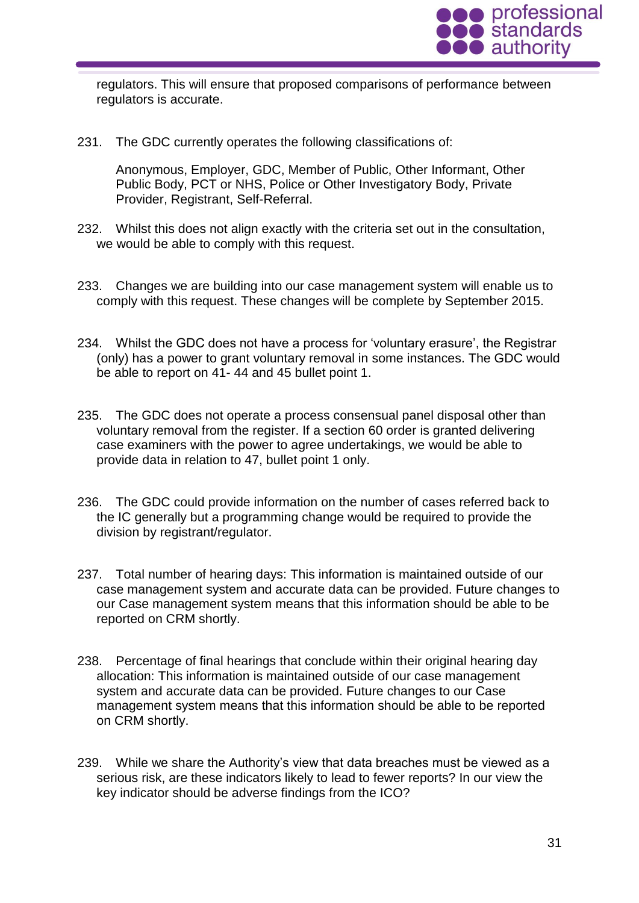

regulators. This will ensure that proposed comparisons of performance between regulators is accurate.

231. The GDC currently operates the following classifications of:

Anonymous, Employer, GDC, Member of Public, Other Informant, Other Public Body, PCT or NHS, Police or Other Investigatory Body, Private Provider, Registrant, Self-Referral.

- 232. Whilst this does not align exactly with the criteria set out in the consultation, we would be able to comply with this request.
- 233. Changes we are building into our case management system will enable us to comply with this request. These changes will be complete by September 2015.
- 234. Whilst the GDC does not have a process for 'voluntary erasure', the Registrar (only) has a power to grant voluntary removal in some instances. The GDC would be able to report on 41- 44 and 45 bullet point 1.
- 235. The GDC does not operate a process consensual panel disposal other than voluntary removal from the register. If a section 60 order is granted delivering case examiners with the power to agree undertakings, we would be able to provide data in relation to 47, bullet point 1 only.
- 236. The GDC could provide information on the number of cases referred back to the IC generally but a programming change would be required to provide the division by registrant/regulator.
- 237. Total number of hearing days: This information is maintained outside of our case management system and accurate data can be provided. Future changes to our Case management system means that this information should be able to be reported on CRM shortly.
- 238. Percentage of final hearings that conclude within their original hearing day allocation: This information is maintained outside of our case management system and accurate data can be provided. Future changes to our Case management system means that this information should be able to be reported on CRM shortly.
- 239. While we share the Authority's view that data breaches must be viewed as a serious risk, are these indicators likely to lead to fewer reports? In our view the key indicator should be adverse findings from the ICO?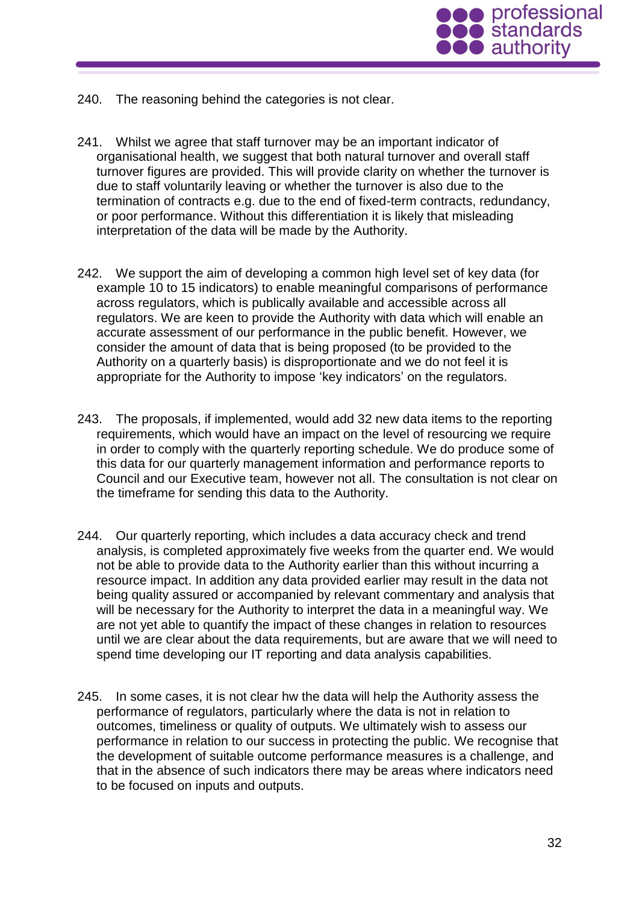

- 240. The reasoning behind the categories is not clear.
- 241. Whilst we agree that staff turnover may be an important indicator of organisational health, we suggest that both natural turnover and overall staff turnover figures are provided. This will provide clarity on whether the turnover is due to staff voluntarily leaving or whether the turnover is also due to the termination of contracts e.g. due to the end of fixed-term contracts, redundancy, or poor performance. Without this differentiation it is likely that misleading interpretation of the data will be made by the Authority.
- 242. We support the aim of developing a common high level set of key data (for example 10 to 15 indicators) to enable meaningful comparisons of performance across regulators, which is publically available and accessible across all regulators. We are keen to provide the Authority with data which will enable an accurate assessment of our performance in the public benefit. However, we consider the amount of data that is being proposed (to be provided to the Authority on a quarterly basis) is disproportionate and we do not feel it is appropriate for the Authority to impose 'key indicators' on the regulators.
- 243. The proposals, if implemented, would add 32 new data items to the reporting requirements, which would have an impact on the level of resourcing we require in order to comply with the quarterly reporting schedule. We do produce some of this data for our quarterly management information and performance reports to Council and our Executive team, however not all. The consultation is not clear on the timeframe for sending this data to the Authority.
- 244. Our quarterly reporting, which includes a data accuracy check and trend analysis, is completed approximately five weeks from the quarter end. We would not be able to provide data to the Authority earlier than this without incurring a resource impact. In addition any data provided earlier may result in the data not being quality assured or accompanied by relevant commentary and analysis that will be necessary for the Authority to interpret the data in a meaningful way. We are not yet able to quantify the impact of these changes in relation to resources until we are clear about the data requirements, but are aware that we will need to spend time developing our IT reporting and data analysis capabilities.
- 245. In some cases, it is not clear hw the data will help the Authority assess the performance of regulators, particularly where the data is not in relation to outcomes, timeliness or quality of outputs. We ultimately wish to assess our performance in relation to our success in protecting the public. We recognise that the development of suitable outcome performance measures is a challenge, and that in the absence of such indicators there may be areas where indicators need to be focused on inputs and outputs.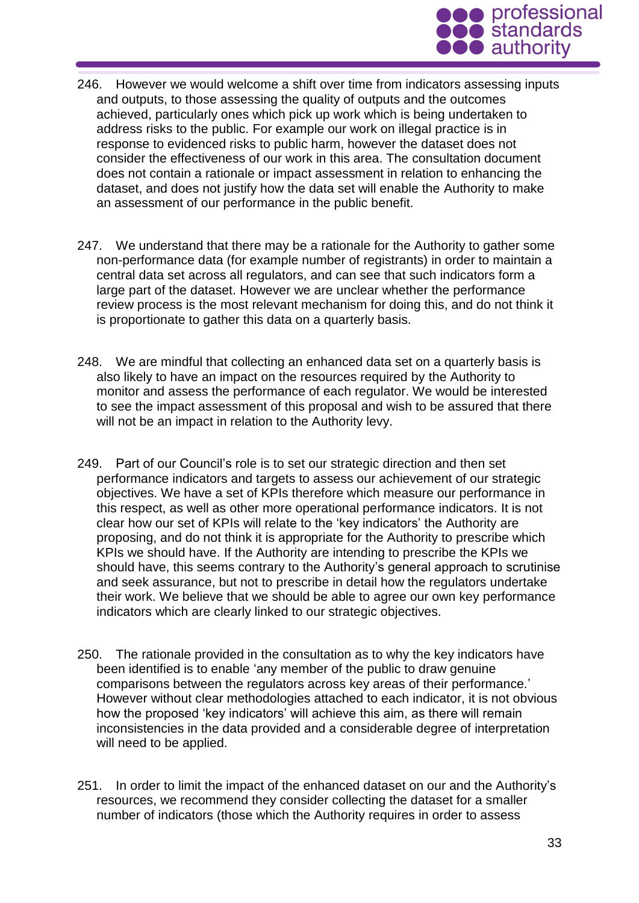

- 246. However we would welcome a shift over time from indicators assessing inputs and outputs, to those assessing the quality of outputs and the outcomes achieved, particularly ones which pick up work which is being undertaken to address risks to the public. For example our work on illegal practice is in response to evidenced risks to public harm, however the dataset does not consider the effectiveness of our work in this area. The consultation document does not contain a rationale or impact assessment in relation to enhancing the dataset, and does not justify how the data set will enable the Authority to make an assessment of our performance in the public benefit.
- 247. We understand that there may be a rationale for the Authority to gather some non-performance data (for example number of registrants) in order to maintain a central data set across all regulators, and can see that such indicators form a large part of the dataset. However we are unclear whether the performance review process is the most relevant mechanism for doing this, and do not think it is proportionate to gather this data on a quarterly basis.
- 248. We are mindful that collecting an enhanced data set on a quarterly basis is also likely to have an impact on the resources required by the Authority to monitor and assess the performance of each regulator. We would be interested to see the impact assessment of this proposal and wish to be assured that there will not be an impact in relation to the Authority levy.
- 249. Part of our Council's role is to set our strategic direction and then set performance indicators and targets to assess our achievement of our strategic objectives. We have a set of KPIs therefore which measure our performance in this respect, as well as other more operational performance indicators. It is not clear how our set of KPIs will relate to the 'key indicators' the Authority are proposing, and do not think it is appropriate for the Authority to prescribe which KPIs we should have. If the Authority are intending to prescribe the KPIs we should have, this seems contrary to the Authority's general approach to scrutinise and seek assurance, but not to prescribe in detail how the regulators undertake their work. We believe that we should be able to agree our own key performance indicators which are clearly linked to our strategic objectives.
- 250. The rationale provided in the consultation as to why the key indicators have been identified is to enable 'any member of the public to draw genuine comparisons between the regulators across key areas of their performance.' However without clear methodologies attached to each indicator, it is not obvious how the proposed 'key indicators' will achieve this aim, as there will remain inconsistencies in the data provided and a considerable degree of interpretation will need to be applied.
- 251. In order to limit the impact of the enhanced dataset on our and the Authority's resources, we recommend they consider collecting the dataset for a smaller number of indicators (those which the Authority requires in order to assess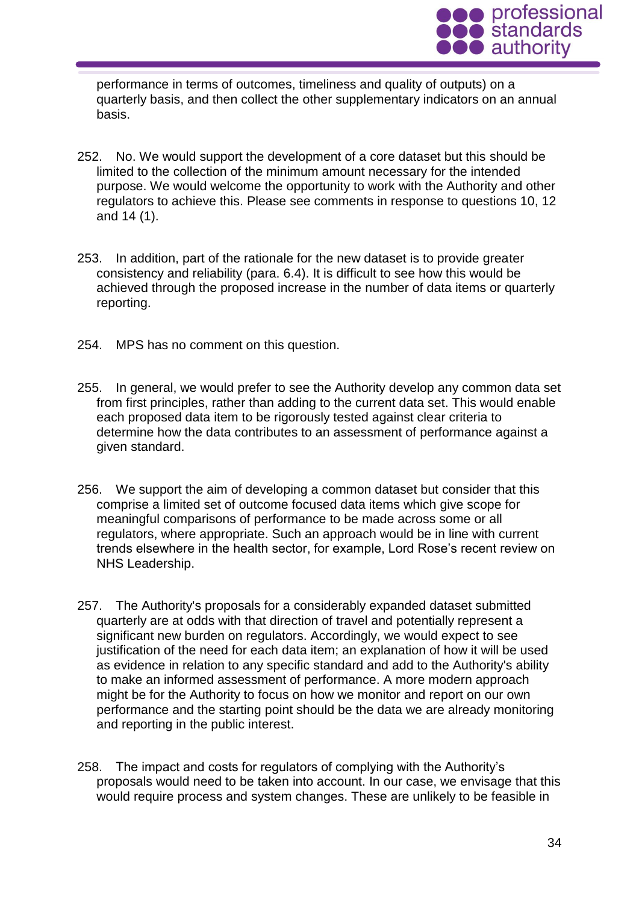

performance in terms of outcomes, timeliness and quality of outputs) on a quarterly basis, and then collect the other supplementary indicators on an annual basis.

- 252. No. We would support the development of a core dataset but this should be limited to the collection of the minimum amount necessary for the intended purpose. We would welcome the opportunity to work with the Authority and other regulators to achieve this. Please see comments in response to questions 10, 12 and 14 (1).
- 253. In addition, part of the rationale for the new dataset is to provide greater consistency and reliability (para. 6.4). It is difficult to see how this would be achieved through the proposed increase in the number of data items or quarterly reporting.
- 254. MPS has no comment on this question.
- 255. In general, we would prefer to see the Authority develop any common data set from first principles, rather than adding to the current data set. This would enable each proposed data item to be rigorously tested against clear criteria to determine how the data contributes to an assessment of performance against a given standard.
- 256. We support the aim of developing a common dataset but consider that this comprise a limited set of outcome focused data items which give scope for meaningful comparisons of performance to be made across some or all regulators, where appropriate. Such an approach would be in line with current trends elsewhere in the health sector, for example, Lord Rose's recent review on NHS Leadership.
- 257. The Authority's proposals for a considerably expanded dataset submitted quarterly are at odds with that direction of travel and potentially represent a significant new burden on regulators. Accordingly, we would expect to see justification of the need for each data item; an explanation of how it will be used as evidence in relation to any specific standard and add to the Authority's ability to make an informed assessment of performance. A more modern approach might be for the Authority to focus on how we monitor and report on our own performance and the starting point should be the data we are already monitoring and reporting in the public interest.
- 258. The impact and costs for regulators of complying with the Authority's proposals would need to be taken into account. In our case, we envisage that this would require process and system changes. These are unlikely to be feasible in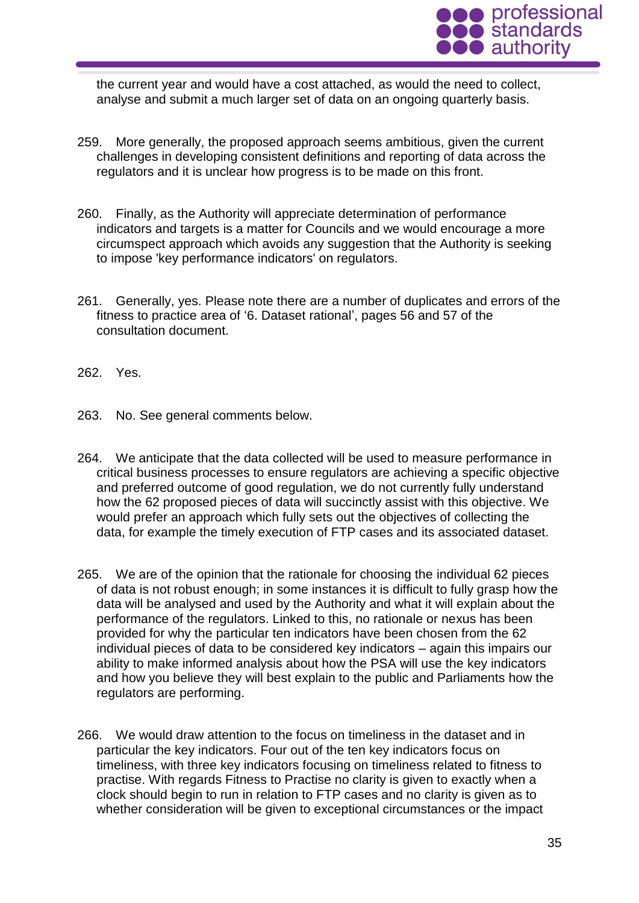

the current year and would have a cost attached, as would the need to collect, analyse and submit a much larger set of data on an ongoing quarterly basis.

- 259. More generally, the proposed approach seems ambitious, given the current challenges in developing consistent definitions and reporting of data across the regulators and it is unclear how progress is to be made on this front.
- 260. Finally, as the Authority will appreciate determination of performance indicators and targets is a matter for Councils and we would encourage a more circumspect approach which avoids any suggestion that the Authority is seeking to impose 'key performance indicators' on regulators.
- 261. Generally, yes. Please note there are a number of duplicates and errors of the fitness to practice area of '6. Dataset rational', pages 56 and 57 of the consultation document.
- 262. Yes.
- 263. No. See general comments below.
- 264. We anticipate that the data collected will be used to measure performance in critical business processes to ensure regulators are achieving a specific objective and preferred outcome of good regulation, we do not currently fully understand how the 62 proposed pieces of data will succinctly assist with this objective. We would prefer an approach which fully sets out the objectives of collecting the data, for example the timely execution of FTP cases and its associated dataset.
- 265. We are of the opinion that the rationale for choosing the individual 62 pieces of data is not robust enough; in some instances it is difficult to fully grasp how the data will be analysed and used by the Authority and what it will explain about the performance of the regulators. Linked to this, no rationale or nexus has been provided for why the particular ten indicators have been chosen from the 62 individual pieces of data to be considered key indicators – again this impairs our ability to make informed analysis about how the PSA will use the key indicators and how you believe they will best explain to the public and Parliaments how the regulators are performing.
- 266. We would draw attention to the focus on timeliness in the dataset and in particular the key indicators. Four out of the ten key indicators focus on timeliness, with three key indicators focusing on timeliness related to fitness to practise. With regards Fitness to Practise no clarity is given to exactly when a clock should begin to run in relation to FTP cases and no clarity is given as to whether consideration will be given to exceptional circumstances or the impact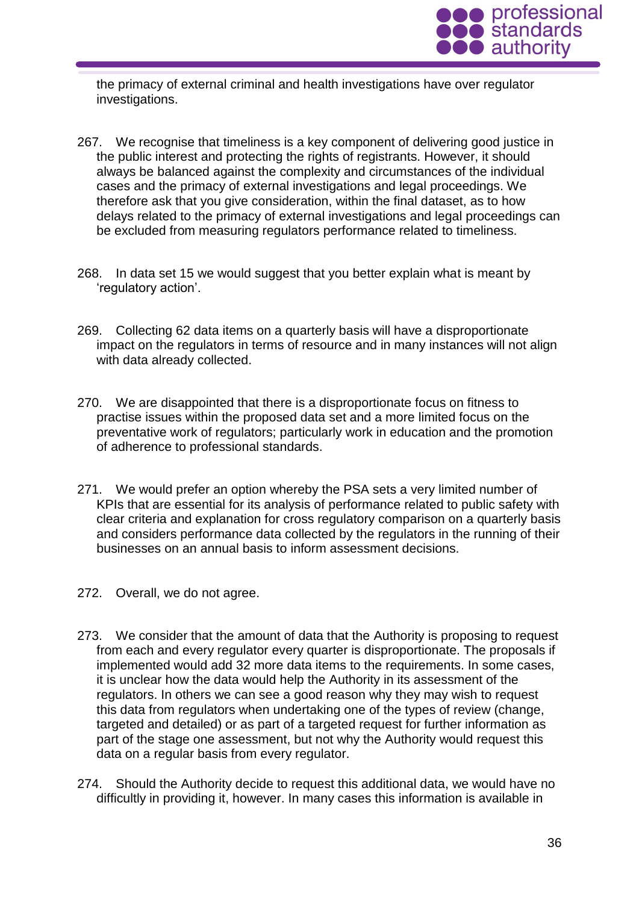

the primacy of external criminal and health investigations have over regulator investigations.

- 267. We recognise that timeliness is a key component of delivering good justice in the public interest and protecting the rights of registrants. However, it should always be balanced against the complexity and circumstances of the individual cases and the primacy of external investigations and legal proceedings. We therefore ask that you give consideration, within the final dataset, as to how delays related to the primacy of external investigations and legal proceedings can be excluded from measuring regulators performance related to timeliness.
- 268. In data set 15 we would suggest that you better explain what is meant by 'regulatory action'.
- 269. Collecting 62 data items on a quarterly basis will have a disproportionate impact on the regulators in terms of resource and in many instances will not align with data already collected.
- 270. We are disappointed that there is a disproportionate focus on fitness to practise issues within the proposed data set and a more limited focus on the preventative work of regulators; particularly work in education and the promotion of adherence to professional standards.
- 271. We would prefer an option whereby the PSA sets a very limited number of KPIs that are essential for its analysis of performance related to public safety with clear criteria and explanation for cross regulatory comparison on a quarterly basis and considers performance data collected by the regulators in the running of their businesses on an annual basis to inform assessment decisions.
- 272. Overall, we do not agree.
- 273. We consider that the amount of data that the Authority is proposing to request from each and every regulator every quarter is disproportionate. The proposals if implemented would add 32 more data items to the requirements. In some cases, it is unclear how the data would help the Authority in its assessment of the regulators. In others we can see a good reason why they may wish to request this data from regulators when undertaking one of the types of review (change, targeted and detailed) or as part of a targeted request for further information as part of the stage one assessment, but not why the Authority would request this data on a regular basis from every regulator.
- 274. Should the Authority decide to request this additional data, we would have no difficultly in providing it, however. In many cases this information is available in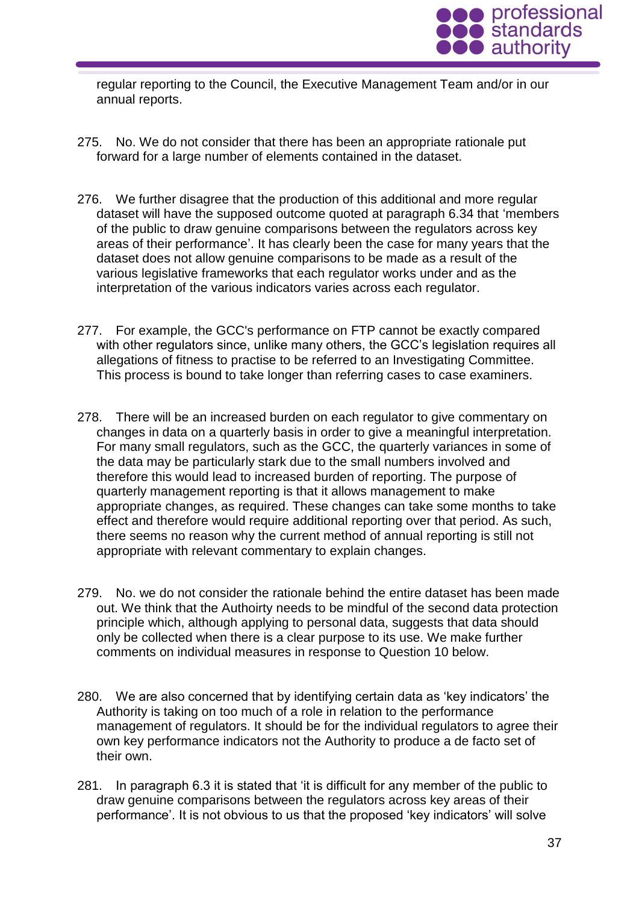

regular reporting to the Council, the Executive Management Team and/or in our annual reports.

- 275. No. We do not consider that there has been an appropriate rationale put forward for a large number of elements contained in the dataset.
- 276. We further disagree that the production of this additional and more regular dataset will have the supposed outcome quoted at paragraph 6.34 that 'members of the public to draw genuine comparisons between the regulators across key areas of their performance'. It has clearly been the case for many years that the dataset does not allow genuine comparisons to be made as a result of the various legislative frameworks that each regulator works under and as the interpretation of the various indicators varies across each regulator.
- 277. For example, the GCC's performance on FTP cannot be exactly compared with other regulators since, unlike many others, the GCC's legislation requires all allegations of fitness to practise to be referred to an Investigating Committee. This process is bound to take longer than referring cases to case examiners.
- 278. There will be an increased burden on each regulator to give commentary on changes in data on a quarterly basis in order to give a meaningful interpretation. For many small regulators, such as the GCC, the quarterly variances in some of the data may be particularly stark due to the small numbers involved and therefore this would lead to increased burden of reporting. The purpose of quarterly management reporting is that it allows management to make appropriate changes, as required. These changes can take some months to take effect and therefore would require additional reporting over that period. As such, there seems no reason why the current method of annual reporting is still not appropriate with relevant commentary to explain changes.
- 279. No. we do not consider the rationale behind the entire dataset has been made out. We think that the Authoirty needs to be mindful of the second data protection principle which, although applying to personal data, suggests that data should only be collected when there is a clear purpose to its use. We make further comments on individual measures in response to Question 10 below.
- 280. We are also concerned that by identifying certain data as 'key indicators' the Authority is taking on too much of a role in relation to the performance management of regulators. It should be for the individual regulators to agree their own key performance indicators not the Authority to produce a de facto set of their own.
- 281. In paragraph 6.3 it is stated that 'it is difficult for any member of the public to draw genuine comparisons between the regulators across key areas of their performance'. It is not obvious to us that the proposed 'key indicators' will solve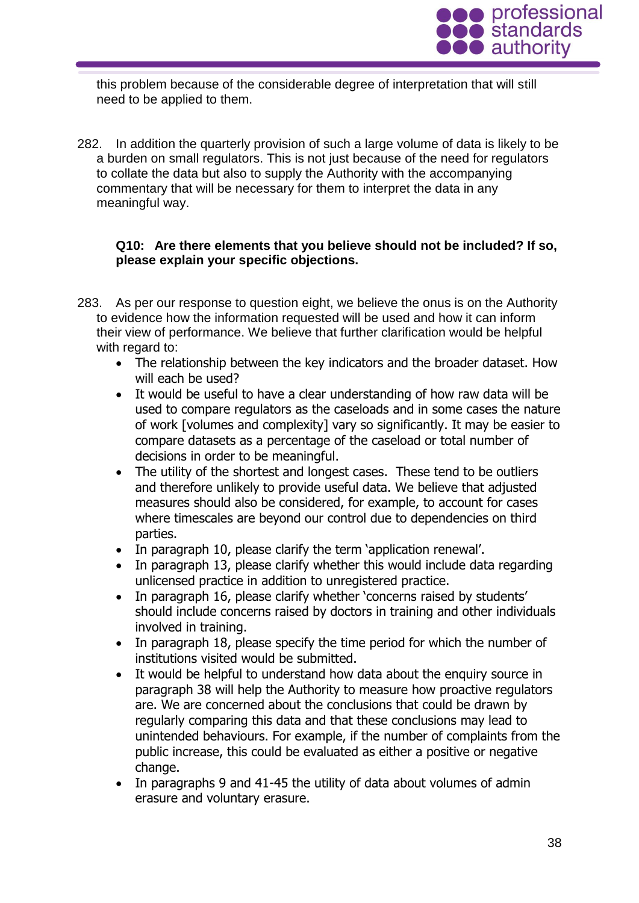

this problem because of the considerable degree of interpretation that will still need to be applied to them.

282. In addition the quarterly provision of such a large volume of data is likely to be a burden on small regulators. This is not just because of the need for regulators to collate the data but also to supply the Authority with the accompanying commentary that will be necessary for them to interpret the data in any meaningful way.

### **Q10: Are there elements that you believe should not be included? If so, please explain your specific objections.**

- 283. As per our response to question eight, we believe the onus is on the Authority to evidence how the information requested will be used and how it can inform their view of performance. We believe that further clarification would be helpful with regard to:
	- The relationship between the key indicators and the broader dataset. How will each be used?
	- It would be useful to have a clear understanding of how raw data will be used to compare regulators as the caseloads and in some cases the nature of work [volumes and complexity] vary so significantly. It may be easier to compare datasets as a percentage of the caseload or total number of decisions in order to be meaningful.
	- The utility of the shortest and longest cases. These tend to be outliers and therefore unlikely to provide useful data. We believe that adjusted measures should also be considered, for example, to account for cases where timescales are beyond our control due to dependencies on third parties.
	- In paragraph 10, please clarify the term 'application renewal'.
	- In paragraph 13, please clarify whether this would include data regarding unlicensed practice in addition to unregistered practice.
	- In paragraph 16, please clarify whether 'concerns raised by students' should include concerns raised by doctors in training and other individuals involved in training.
	- In paragraph 18, please specify the time period for which the number of institutions visited would be submitted.
	- It would be helpful to understand how data about the enquiry source in paragraph 38 will help the Authority to measure how proactive regulators are. We are concerned about the conclusions that could be drawn by regularly comparing this data and that these conclusions may lead to unintended behaviours. For example, if the number of complaints from the public increase, this could be evaluated as either a positive or negative change.
	- In paragraphs 9 and 41-45 the utility of data about volumes of admin erasure and voluntary erasure.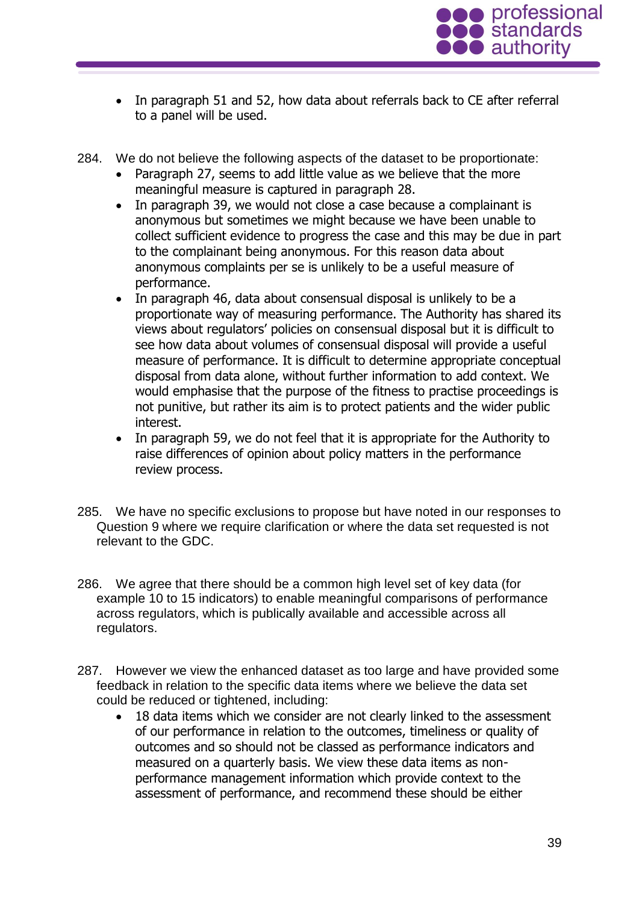

- In paragraph 51 and 52, how data about referrals back to CE after referral to a panel will be used.
- 284. We do not believe the following aspects of the dataset to be proportionate:
	- Paragraph 27, seems to add little value as we believe that the more meaningful measure is captured in paragraph 28.
	- In paragraph 39, we would not close a case because a complainant is anonymous but sometimes we might because we have been unable to collect sufficient evidence to progress the case and this may be due in part to the complainant being anonymous. For this reason data about anonymous complaints per se is unlikely to be a useful measure of performance.
	- In paragraph 46, data about consensual disposal is unlikely to be a proportionate way of measuring performance. The Authority has shared its views about regulators' policies on consensual disposal but it is difficult to see how data about volumes of consensual disposal will provide a useful measure of performance. It is difficult to determine appropriate conceptual disposal from data alone, without further information to add context. We would emphasise that the purpose of the fitness to practise proceedings is not punitive, but rather its aim is to protect patients and the wider public interest.
	- In paragraph 59, we do not feel that it is appropriate for the Authority to raise differences of opinion about policy matters in the performance review process.
- 285. We have no specific exclusions to propose but have noted in our responses to Question 9 where we require clarification or where the data set requested is not relevant to the GDC.
- 286. We agree that there should be a common high level set of key data (for example 10 to 15 indicators) to enable meaningful comparisons of performance across regulators, which is publically available and accessible across all regulators.
- 287. However we view the enhanced dataset as too large and have provided some feedback in relation to the specific data items where we believe the data set could be reduced or tightened, including:
	- 18 data items which we consider are not clearly linked to the assessment of our performance in relation to the outcomes, timeliness or quality of outcomes and so should not be classed as performance indicators and measured on a quarterly basis. We view these data items as nonperformance management information which provide context to the assessment of performance, and recommend these should be either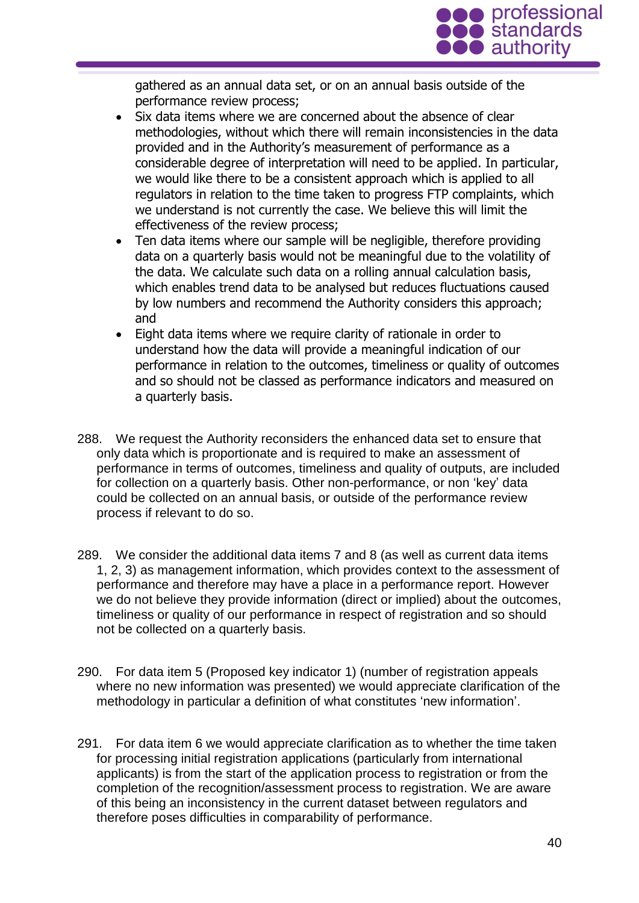

gathered as an annual data set, or on an annual basis outside of the performance review process;

- Six data items where we are concerned about the absence of clear methodologies, without which there will remain inconsistencies in the data provided and in the Authority's measurement of performance as a considerable degree of interpretation will need to be applied. In particular, we would like there to be a consistent approach which is applied to all regulators in relation to the time taken to progress FTP complaints, which we understand is not currently the case. We believe this will limit the effectiveness of the review process;
- Ten data items where our sample will be negligible, therefore providing data on a quarterly basis would not be meaningful due to the volatility of the data. We calculate such data on a rolling annual calculation basis, which enables trend data to be analysed but reduces fluctuations caused by low numbers and recommend the Authority considers this approach; and
- Eight data items where we require clarity of rationale in order to understand how the data will provide a meaningful indication of our performance in relation to the outcomes, timeliness or quality of outcomes and so should not be classed as performance indicators and measured on a quarterly basis.
- 288. We request the Authority reconsiders the enhanced data set to ensure that only data which is proportionate and is required to make an assessment of performance in terms of outcomes, timeliness and quality of outputs, are included for collection on a quarterly basis. Other non-performance, or non 'key' data could be collected on an annual basis, or outside of the performance review process if relevant to do so.
- 289. We consider the additional data items 7 and 8 (as well as current data items 1, 2, 3) as management information, which provides context to the assessment of performance and therefore may have a place in a performance report. However we do not believe they provide information (direct or implied) about the outcomes, timeliness or quality of our performance in respect of registration and so should not be collected on a quarterly basis.
- 290. For data item 5 (Proposed key indicator 1) (number of registration appeals where no new information was presented) we would appreciate clarification of the methodology in particular a definition of what constitutes 'new information'.
- 291. For data item 6 we would appreciate clarification as to whether the time taken for processing initial registration applications (particularly from international applicants) is from the start of the application process to registration or from the completion of the recognition/assessment process to registration. We are aware of this being an inconsistency in the current dataset between regulators and therefore poses difficulties in comparability of performance.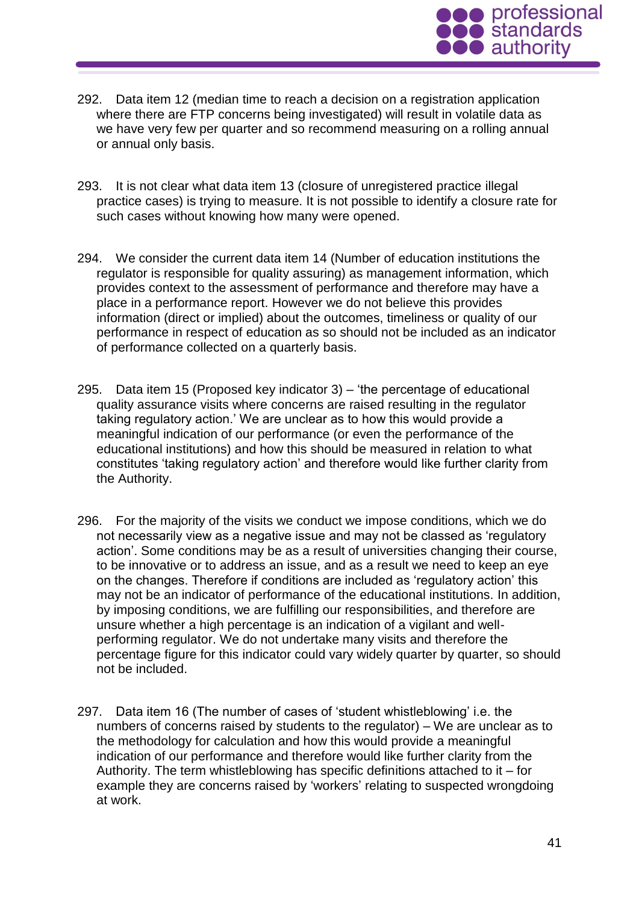

- 292. Data item 12 (median time to reach a decision on a registration application where there are FTP concerns being investigated) will result in volatile data as we have very few per quarter and so recommend measuring on a rolling annual or annual only basis.
- 293. It is not clear what data item 13 (closure of unregistered practice illegal practice cases) is trying to measure. It is not possible to identify a closure rate for such cases without knowing how many were opened.
- 294. We consider the current data item 14 (Number of education institutions the regulator is responsible for quality assuring) as management information, which provides context to the assessment of performance and therefore may have a place in a performance report. However we do not believe this provides information (direct or implied) about the outcomes, timeliness or quality of our performance in respect of education as so should not be included as an indicator of performance collected on a quarterly basis.
- 295. Data item 15 (Proposed key indicator 3) 'the percentage of educational quality assurance visits where concerns are raised resulting in the regulator taking regulatory action.' We are unclear as to how this would provide a meaningful indication of our performance (or even the performance of the educational institutions) and how this should be measured in relation to what constitutes 'taking regulatory action' and therefore would like further clarity from the Authority.
- 296. For the majority of the visits we conduct we impose conditions, which we do not necessarily view as a negative issue and may not be classed as 'regulatory action'. Some conditions may be as a result of universities changing their course, to be innovative or to address an issue, and as a result we need to keep an eye on the changes. Therefore if conditions are included as 'regulatory action' this may not be an indicator of performance of the educational institutions. In addition, by imposing conditions, we are fulfilling our responsibilities, and therefore are unsure whether a high percentage is an indication of a vigilant and wellperforming regulator. We do not undertake many visits and therefore the percentage figure for this indicator could vary widely quarter by quarter, so should not be included.
- 297. Data item 16 (The number of cases of 'student whistleblowing' i.e. the numbers of concerns raised by students to the regulator) – We are unclear as to the methodology for calculation and how this would provide a meaningful indication of our performance and therefore would like further clarity from the Authority. The term whistleblowing has specific definitions attached to it – for example they are concerns raised by 'workers' relating to suspected wrongdoing at work.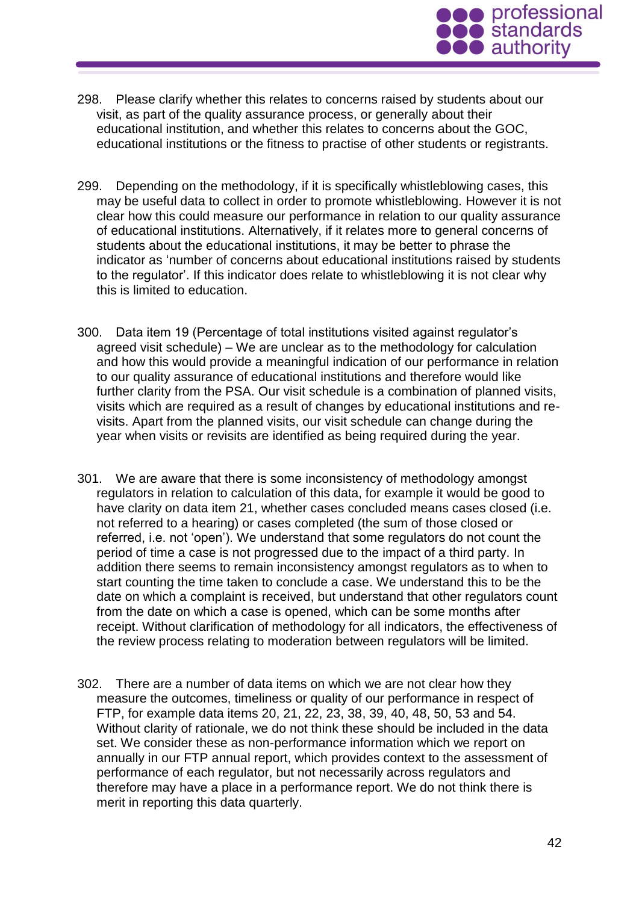

- 298. Please clarify whether this relates to concerns raised by students about our visit, as part of the quality assurance process, or generally about their educational institution, and whether this relates to concerns about the GOC, educational institutions or the fitness to practise of other students or registrants.
- 299. Depending on the methodology, if it is specifically whistleblowing cases, this may be useful data to collect in order to promote whistleblowing. However it is not clear how this could measure our performance in relation to our quality assurance of educational institutions. Alternatively, if it relates more to general concerns of students about the educational institutions, it may be better to phrase the indicator as 'number of concerns about educational institutions raised by students to the regulator'. If this indicator does relate to whistleblowing it is not clear why this is limited to education.
- 300. Data item 19 (Percentage of total institutions visited against regulator's agreed visit schedule) – We are unclear as to the methodology for calculation and how this would provide a meaningful indication of our performance in relation to our quality assurance of educational institutions and therefore would like further clarity from the PSA. Our visit schedule is a combination of planned visits, visits which are required as a result of changes by educational institutions and revisits. Apart from the planned visits, our visit schedule can change during the year when visits or revisits are identified as being required during the year.
- 301. We are aware that there is some inconsistency of methodology amongst regulators in relation to calculation of this data, for example it would be good to have clarity on data item 21, whether cases concluded means cases closed (i.e. not referred to a hearing) or cases completed (the sum of those closed or referred, i.e. not 'open'). We understand that some regulators do not count the period of time a case is not progressed due to the impact of a third party. In addition there seems to remain inconsistency amongst regulators as to when to start counting the time taken to conclude a case. We understand this to be the date on which a complaint is received, but understand that other regulators count from the date on which a case is opened, which can be some months after receipt. Without clarification of methodology for all indicators, the effectiveness of the review process relating to moderation between regulators will be limited.
- 302. There are a number of data items on which we are not clear how they measure the outcomes, timeliness or quality of our performance in respect of FTP, for example data items 20, 21, 22, 23, 38, 39, 40, 48, 50, 53 and 54. Without clarity of rationale, we do not think these should be included in the data set. We consider these as non-performance information which we report on annually in our FTP annual report, which provides context to the assessment of performance of each regulator, but not necessarily across regulators and therefore may have a place in a performance report. We do not think there is merit in reporting this data quarterly.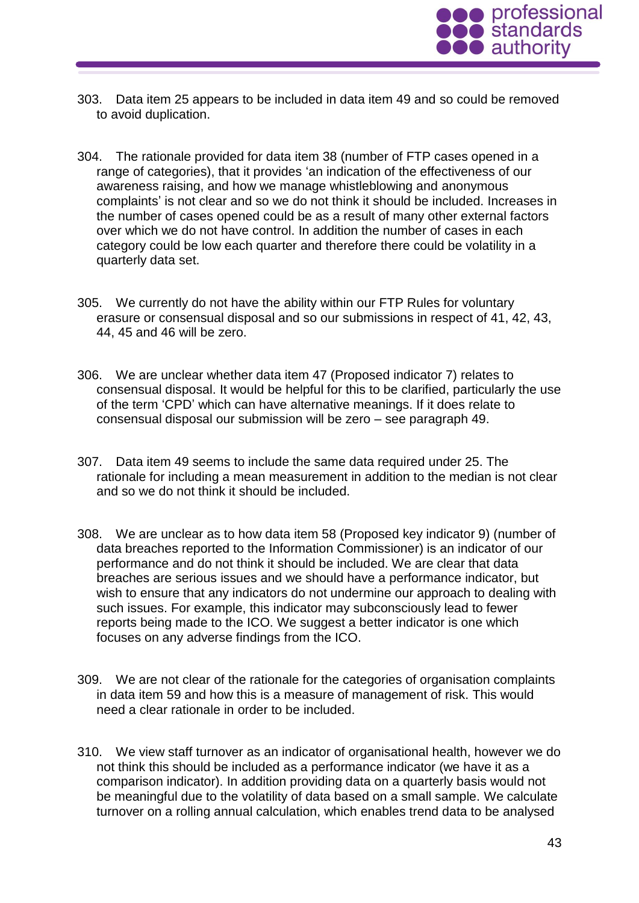

- 303. Data item 25 appears to be included in data item 49 and so could be removed to avoid duplication.
- 304. The rationale provided for data item 38 (number of FTP cases opened in a range of categories), that it provides 'an indication of the effectiveness of our awareness raising, and how we manage whistleblowing and anonymous complaints' is not clear and so we do not think it should be included. Increases in the number of cases opened could be as a result of many other external factors over which we do not have control. In addition the number of cases in each category could be low each quarter and therefore there could be volatility in a quarterly data set.
- 305. We currently do not have the ability within our FTP Rules for voluntary erasure or consensual disposal and so our submissions in respect of 41, 42, 43, 44, 45 and 46 will be zero.
- 306. We are unclear whether data item 47 (Proposed indicator 7) relates to consensual disposal. It would be helpful for this to be clarified, particularly the use of the term 'CPD' which can have alternative meanings. If it does relate to consensual disposal our submission will be zero – see paragraph 49.
- 307. Data item 49 seems to include the same data required under 25. The rationale for including a mean measurement in addition to the median is not clear and so we do not think it should be included.
- 308. We are unclear as to how data item 58 (Proposed key indicator 9) (number of data breaches reported to the Information Commissioner) is an indicator of our performance and do not think it should be included. We are clear that data breaches are serious issues and we should have a performance indicator, but wish to ensure that any indicators do not undermine our approach to dealing with such issues. For example, this indicator may subconsciously lead to fewer reports being made to the ICO. We suggest a better indicator is one which focuses on any adverse findings from the ICO.
- 309. We are not clear of the rationale for the categories of organisation complaints in data item 59 and how this is a measure of management of risk. This would need a clear rationale in order to be included.
- 310. We view staff turnover as an indicator of organisational health, however we do not think this should be included as a performance indicator (we have it as a comparison indicator). In addition providing data on a quarterly basis would not be meaningful due to the volatility of data based on a small sample. We calculate turnover on a rolling annual calculation, which enables trend data to be analysed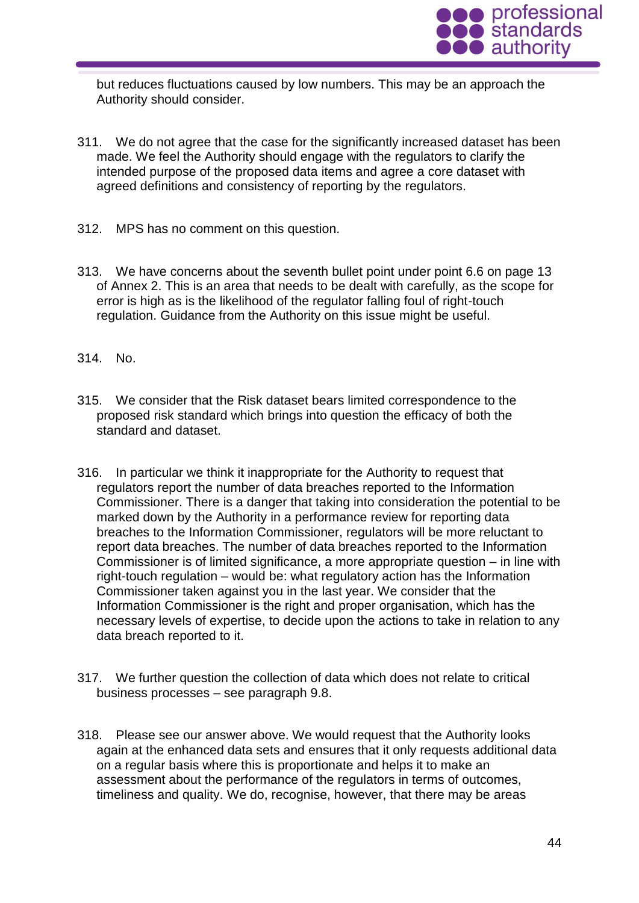

but reduces fluctuations caused by low numbers. This may be an approach the Authority should consider.

- 311. We do not agree that the case for the significantly increased dataset has been made. We feel the Authority should engage with the regulators to clarify the intended purpose of the proposed data items and agree a core dataset with agreed definitions and consistency of reporting by the regulators.
- 312. MPS has no comment on this question.
- 313. We have concerns about the seventh bullet point under point 6.6 on page 13 of Annex 2. This is an area that needs to be dealt with carefully, as the scope for error is high as is the likelihood of the regulator falling foul of right-touch regulation. Guidance from the Authority on this issue might be useful.
- 314. No.
- 315. We consider that the Risk dataset bears limited correspondence to the proposed risk standard which brings into question the efficacy of both the standard and dataset.
- 316. In particular we think it inappropriate for the Authority to request that regulators report the number of data breaches reported to the Information Commissioner. There is a danger that taking into consideration the potential to be marked down by the Authority in a performance review for reporting data breaches to the Information Commissioner, regulators will be more reluctant to report data breaches. The number of data breaches reported to the Information Commissioner is of limited significance, a more appropriate question – in line with right-touch regulation – would be: what regulatory action has the Information Commissioner taken against you in the last year. We consider that the Information Commissioner is the right and proper organisation, which has the necessary levels of expertise, to decide upon the actions to take in relation to any data breach reported to it.
- 317. We further question the collection of data which does not relate to critical business processes – see paragraph 9.8.
- 318. Please see our answer above. We would request that the Authority looks again at the enhanced data sets and ensures that it only requests additional data on a regular basis where this is proportionate and helps it to make an assessment about the performance of the regulators in terms of outcomes, timeliness and quality. We do, recognise, however, that there may be areas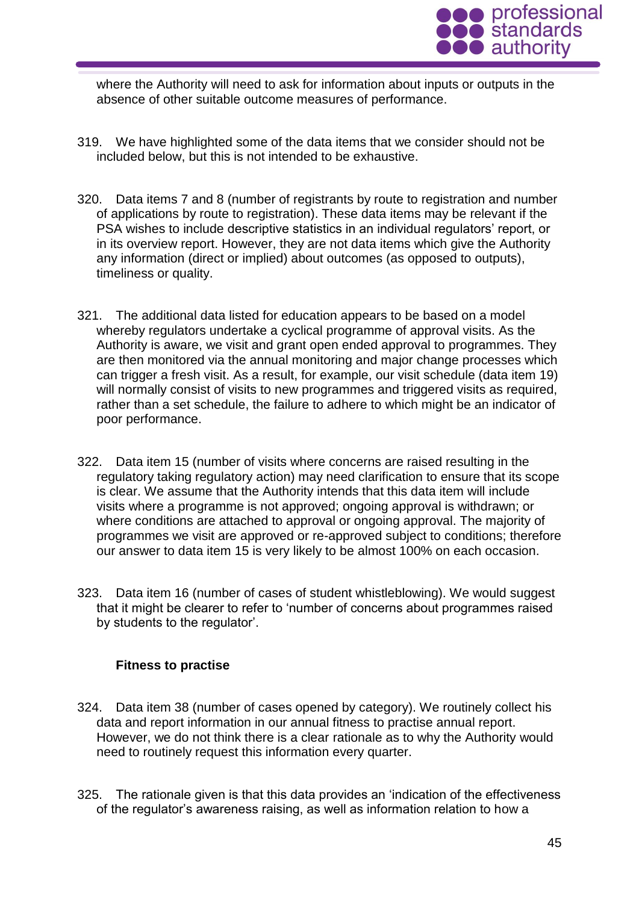

where the Authority will need to ask for information about inputs or outputs in the absence of other suitable outcome measures of performance.

- 319. We have highlighted some of the data items that we consider should not be included below, but this is not intended to be exhaustive.
- 320. Data items 7 and 8 (number of registrants by route to registration and number of applications by route to registration). These data items may be relevant if the PSA wishes to include descriptive statistics in an individual regulators' report, or in its overview report. However, they are not data items which give the Authority any information (direct or implied) about outcomes (as opposed to outputs), timeliness or quality.
- 321. The additional data listed for education appears to be based on a model whereby regulators undertake a cyclical programme of approval visits. As the Authority is aware, we visit and grant open ended approval to programmes. They are then monitored via the annual monitoring and major change processes which can trigger a fresh visit. As a result, for example, our visit schedule (data item 19) will normally consist of visits to new programmes and triggered visits as required, rather than a set schedule, the failure to adhere to which might be an indicator of poor performance.
- 322. Data item 15 (number of visits where concerns are raised resulting in the regulatory taking regulatory action) may need clarification to ensure that its scope is clear. We assume that the Authority intends that this data item will include visits where a programme is not approved; ongoing approval is withdrawn; or where conditions are attached to approval or ongoing approval. The majority of programmes we visit are approved or re-approved subject to conditions; therefore our answer to data item 15 is very likely to be almost 100% on each occasion.
- 323. Data item 16 (number of cases of student whistleblowing). We would suggest that it might be clearer to refer to 'number of concerns about programmes raised by students to the regulator'.

# **Fitness to practise**

- 324. Data item 38 (number of cases opened by category). We routinely collect his data and report information in our annual fitness to practise annual report. However, we do not think there is a clear rationale as to why the Authority would need to routinely request this information every quarter.
- 325. The rationale given is that this data provides an 'indication of the effectiveness of the regulator's awareness raising, as well as information relation to how a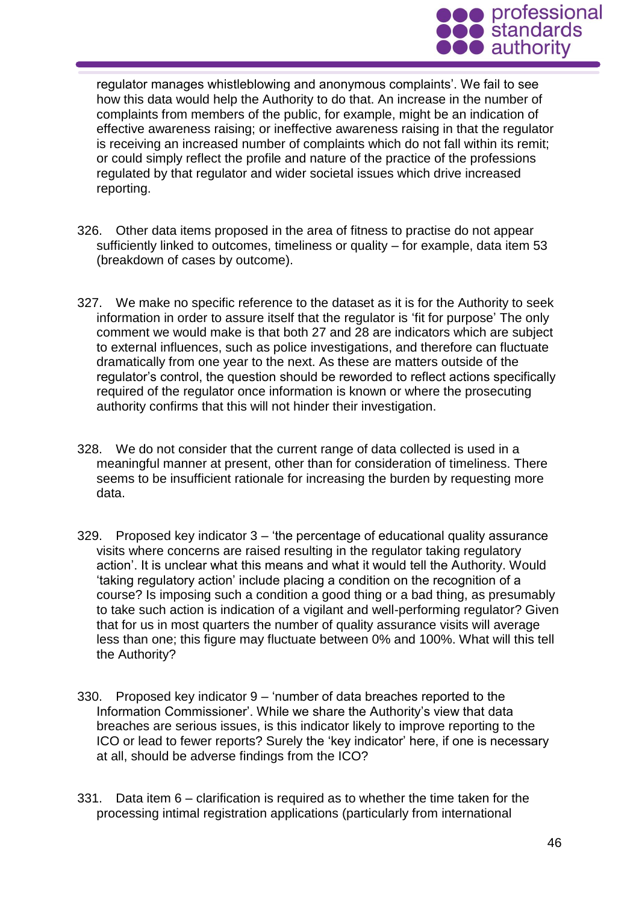

regulator manages whistleblowing and anonymous complaints'. We fail to see how this data would help the Authority to do that. An increase in the number of complaints from members of the public, for example, might be an indication of effective awareness raising; or ineffective awareness raising in that the regulator is receiving an increased number of complaints which do not fall within its remit; or could simply reflect the profile and nature of the practice of the professions regulated by that regulator and wider societal issues which drive increased reporting.

- 326. Other data items proposed in the area of fitness to practise do not appear sufficiently linked to outcomes, timeliness or quality – for example, data item 53 (breakdown of cases by outcome).
- 327. We make no specific reference to the dataset as it is for the Authority to seek information in order to assure itself that the regulator is 'fit for purpose' The only comment we would make is that both 27 and 28 are indicators which are subject to external influences, such as police investigations, and therefore can fluctuate dramatically from one year to the next. As these are matters outside of the regulator's control, the question should be reworded to reflect actions specifically required of the regulator once information is known or where the prosecuting authority confirms that this will not hinder their investigation.
- 328. We do not consider that the current range of data collected is used in a meaningful manner at present, other than for consideration of timeliness. There seems to be insufficient rationale for increasing the burden by requesting more data.
- 329. Proposed key indicator 3 'the percentage of educational quality assurance visits where concerns are raised resulting in the regulator taking regulatory action'. It is unclear what this means and what it would tell the Authority. Would 'taking regulatory action' include placing a condition on the recognition of a course? Is imposing such a condition a good thing or a bad thing, as presumably to take such action is indication of a vigilant and well-performing regulator? Given that for us in most quarters the number of quality assurance visits will average less than one; this figure may fluctuate between 0% and 100%. What will this tell the Authority?
- 330. Proposed key indicator 9 'number of data breaches reported to the Information Commissioner'. While we share the Authority's view that data breaches are serious issues, is this indicator likely to improve reporting to the ICO or lead to fewer reports? Surely the 'key indicator' here, if one is necessary at all, should be adverse findings from the ICO?
- 331. Data item 6 clarification is required as to whether the time taken for the processing intimal registration applications (particularly from international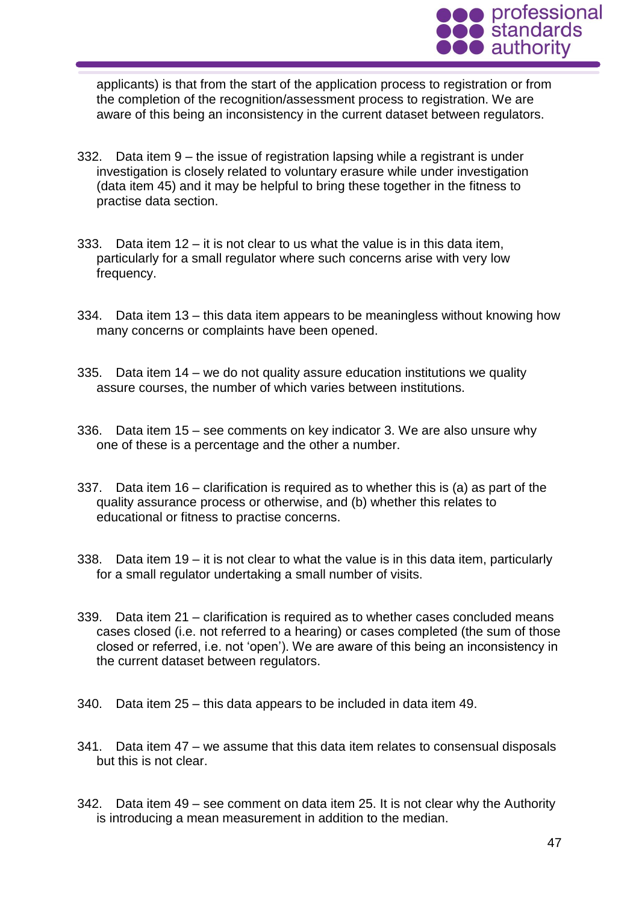

applicants) is that from the start of the application process to registration or from the completion of the recognition/assessment process to registration. We are aware of this being an inconsistency in the current dataset between regulators.

- 332. Data item 9 the issue of registration lapsing while a registrant is under investigation is closely related to voluntary erasure while under investigation (data item 45) and it may be helpful to bring these together in the fitness to practise data section.
- 333. Data item  $12 it$  is not clear to us what the value is in this data item. particularly for a small regulator where such concerns arise with very low frequency.
- 334. Data item 13 this data item appears to be meaningless without knowing how many concerns or complaints have been opened.
- 335. Data item 14 we do not quality assure education institutions we quality assure courses, the number of which varies between institutions.
- 336. Data item 15 see comments on key indicator 3. We are also unsure why one of these is a percentage and the other a number.
- 337. Data item 16 clarification is required as to whether this is (a) as part of the quality assurance process or otherwise, and (b) whether this relates to educational or fitness to practise concerns.
- 338. Data item 19 it is not clear to what the value is in this data item, particularly for a small regulator undertaking a small number of visits.
- 339. Data item 21 clarification is required as to whether cases concluded means cases closed (i.e. not referred to a hearing) or cases completed (the sum of those closed or referred, i.e. not 'open'). We are aware of this being an inconsistency in the current dataset between regulators.
- 340. Data item 25 this data appears to be included in data item 49.
- 341. Data item 47 we assume that this data item relates to consensual disposals but this is not clear.
- 342. Data item 49 see comment on data item 25. It is not clear why the Authority is introducing a mean measurement in addition to the median.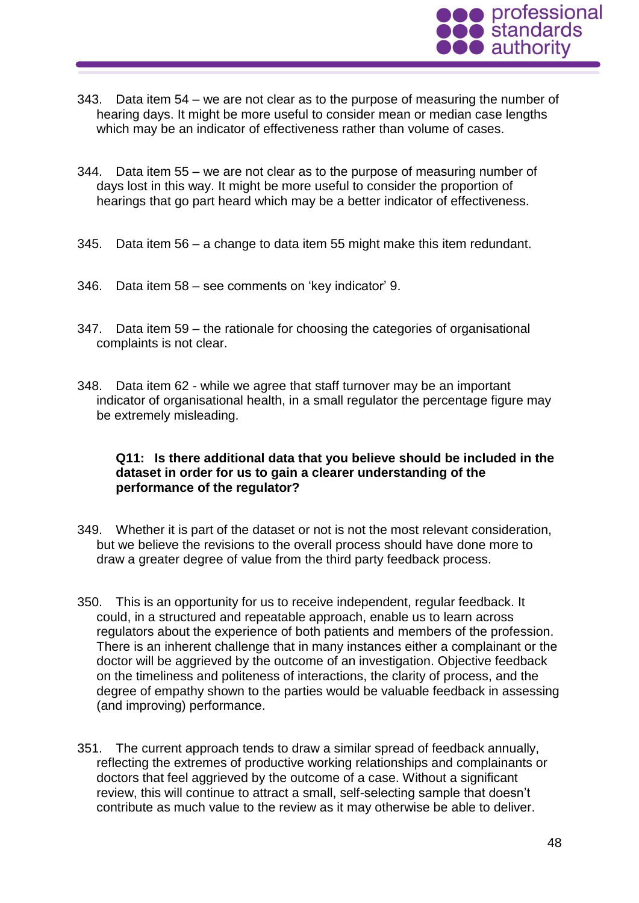

- 343. Data item 54 we are not clear as to the purpose of measuring the number of hearing days. It might be more useful to consider mean or median case lengths which may be an indicator of effectiveness rather than volume of cases.
- 344. Data item 55 we are not clear as to the purpose of measuring number of days lost in this way. It might be more useful to consider the proportion of hearings that go part heard which may be a better indicator of effectiveness.
- 345. Data item 56 a change to data item 55 might make this item redundant.
- 346. Data item 58 see comments on 'key indicator' 9.
- 347. Data item 59 the rationale for choosing the categories of organisational complaints is not clear.
- 348. Data item 62 while we agree that staff turnover may be an important indicator of organisational health, in a small regulator the percentage figure may be extremely misleading.

#### **Q11: Is there additional data that you believe should be included in the dataset in order for us to gain a clearer understanding of the performance of the regulator?**

- 349. Whether it is part of the dataset or not is not the most relevant consideration, but we believe the revisions to the overall process should have done more to draw a greater degree of value from the third party feedback process.
- 350. This is an opportunity for us to receive independent, regular feedback. It could, in a structured and repeatable approach, enable us to learn across regulators about the experience of both patients and members of the profession. There is an inherent challenge that in many instances either a complainant or the doctor will be aggrieved by the outcome of an investigation. Objective feedback on the timeliness and politeness of interactions, the clarity of process, and the degree of empathy shown to the parties would be valuable feedback in assessing (and improving) performance.
- 351. The current approach tends to draw a similar spread of feedback annually, reflecting the extremes of productive working relationships and complainants or doctors that feel aggrieved by the outcome of a case. Without a significant review, this will continue to attract a small, self-selecting sample that doesn't contribute as much value to the review as it may otherwise be able to deliver.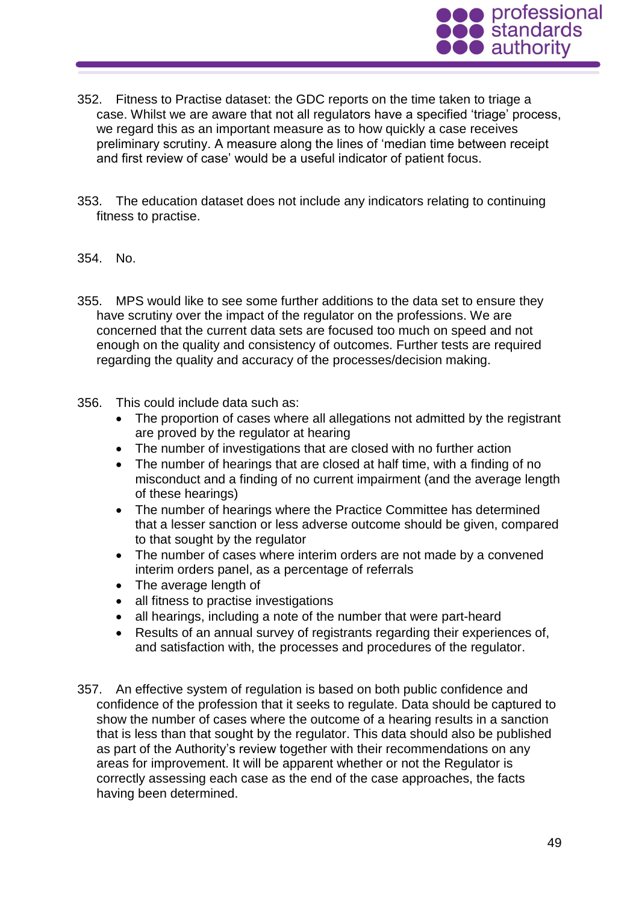

- 352. Fitness to Practise dataset: the GDC reports on the time taken to triage a case. Whilst we are aware that not all regulators have a specified 'triage' process, we regard this as an important measure as to how quickly a case receives preliminary scrutiny. A measure along the lines of 'median time between receipt and first review of case' would be a useful indicator of patient focus.
- 353. The education dataset does not include any indicators relating to continuing fitness to practise.

#### 354. No.

- 355. MPS would like to see some further additions to the data set to ensure they have scrutiny over the impact of the regulator on the professions. We are concerned that the current data sets are focused too much on speed and not enough on the quality and consistency of outcomes. Further tests are required regarding the quality and accuracy of the processes/decision making.
- 356. This could include data such as:
	- The proportion of cases where all allegations not admitted by the registrant are proved by the regulator at hearing
	- The number of investigations that are closed with no further action
	- The number of hearings that are closed at half time, with a finding of no misconduct and a finding of no current impairment (and the average length of these hearings)
	- The number of hearings where the Practice Committee has determined that a lesser sanction or less adverse outcome should be given, compared to that sought by the regulator
	- The number of cases where interim orders are not made by a convened interim orders panel, as a percentage of referrals
	- The average length of
	- all fitness to practise investigations
	- all hearings, including a note of the number that were part-heard
	- Results of an annual survey of registrants regarding their experiences of, and satisfaction with, the processes and procedures of the regulator.
- 357. An effective system of regulation is based on both public confidence and confidence of the profession that it seeks to regulate. Data should be captured to show the number of cases where the outcome of a hearing results in a sanction that is less than that sought by the regulator. This data should also be published as part of the Authority's review together with their recommendations on any areas for improvement. It will be apparent whether or not the Regulator is correctly assessing each case as the end of the case approaches, the facts having been determined.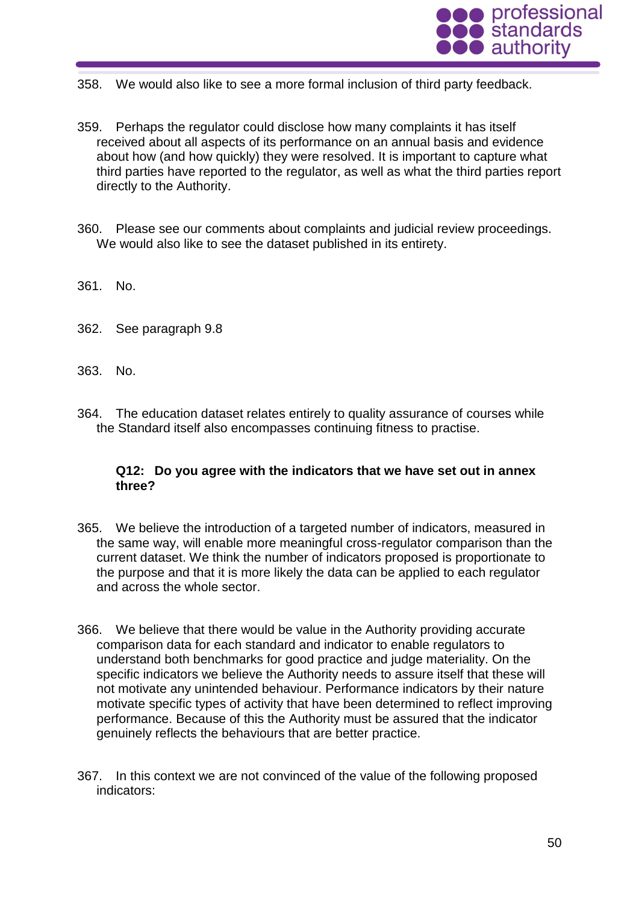

- 358. We would also like to see a more formal inclusion of third party feedback.
- 359. Perhaps the regulator could disclose how many complaints it has itself received about all aspects of its performance on an annual basis and evidence about how (and how quickly) they were resolved. It is important to capture what third parties have reported to the regulator, as well as what the third parties report directly to the Authority.
- 360. Please see our comments about complaints and judicial review proceedings. We would also like to see the dataset published in its entirety.
- 361. No.
- 362. See paragraph 9.8
- 363. No.
- 364. The education dataset relates entirely to quality assurance of courses while the Standard itself also encompasses continuing fitness to practise.

#### **Q12: Do you agree with the indicators that we have set out in annex three?**

- 365. We believe the introduction of a targeted number of indicators, measured in the same way, will enable more meaningful cross-regulator comparison than the current dataset. We think the number of indicators proposed is proportionate to the purpose and that it is more likely the data can be applied to each regulator and across the whole sector.
- 366. We believe that there would be value in the Authority providing accurate comparison data for each standard and indicator to enable regulators to understand both benchmarks for good practice and judge materiality. On the specific indicators we believe the Authority needs to assure itself that these will not motivate any unintended behaviour. Performance indicators by their nature motivate specific types of activity that have been determined to reflect improving performance. Because of this the Authority must be assured that the indicator genuinely reflects the behaviours that are better practice.
- 367. In this context we are not convinced of the value of the following proposed indicators: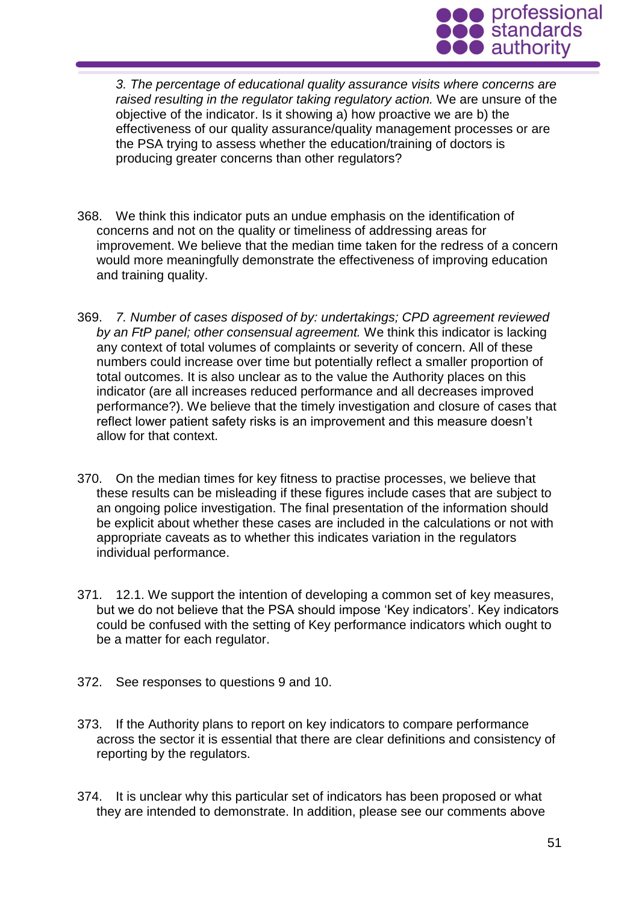

*3. The percentage of educational quality assurance visits where concerns are raised resulting in the regulator taking regulatory action.* We are unsure of the objective of the indicator. Is it showing a) how proactive we are b) the effectiveness of our quality assurance/quality management processes or are the PSA trying to assess whether the education/training of doctors is producing greater concerns than other regulators?

- 368. We think this indicator puts an undue emphasis on the identification of concerns and not on the quality or timeliness of addressing areas for improvement. We believe that the median time taken for the redress of a concern would more meaningfully demonstrate the effectiveness of improving education and training quality.
- 369. *7. Number of cases disposed of by: undertakings; CPD agreement reviewed by an FtP panel; other consensual agreement.* We think this indicator is lacking any context of total volumes of complaints or severity of concern. All of these numbers could increase over time but potentially reflect a smaller proportion of total outcomes. It is also unclear as to the value the Authority places on this indicator (are all increases reduced performance and all decreases improved performance?). We believe that the timely investigation and closure of cases that reflect lower patient safety risks is an improvement and this measure doesn't allow for that context.
- 370. On the median times for key fitness to practise processes, we believe that these results can be misleading if these figures include cases that are subject to an ongoing police investigation. The final presentation of the information should be explicit about whether these cases are included in the calculations or not with appropriate caveats as to whether this indicates variation in the regulators individual performance.
- 371. 12.1. We support the intention of developing a common set of key measures, but we do not believe that the PSA should impose 'Key indicators'. Key indicators could be confused with the setting of Key performance indicators which ought to be a matter for each regulator.
- 372. See responses to questions 9 and 10.
- 373. If the Authority plans to report on key indicators to compare performance across the sector it is essential that there are clear definitions and consistency of reporting by the regulators.
- 374. It is unclear why this particular set of indicators has been proposed or what they are intended to demonstrate. In addition, please see our comments above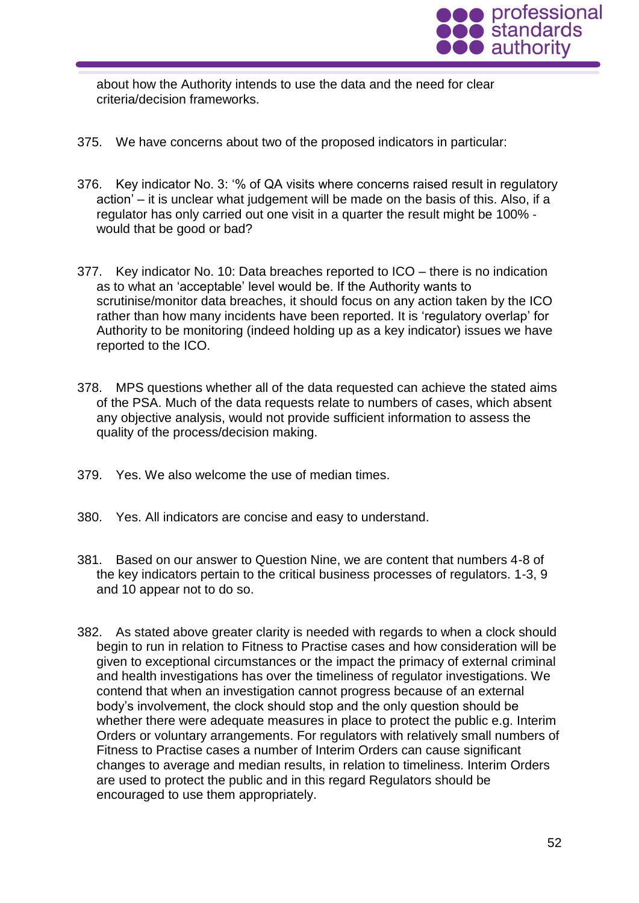

about how the Authority intends to use the data and the need for clear criteria/decision frameworks.

- 375. We have concerns about two of the proposed indicators in particular:
- 376. Key indicator No. 3: '% of QA visits where concerns raised result in regulatory action' – it is unclear what judgement will be made on the basis of this. Also, if a regulator has only carried out one visit in a quarter the result might be 100% ‐ would that be good or bad?
- 377. Key indicator No. 10: Data breaches reported to ICO there is no indication as to what an 'acceptable' level would be. If the Authority wants to scrutinise/monitor data breaches, it should focus on any action taken by the ICO rather than how many incidents have been reported. It is 'regulatory overlap' for Authority to be monitoring (indeed holding up as a key indicator) issues we have reported to the ICO.
- 378. MPS questions whether all of the data requested can achieve the stated aims of the PSA. Much of the data requests relate to numbers of cases, which absent any objective analysis, would not provide sufficient information to assess the quality of the process/decision making.
- 379. Yes. We also welcome the use of median times.
- 380. Yes. All indicators are concise and easy to understand.
- 381. Based on our answer to Question Nine, we are content that numbers 4-8 of the key indicators pertain to the critical business processes of regulators. 1-3, 9 and 10 appear not to do so.
- 382. As stated above greater clarity is needed with regards to when a clock should begin to run in relation to Fitness to Practise cases and how consideration will be given to exceptional circumstances or the impact the primacy of external criminal and health investigations has over the timeliness of regulator investigations. We contend that when an investigation cannot progress because of an external body's involvement, the clock should stop and the only question should be whether there were adequate measures in place to protect the public e.g. Interim Orders or voluntary arrangements. For regulators with relatively small numbers of Fitness to Practise cases a number of Interim Orders can cause significant changes to average and median results, in relation to timeliness. Interim Orders are used to protect the public and in this regard Regulators should be encouraged to use them appropriately.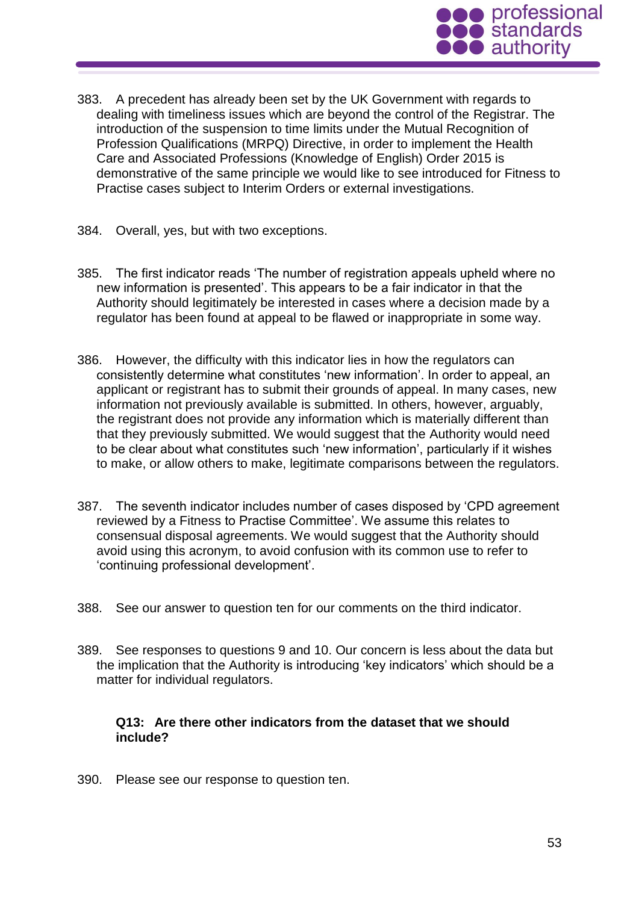

- 383. A precedent has already been set by the UK Government with regards to dealing with timeliness issues which are beyond the control of the Registrar. The introduction of the suspension to time limits under the Mutual Recognition of Profession Qualifications (MRPQ) Directive, in order to implement the Health Care and Associated Professions (Knowledge of English) Order 2015 is demonstrative of the same principle we would like to see introduced for Fitness to Practise cases subject to Interim Orders or external investigations.
- 384. Overall, yes, but with two exceptions.
- 385. The first indicator reads 'The number of registration appeals upheld where no new information is presented'. This appears to be a fair indicator in that the Authority should legitimately be interested in cases where a decision made by a regulator has been found at appeal to be flawed or inappropriate in some way.
- 386. However, the difficulty with this indicator lies in how the regulators can consistently determine what constitutes 'new information'. In order to appeal, an applicant or registrant has to submit their grounds of appeal. In many cases, new information not previously available is submitted. In others, however, arguably, the registrant does not provide any information which is materially different than that they previously submitted. We would suggest that the Authority would need to be clear about what constitutes such 'new information', particularly if it wishes to make, or allow others to make, legitimate comparisons between the regulators.
- 387. The seventh indicator includes number of cases disposed by 'CPD agreement reviewed by a Fitness to Practise Committee'. We assume this relates to consensual disposal agreements. We would suggest that the Authority should avoid using this acronym, to avoid confusion with its common use to refer to 'continuing professional development'.
- 388. See our answer to question ten for our comments on the third indicator.
- 389. See responses to questions 9 and 10. Our concern is less about the data but the implication that the Authority is introducing 'key indicators' which should be a matter for individual regulators.

#### **Q13: Are there other indicators from the dataset that we should include?**

390. Please see our response to question ten.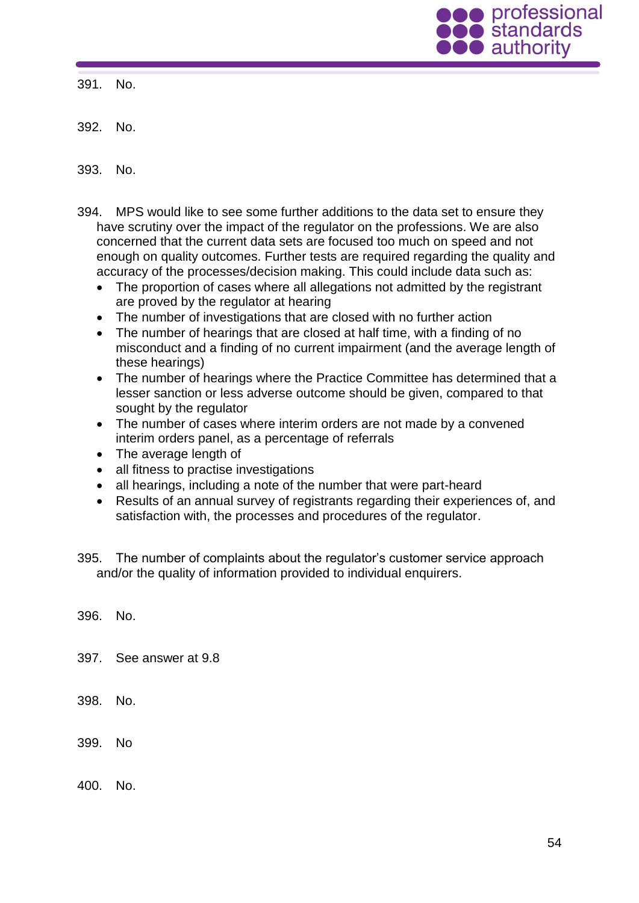

391. No.

392. No.

393. No.

- 394. MPS would like to see some further additions to the data set to ensure they have scrutiny over the impact of the regulator on the professions. We are also concerned that the current data sets are focused too much on speed and not enough on quality outcomes. Further tests are required regarding the quality and accuracy of the processes/decision making. This could include data such as:
	- The proportion of cases where all allegations not admitted by the registrant are proved by the regulator at hearing
	- The number of investigations that are closed with no further action
	- The number of hearings that are closed at half time, with a finding of no misconduct and a finding of no current impairment (and the average length of these hearings)
	- The number of hearings where the Practice Committee has determined that a lesser sanction or less adverse outcome should be given, compared to that sought by the regulator
	- The number of cases where interim orders are not made by a convened interim orders panel, as a percentage of referrals
	- The average length of
	- all fitness to practise investigations
	- all hearings, including a note of the number that were part-heard
	- Results of an annual survey of registrants regarding their experiences of, and satisfaction with, the processes and procedures of the regulator.
- 395. The number of complaints about the regulator's customer service approach and/or the quality of information provided to individual enquirers.

396. No.

397. See answer at 9.8

398. No.

399. No

400. No.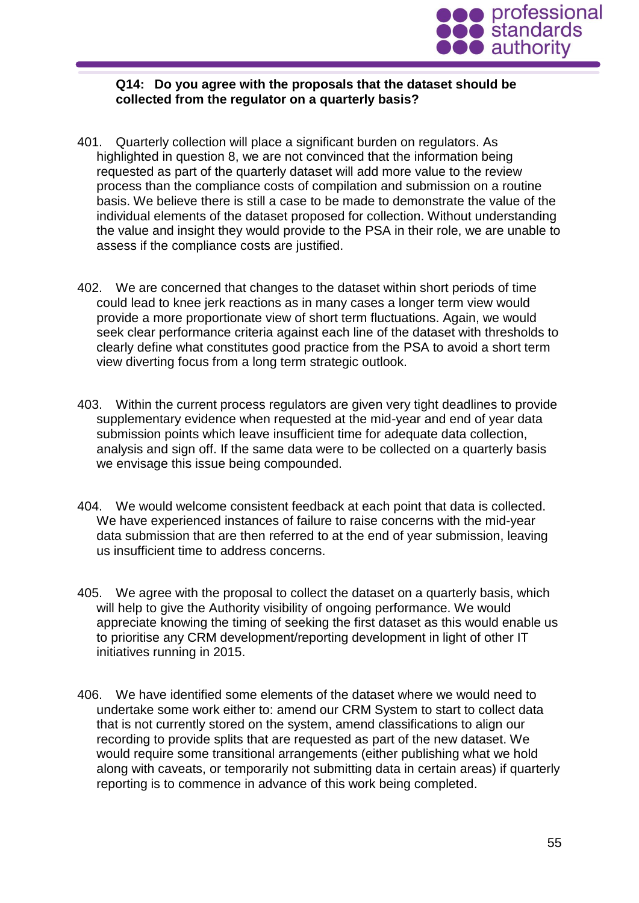

#### **Q14: Do you agree with the proposals that the dataset should be collected from the regulator on a quarterly basis?**

- 401. Quarterly collection will place a significant burden on regulators. As highlighted in question 8, we are not convinced that the information being requested as part of the quarterly dataset will add more value to the review process than the compliance costs of compilation and submission on a routine basis. We believe there is still a case to be made to demonstrate the value of the individual elements of the dataset proposed for collection. Without understanding the value and insight they would provide to the PSA in their role, we are unable to assess if the compliance costs are justified.
- 402. We are concerned that changes to the dataset within short periods of time could lead to knee jerk reactions as in many cases a longer term view would provide a more proportionate view of short term fluctuations. Again, we would seek clear performance criteria against each line of the dataset with thresholds to clearly define what constitutes good practice from the PSA to avoid a short term view diverting focus from a long term strategic outlook.
- 403. Within the current process regulators are given very tight deadlines to provide supplementary evidence when requested at the mid-year and end of year data submission points which leave insufficient time for adequate data collection, analysis and sign off. If the same data were to be collected on a quarterly basis we envisage this issue being compounded.
- 404. We would welcome consistent feedback at each point that data is collected. We have experienced instances of failure to raise concerns with the mid-year data submission that are then referred to at the end of year submission, leaving us insufficient time to address concerns.
- 405. We agree with the proposal to collect the dataset on a quarterly basis, which will help to give the Authority visibility of ongoing performance. We would appreciate knowing the timing of seeking the first dataset as this would enable us to prioritise any CRM development/reporting development in light of other IT initiatives running in 2015.
- 406. We have identified some elements of the dataset where we would need to undertake some work either to: amend our CRM System to start to collect data that is not currently stored on the system, amend classifications to align our recording to provide splits that are requested as part of the new dataset. We would require some transitional arrangements (either publishing what we hold along with caveats, or temporarily not submitting data in certain areas) if quarterly reporting is to commence in advance of this work being completed.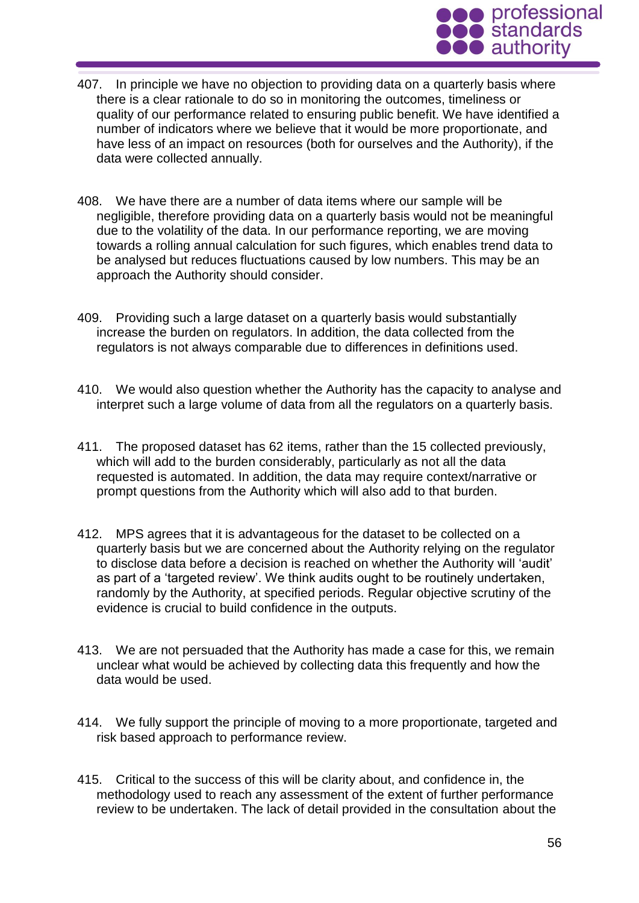

- 407. In principle we have no objection to providing data on a quarterly basis where there is a clear rationale to do so in monitoring the outcomes, timeliness or quality of our performance related to ensuring public benefit. We have identified a number of indicators where we believe that it would be more proportionate, and have less of an impact on resources (both for ourselves and the Authority), if the data were collected annually.
- 408. We have there are a number of data items where our sample will be negligible, therefore providing data on a quarterly basis would not be meaningful due to the volatility of the data. In our performance reporting, we are moving towards a rolling annual calculation for such figures, which enables trend data to be analysed but reduces fluctuations caused by low numbers. This may be an approach the Authority should consider.
- 409. Providing such a large dataset on a quarterly basis would substantially increase the burden on regulators. In addition, the data collected from the regulators is not always comparable due to differences in definitions used.
- 410. We would also question whether the Authority has the capacity to analyse and interpret such a large volume of data from all the regulators on a quarterly basis.
- 411. The proposed dataset has 62 items, rather than the 15 collected previously, which will add to the burden considerably, particularly as not all the data requested is automated. In addition, the data may require context/narrative or prompt questions from the Authority which will also add to that burden.
- 412. MPS agrees that it is advantageous for the dataset to be collected on a quarterly basis but we are concerned about the Authority relying on the regulator to disclose data before a decision is reached on whether the Authority will 'audit' as part of a 'targeted review'. We think audits ought to be routinely undertaken, randomly by the Authority, at specified periods. Regular objective scrutiny of the evidence is crucial to build confidence in the outputs.
- 413. We are not persuaded that the Authority has made a case for this, we remain unclear what would be achieved by collecting data this frequently and how the data would be used.
- 414. We fully support the principle of moving to a more proportionate, targeted and risk based approach to performance review.
- 415. Critical to the success of this will be clarity about, and confidence in, the methodology used to reach any assessment of the extent of further performance review to be undertaken. The lack of detail provided in the consultation about the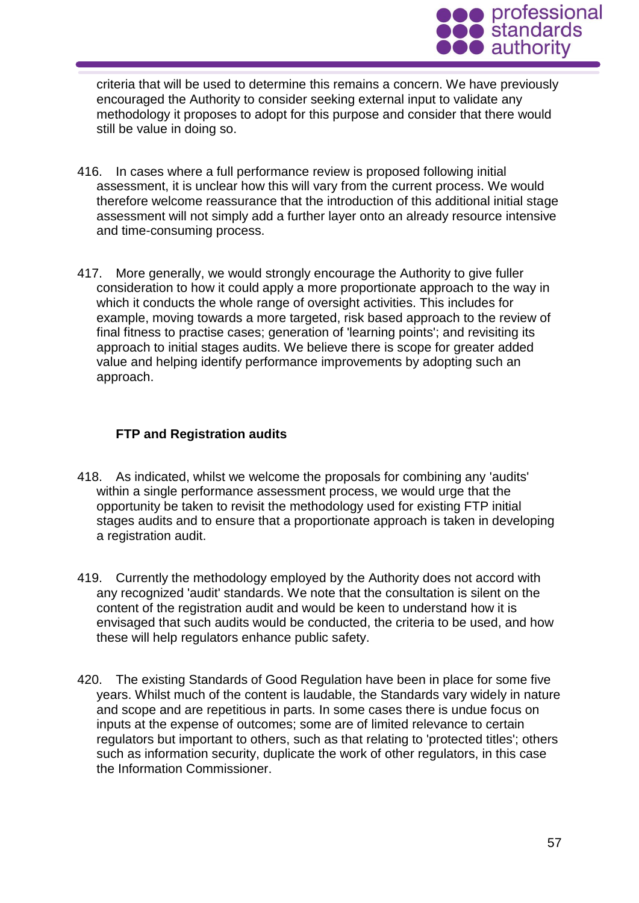

criteria that will be used to determine this remains a concern. We have previously encouraged the Authority to consider seeking external input to validate any methodology it proposes to adopt for this purpose and consider that there would still be value in doing so.

- 416. In cases where a full performance review is proposed following initial assessment, it is unclear how this will vary from the current process. We would therefore welcome reassurance that the introduction of this additional initial stage assessment will not simply add a further layer onto an already resource intensive and time-consuming process.
- 417. More generally, we would strongly encourage the Authority to give fuller consideration to how it could apply a more proportionate approach to the way in which it conducts the whole range of oversight activities. This includes for example, moving towards a more targeted, risk based approach to the review of final fitness to practise cases; generation of 'learning points'; and revisiting its approach to initial stages audits. We believe there is scope for greater added value and helping identify performance improvements by adopting such an approach.

# **FTP and Registration audits**

- 418. As indicated, whilst we welcome the proposals for combining any 'audits' within a single performance assessment process, we would urge that the opportunity be taken to revisit the methodology used for existing FTP initial stages audits and to ensure that a proportionate approach is taken in developing a registration audit.
- 419. Currently the methodology employed by the Authority does not accord with any recognized 'audit' standards. We note that the consultation is silent on the content of the registration audit and would be keen to understand how it is envisaged that such audits would be conducted, the criteria to be used, and how these will help regulators enhance public safety.
- 420. The existing Standards of Good Regulation have been in place for some five years. Whilst much of the content is laudable, the Standards vary widely in nature and scope and are repetitious in parts. In some cases there is undue focus on inputs at the expense of outcomes; some are of limited relevance to certain regulators but important to others, such as that relating to 'protected titles'; others such as information security, duplicate the work of other regulators, in this case the Information Commissioner.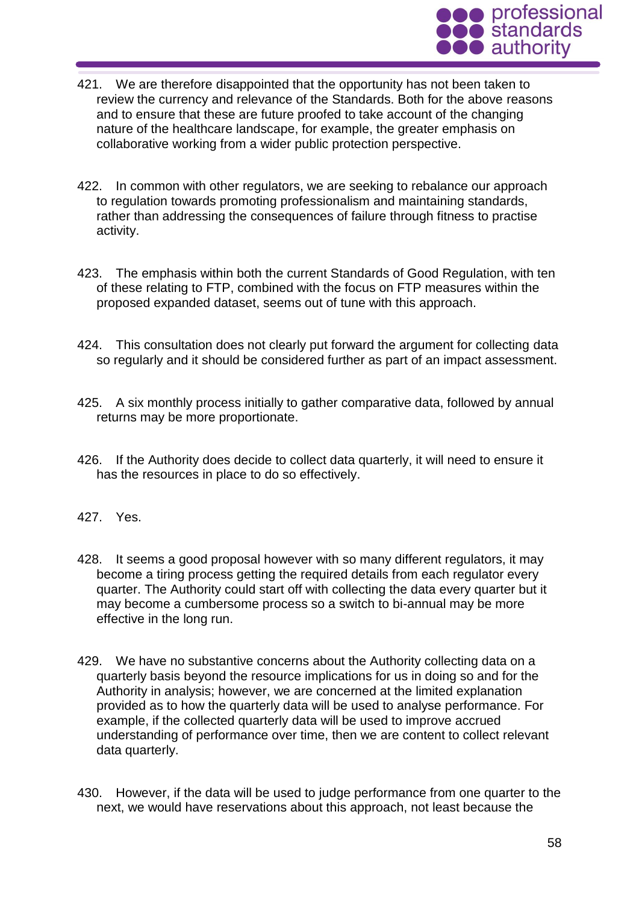

- 421. We are therefore disappointed that the opportunity has not been taken to review the currency and relevance of the Standards. Both for the above reasons and to ensure that these are future proofed to take account of the changing nature of the healthcare landscape, for example, the greater emphasis on collaborative working from a wider public protection perspective.
- 422. In common with other regulators, we are seeking to rebalance our approach to regulation towards promoting professionalism and maintaining standards, rather than addressing the consequences of failure through fitness to practise activity.
- 423. The emphasis within both the current Standards of Good Regulation, with ten of these relating to FTP, combined with the focus on FTP measures within the proposed expanded dataset, seems out of tune with this approach.
- 424. This consultation does not clearly put forward the argument for collecting data so regularly and it should be considered further as part of an impact assessment.
- 425. A six monthly process initially to gather comparative data, followed by annual returns may be more proportionate.
- 426. If the Authority does decide to collect data quarterly, it will need to ensure it has the resources in place to do so effectively.
- 427. Yes.
- 428. It seems a good proposal however with so many different regulators, it may become a tiring process getting the required details from each regulator every quarter. The Authority could start off with collecting the data every quarter but it may become a cumbersome process so a switch to bi-annual may be more effective in the long run.
- 429. We have no substantive concerns about the Authority collecting data on a quarterly basis beyond the resource implications for us in doing so and for the Authority in analysis; however, we are concerned at the limited explanation provided as to how the quarterly data will be used to analyse performance. For example, if the collected quarterly data will be used to improve accrued understanding of performance over time, then we are content to collect relevant data quarterly.
- 430. However, if the data will be used to judge performance from one quarter to the next, we would have reservations about this approach, not least because the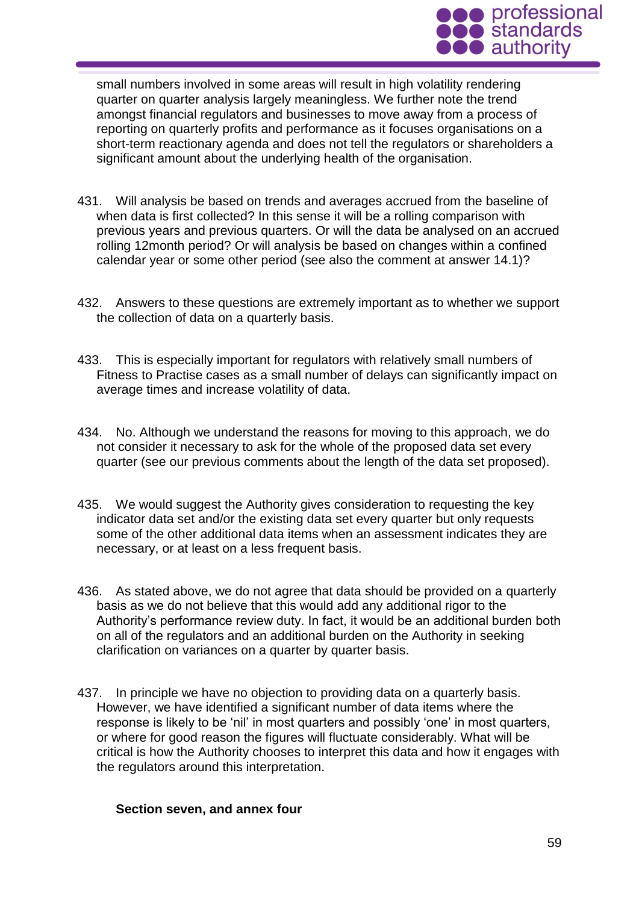

small numbers involved in some areas will result in high volatility rendering quarter on quarter analysis largely meaningless. We further note the trend amongst financial regulators and businesses to move away from a process of reporting on quarterly profits and performance as it focuses organisations on a short-term reactionary agenda and does not tell the regulators or shareholders a significant amount about the underlying health of the organisation.

- 431. Will analysis be based on trends and averages accrued from the baseline of when data is first collected? In this sense it will be a rolling comparison with previous years and previous quarters. Or will the data be analysed on an accrued rolling 12month period? Or will analysis be based on changes within a confined calendar year or some other period (see also the comment at answer 14.1)?
- 432. Answers to these questions are extremely important as to whether we support the collection of data on a quarterly basis.
- 433. This is especially important for regulators with relatively small numbers of Fitness to Practise cases as a small number of delays can significantly impact on average times and increase volatility of data.
- 434. No. Although we understand the reasons for moving to this approach, we do not consider it necessary to ask for the whole of the proposed data set every quarter (see our previous comments about the length of the data set proposed).
- 435. We would suggest the Authority gives consideration to requesting the key indicator data set and/or the existing data set every quarter but only requests some of the other additional data items when an assessment indicates they are necessary, or at least on a less frequent basis.
- 436. As stated above, we do not agree that data should be provided on a quarterly basis as we do not believe that this would add any additional rigor to the Authority's performance review duty. In fact, it would be an additional burden both on all of the regulators and an additional burden on the Authority in seeking clarification on variances on a quarter by quarter basis.
- 437. In principle we have no objection to providing data on a quarterly basis. However, we have identified a significant number of data items where the response is likely to be 'nil' in most quarters and possibly 'one' in most quarters, or where for good reason the figures will fluctuate considerably. What will be critical is how the Authority chooses to interpret this data and how it engages with the regulators around this interpretation.

#### **Section seven, and annex four**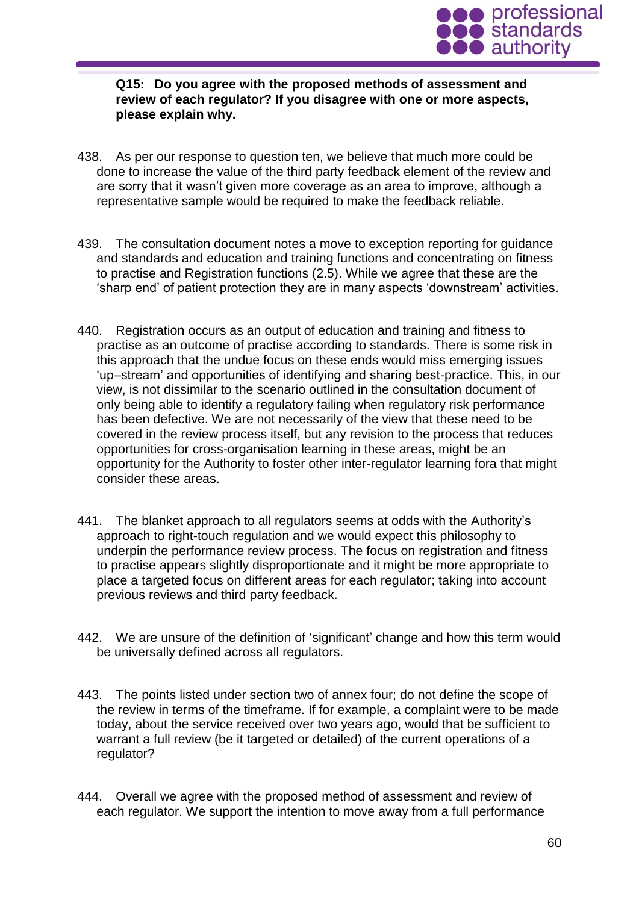

### **Q15: Do you agree with the proposed methods of assessment and review of each regulator? If you disagree with one or more aspects, please explain why.**

- 438. As per our response to question ten, we believe that much more could be done to increase the value of the third party feedback element of the review and are sorry that it wasn't given more coverage as an area to improve, although a representative sample would be required to make the feedback reliable.
- 439. The consultation document notes a move to exception reporting for guidance and standards and education and training functions and concentrating on fitness to practise and Registration functions (2.5). While we agree that these are the 'sharp end' of patient protection they are in many aspects 'downstream' activities.
- 440. Registration occurs as an output of education and training and fitness to practise as an outcome of practise according to standards. There is some risk in this approach that the undue focus on these ends would miss emerging issues 'up–stream' and opportunities of identifying and sharing best-practice. This, in our view, is not dissimilar to the scenario outlined in the consultation document of only being able to identify a regulatory failing when regulatory risk performance has been defective. We are not necessarily of the view that these need to be covered in the review process itself, but any revision to the process that reduces opportunities for cross-organisation learning in these areas, might be an opportunity for the Authority to foster other inter-regulator learning fora that might consider these areas.
- 441. The blanket approach to all regulators seems at odds with the Authority's approach to right-touch regulation and we would expect this philosophy to underpin the performance review process. The focus on registration and fitness to practise appears slightly disproportionate and it might be more appropriate to place a targeted focus on different areas for each regulator; taking into account previous reviews and third party feedback.
- 442. We are unsure of the definition of 'significant' change and how this term would be universally defined across all regulators.
- 443. The points listed under section two of annex four; do not define the scope of the review in terms of the timeframe. If for example, a complaint were to be made today, about the service received over two years ago, would that be sufficient to warrant a full review (be it targeted or detailed) of the current operations of a regulator?
- 444. Overall we agree with the proposed method of assessment and review of each regulator. We support the intention to move away from a full performance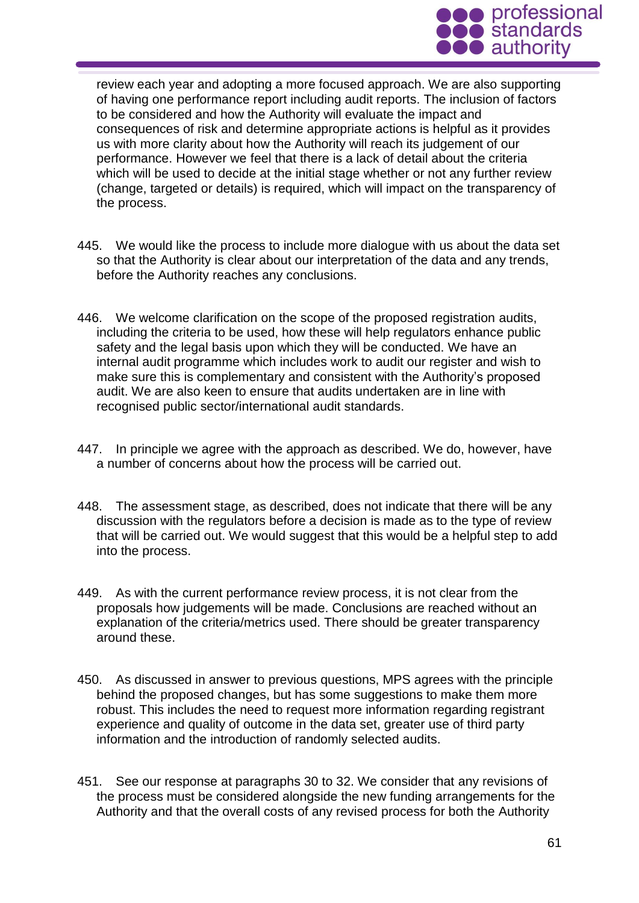

review each year and adopting a more focused approach. We are also supporting of having one performance report including audit reports. The inclusion of factors to be considered and how the Authority will evaluate the impact and consequences of risk and determine appropriate actions is helpful as it provides us with more clarity about how the Authority will reach its judgement of our performance. However we feel that there is a lack of detail about the criteria which will be used to decide at the initial stage whether or not any further review (change, targeted or details) is required, which will impact on the transparency of the process.

- 445. We would like the process to include more dialogue with us about the data set so that the Authority is clear about our interpretation of the data and any trends, before the Authority reaches any conclusions.
- 446. We welcome clarification on the scope of the proposed registration audits, including the criteria to be used, how these will help regulators enhance public safety and the legal basis upon which they will be conducted. We have an internal audit programme which includes work to audit our register and wish to make sure this is complementary and consistent with the Authority's proposed audit. We are also keen to ensure that audits undertaken are in line with recognised public sector/international audit standards.
- 447. In principle we agree with the approach as described. We do, however, have a number of concerns about how the process will be carried out.
- 448. The assessment stage, as described, does not indicate that there will be any discussion with the regulators before a decision is made as to the type of review that will be carried out. We would suggest that this would be a helpful step to add into the process.
- 449. As with the current performance review process, it is not clear from the proposals how judgements will be made. Conclusions are reached without an explanation of the criteria/metrics used. There should be greater transparency around these.
- 450. As discussed in answer to previous questions, MPS agrees with the principle behind the proposed changes, but has some suggestions to make them more robust. This includes the need to request more information regarding registrant experience and quality of outcome in the data set, greater use of third party information and the introduction of randomly selected audits.
- 451. See our response at paragraphs 30 to 32. We consider that any revisions of the process must be considered alongside the new funding arrangements for the Authority and that the overall costs of any revised process for both the Authority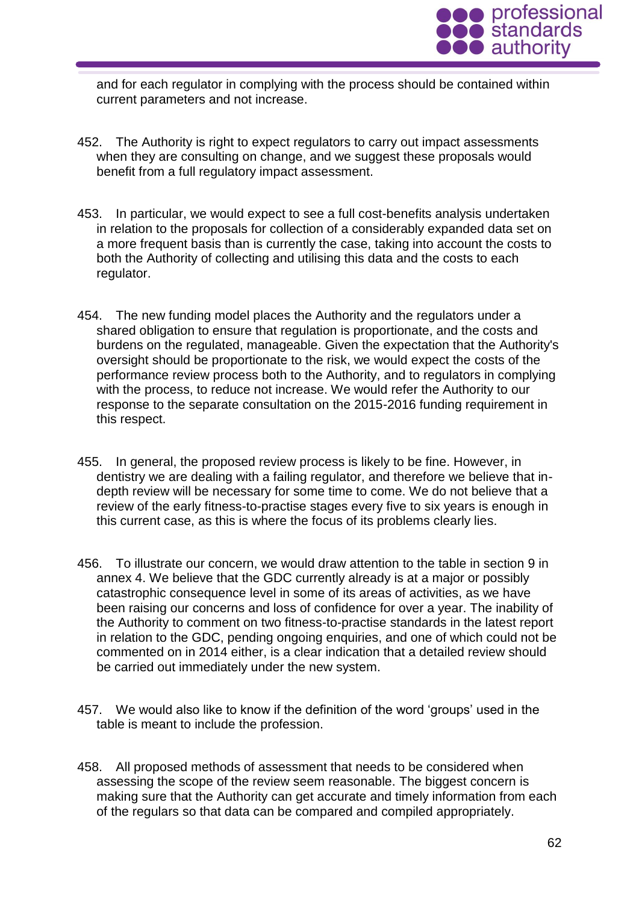

and for each regulator in complying with the process should be contained within current parameters and not increase.

- 452. The Authority is right to expect regulators to carry out impact assessments when they are consulting on change, and we suggest these proposals would benefit from a full regulatory impact assessment.
- 453. In particular, we would expect to see a full cost-benefits analysis undertaken in relation to the proposals for collection of a considerably expanded data set on a more frequent basis than is currently the case, taking into account the costs to both the Authority of collecting and utilising this data and the costs to each regulator.
- 454. The new funding model places the Authority and the regulators under a shared obligation to ensure that regulation is proportionate, and the costs and burdens on the regulated, manageable. Given the expectation that the Authority's oversight should be proportionate to the risk, we would expect the costs of the performance review process both to the Authority, and to regulators in complying with the process, to reduce not increase. We would refer the Authority to our response to the separate consultation on the 2015-2016 funding requirement in this respect.
- 455. In general, the proposed review process is likely to be fine. However, in dentistry we are dealing with a failing regulator, and therefore we believe that indepth review will be necessary for some time to come. We do not believe that a review of the early fitness-to-practise stages every five to six years is enough in this current case, as this is where the focus of its problems clearly lies.
- 456. To illustrate our concern, we would draw attention to the table in section 9 in annex 4. We believe that the GDC currently already is at a major or possibly catastrophic consequence level in some of its areas of activities, as we have been raising our concerns and loss of confidence for over a year. The inability of the Authority to comment on two fitness-to-practise standards in the latest report in relation to the GDC, pending ongoing enquiries, and one of which could not be commented on in 2014 either, is a clear indication that a detailed review should be carried out immediately under the new system.
- 457. We would also like to know if the definition of the word 'groups' used in the table is meant to include the profession.
- 458. All proposed methods of assessment that needs to be considered when assessing the scope of the review seem reasonable. The biggest concern is making sure that the Authority can get accurate and timely information from each of the regulars so that data can be compared and compiled appropriately.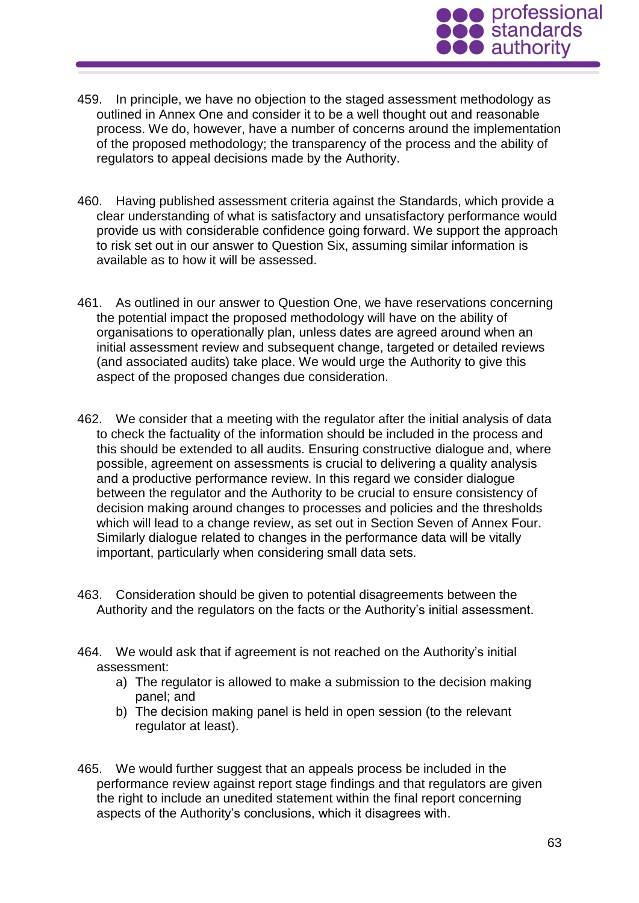

- 459. In principle, we have no objection to the staged assessment methodology as outlined in Annex One and consider it to be a well thought out and reasonable process. We do, however, have a number of concerns around the implementation of the proposed methodology; the transparency of the process and the ability of regulators to appeal decisions made by the Authority.
- 460. Having published assessment criteria against the Standards, which provide a clear understanding of what is satisfactory and unsatisfactory performance would provide us with considerable confidence going forward. We support the approach to risk set out in our answer to Question Six, assuming similar information is available as to how it will be assessed.
- 461. As outlined in our answer to Question One, we have reservations concerning the potential impact the proposed methodology will have on the ability of organisations to operationally plan, unless dates are agreed around when an initial assessment review and subsequent change, targeted or detailed reviews (and associated audits) take place. We would urge the Authority to give this aspect of the proposed changes due consideration.
- 462. We consider that a meeting with the regulator after the initial analysis of data to check the factuality of the information should be included in the process and this should be extended to all audits. Ensuring constructive dialogue and, where possible, agreement on assessments is crucial to delivering a quality analysis and a productive performance review. In this regard we consider dialogue between the regulator and the Authority to be crucial to ensure consistency of decision making around changes to processes and policies and the thresholds which will lead to a change review, as set out in Section Seven of Annex Four. Similarly dialogue related to changes in the performance data will be vitally important, particularly when considering small data sets.
- 463. Consideration should be given to potential disagreements between the Authority and the regulators on the facts or the Authority's initial assessment.
- 464. We would ask that if agreement is not reached on the Authority's initial assessment:
	- a) The regulator is allowed to make a submission to the decision making panel; and
	- b) The decision making panel is held in open session (to the relevant regulator at least).
- 465. We would further suggest that an appeals process be included in the performance review against report stage findings and that regulators are given the right to include an unedited statement within the final report concerning aspects of the Authority's conclusions, which it disagrees with.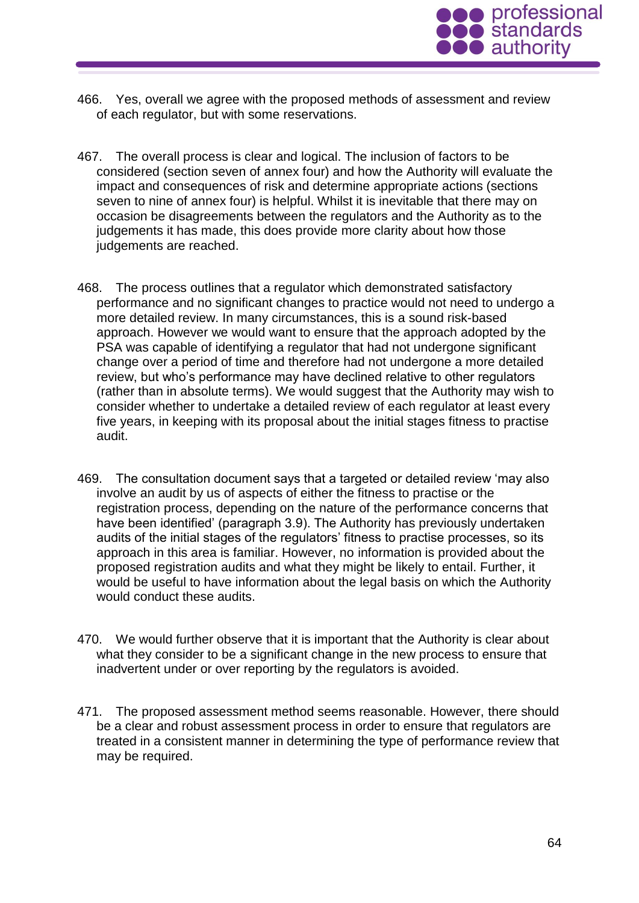

- 466. Yes, overall we agree with the proposed methods of assessment and review of each regulator, but with some reservations.
- 467. The overall process is clear and logical. The inclusion of factors to be considered (section seven of annex four) and how the Authority will evaluate the impact and consequences of risk and determine appropriate actions (sections seven to nine of annex four) is helpful. Whilst it is inevitable that there may on occasion be disagreements between the regulators and the Authority as to the judgements it has made, this does provide more clarity about how those judgements are reached.
- 468. The process outlines that a regulator which demonstrated satisfactory performance and no significant changes to practice would not need to undergo a more detailed review. In many circumstances, this is a sound risk-based approach. However we would want to ensure that the approach adopted by the PSA was capable of identifying a regulator that had not undergone significant change over a period of time and therefore had not undergone a more detailed review, but who's performance may have declined relative to other regulators (rather than in absolute terms). We would suggest that the Authority may wish to consider whether to undertake a detailed review of each regulator at least every five years, in keeping with its proposal about the initial stages fitness to practise audit.
- 469. The consultation document says that a targeted or detailed review 'may also involve an audit by us of aspects of either the fitness to practise or the registration process, depending on the nature of the performance concerns that have been identified' (paragraph 3.9). The Authority has previously undertaken audits of the initial stages of the regulators' fitness to practise processes, so its approach in this area is familiar. However, no information is provided about the proposed registration audits and what they might be likely to entail. Further, it would be useful to have information about the legal basis on which the Authority would conduct these audits.
- 470. We would further observe that it is important that the Authority is clear about what they consider to be a significant change in the new process to ensure that inadvertent under or over reporting by the regulators is avoided.
- 471. The proposed assessment method seems reasonable. However, there should be a clear and robust assessment process in order to ensure that regulators are treated in a consistent manner in determining the type of performance review that may be required.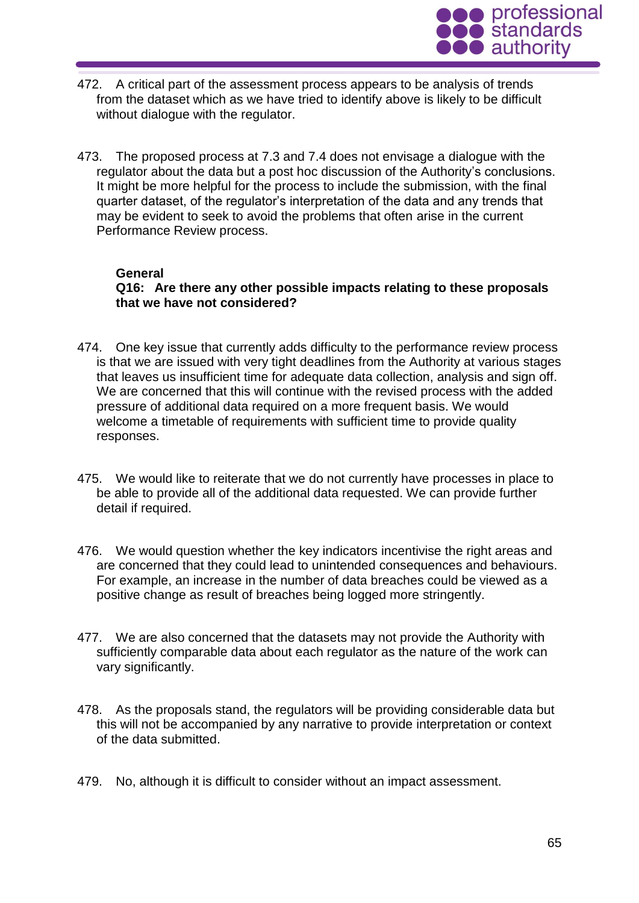

- 472. A critical part of the assessment process appears to be analysis of trends from the dataset which as we have tried to identify above is likely to be difficult without dialogue with the regulator.
- 473. The proposed process at 7.3 and 7.4 does not envisage a dialogue with the regulator about the data but a post hoc discussion of the Authority's conclusions. It might be more helpful for the process to include the submission, with the final quarter dataset, of the regulator's interpretation of the data and any trends that may be evident to seek to avoid the problems that often arise in the current Performance Review process.

#### **General**

**Q16: Are there any other possible impacts relating to these proposals that we have not considered?**

- 474. One key issue that currently adds difficulty to the performance review process is that we are issued with very tight deadlines from the Authority at various stages that leaves us insufficient time for adequate data collection, analysis and sign off. We are concerned that this will continue with the revised process with the added pressure of additional data required on a more frequent basis. We would welcome a timetable of requirements with sufficient time to provide quality responses.
- 475. We would like to reiterate that we do not currently have processes in place to be able to provide all of the additional data requested. We can provide further detail if required.
- 476. We would question whether the key indicators incentivise the right areas and are concerned that they could lead to unintended consequences and behaviours. For example, an increase in the number of data breaches could be viewed as a positive change as result of breaches being logged more stringently.
- 477. We are also concerned that the datasets may not provide the Authority with sufficiently comparable data about each regulator as the nature of the work can vary significantly.
- 478. As the proposals stand, the regulators will be providing considerable data but this will not be accompanied by any narrative to provide interpretation or context of the data submitted.
- 479. No, although it is difficult to consider without an impact assessment.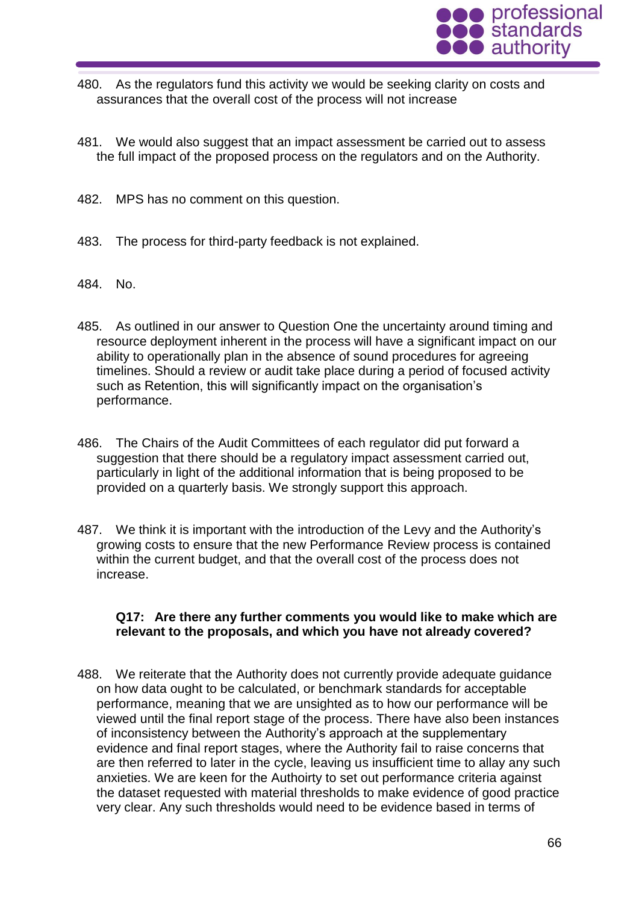

- 480. As the regulators fund this activity we would be seeking clarity on costs and assurances that the overall cost of the process will not increase
- 481. We would also suggest that an impact assessment be carried out to assess the full impact of the proposed process on the regulators and on the Authority.
- 482. MPS has no comment on this question.
- 483. The process for third-party feedback is not explained.
- 484. No.
- 485. As outlined in our answer to Question One the uncertainty around timing and resource deployment inherent in the process will have a significant impact on our ability to operationally plan in the absence of sound procedures for agreeing timelines. Should a review or audit take place during a period of focused activity such as Retention, this will significantly impact on the organisation's performance.
- 486. The Chairs of the Audit Committees of each regulator did put forward a suggestion that there should be a regulatory impact assessment carried out, particularly in light of the additional information that is being proposed to be provided on a quarterly basis. We strongly support this approach.
- 487. We think it is important with the introduction of the Levy and the Authority's growing costs to ensure that the new Performance Review process is contained within the current budget, and that the overall cost of the process does not increase.

#### **Q17: Are there any further comments you would like to make which are relevant to the proposals, and which you have not already covered?**

488. We reiterate that the Authority does not currently provide adequate guidance on how data ought to be calculated, or benchmark standards for acceptable performance, meaning that we are unsighted as to how our performance will be viewed until the final report stage of the process. There have also been instances of inconsistency between the Authority's approach at the supplementary evidence and final report stages, where the Authority fail to raise concerns that are then referred to later in the cycle, leaving us insufficient time to allay any such anxieties. We are keen for the Authoirty to set out performance criteria against the dataset requested with material thresholds to make evidence of good practice very clear. Any such thresholds would need to be evidence based in terms of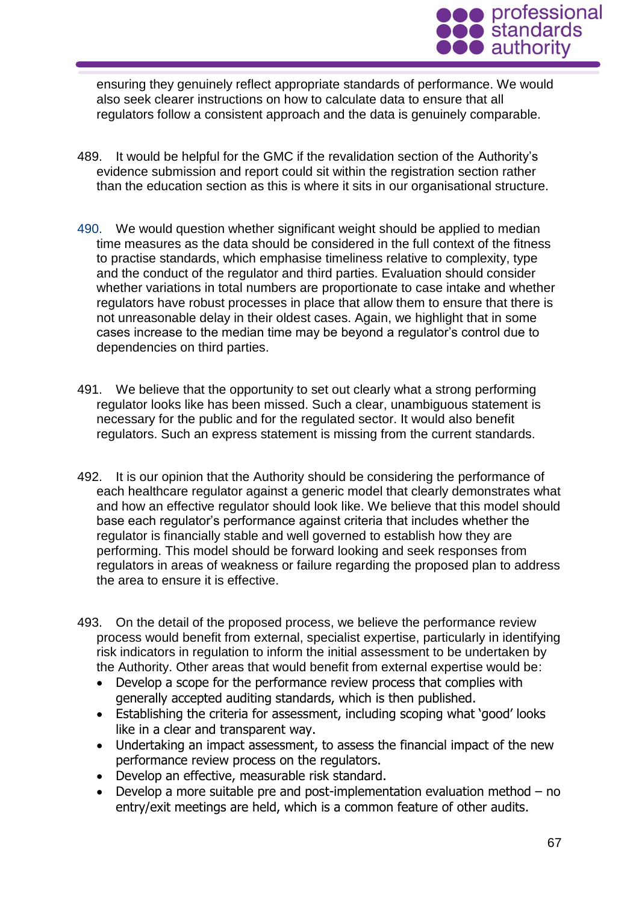

ensuring they genuinely reflect appropriate standards of performance. We would also seek clearer instructions on how to calculate data to ensure that all regulators follow a consistent approach and the data is genuinely comparable.

- 489. It would be helpful for the GMC if the revalidation section of the Authority's evidence submission and report could sit within the registration section rather than the education section as this is where it sits in our organisational structure.
- 490. We would question whether significant weight should be applied to median time measures as the data should be considered in the full context of the fitness to practise standards, which emphasise timeliness relative to complexity, type and the conduct of the regulator and third parties. Evaluation should consider whether variations in total numbers are proportionate to case intake and whether regulators have robust processes in place that allow them to ensure that there is not unreasonable delay in their oldest cases. Again, we highlight that in some cases increase to the median time may be beyond a regulator's control due to dependencies on third parties.
- 491. We believe that the opportunity to set out clearly what a strong performing regulator looks like has been missed. Such a clear, unambiguous statement is necessary for the public and for the regulated sector. It would also benefit regulators. Such an express statement is missing from the current standards.
- 492. It is our opinion that the Authority should be considering the performance of each healthcare regulator against a generic model that clearly demonstrates what and how an effective regulator should look like. We believe that this model should base each regulator's performance against criteria that includes whether the regulator is financially stable and well governed to establish how they are performing. This model should be forward looking and seek responses from regulators in areas of weakness or failure regarding the proposed plan to address the area to ensure it is effective.
- 493. On the detail of the proposed process, we believe the performance review process would benefit from external, specialist expertise, particularly in identifying risk indicators in regulation to inform the initial assessment to be undertaken by the Authority. Other areas that would benefit from external expertise would be:
	- Develop a scope for the performance review process that complies with generally accepted auditing standards, which is then published.
	- Establishing the criteria for assessment, including scoping what 'good' looks like in a clear and transparent way.
	- Undertaking an impact assessment, to assess the financial impact of the new performance review process on the regulators.
	- Develop an effective, measurable risk standard.
	- Develop a more suitable pre and post-implementation evaluation method no entry/exit meetings are held, which is a common feature of other audits.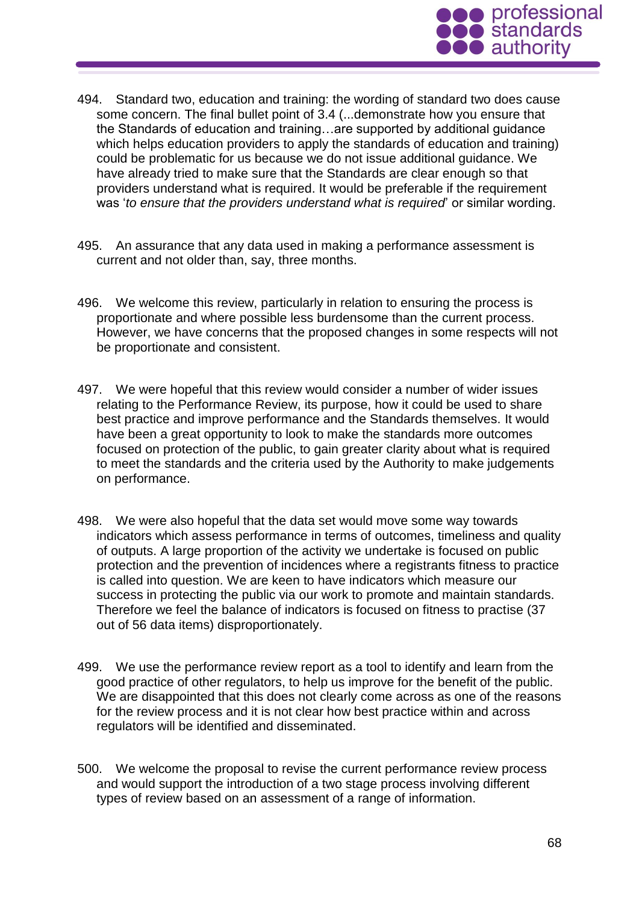

- 494. Standard two, education and training: the wording of standard two does cause some concern. The final bullet point of 3.4 (...demonstrate how you ensure that the Standards of education and training…are supported by additional guidance which helps education providers to apply the standards of education and training) could be problematic for us because we do not issue additional guidance. We have already tried to make sure that the Standards are clear enough so that providers understand what is required. It would be preferable if the requirement was '*to ensure that the providers understand what is required*' or similar wording.
- 495. An assurance that any data used in making a performance assessment is current and not older than, say, three months.
- 496. We welcome this review, particularly in relation to ensuring the process is proportionate and where possible less burdensome than the current process. However, we have concerns that the proposed changes in some respects will not be proportionate and consistent.
- 497. We were hopeful that this review would consider a number of wider issues relating to the Performance Review, its purpose, how it could be used to share best practice and improve performance and the Standards themselves. It would have been a great opportunity to look to make the standards more outcomes focused on protection of the public, to gain greater clarity about what is required to meet the standards and the criteria used by the Authority to make judgements on performance.
- 498. We were also hopeful that the data set would move some way towards indicators which assess performance in terms of outcomes, timeliness and quality of outputs. A large proportion of the activity we undertake is focused on public protection and the prevention of incidences where a registrants fitness to practice is called into question. We are keen to have indicators which measure our success in protecting the public via our work to promote and maintain standards. Therefore we feel the balance of indicators is focused on fitness to practise (37 out of 56 data items) disproportionately.
- 499. We use the performance review report as a tool to identify and learn from the good practice of other regulators, to help us improve for the benefit of the public. We are disappointed that this does not clearly come across as one of the reasons for the review process and it is not clear how best practice within and across regulators will be identified and disseminated.
- 500. We welcome the proposal to revise the current performance review process and would support the introduction of a two stage process involving different types of review based on an assessment of a range of information.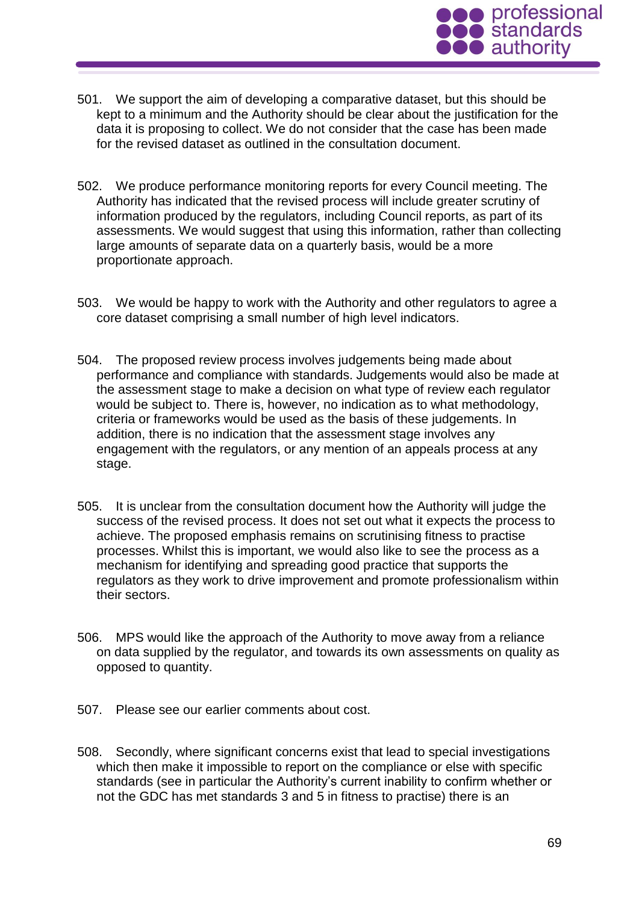

- 501. We support the aim of developing a comparative dataset, but this should be kept to a minimum and the Authority should be clear about the justification for the data it is proposing to collect. We do not consider that the case has been made for the revised dataset as outlined in the consultation document.
- 502. We produce performance monitoring reports for every Council meeting. The Authority has indicated that the revised process will include greater scrutiny of information produced by the regulators, including Council reports, as part of its assessments. We would suggest that using this information, rather than collecting large amounts of separate data on a quarterly basis, would be a more proportionate approach.
- 503. We would be happy to work with the Authority and other regulators to agree a core dataset comprising a small number of high level indicators.
- 504. The proposed review process involves judgements being made about performance and compliance with standards. Judgements would also be made at the assessment stage to make a decision on what type of review each regulator would be subject to. There is, however, no indication as to what methodology, criteria or frameworks would be used as the basis of these judgements. In addition, there is no indication that the assessment stage involves any engagement with the regulators, or any mention of an appeals process at any stage.
- 505. It is unclear from the consultation document how the Authority will judge the success of the revised process. It does not set out what it expects the process to achieve. The proposed emphasis remains on scrutinising fitness to practise processes. Whilst this is important, we would also like to see the process as a mechanism for identifying and spreading good practice that supports the regulators as they work to drive improvement and promote professionalism within their sectors.
- 506. MPS would like the approach of the Authority to move away from a reliance on data supplied by the regulator, and towards its own assessments on quality as opposed to quantity.
- 507. Please see our earlier comments about cost.
- 508. Secondly, where significant concerns exist that lead to special investigations which then make it impossible to report on the compliance or else with specific standards (see in particular the Authority's current inability to confirm whether or not the GDC has met standards 3 and 5 in fitness to practise) there is an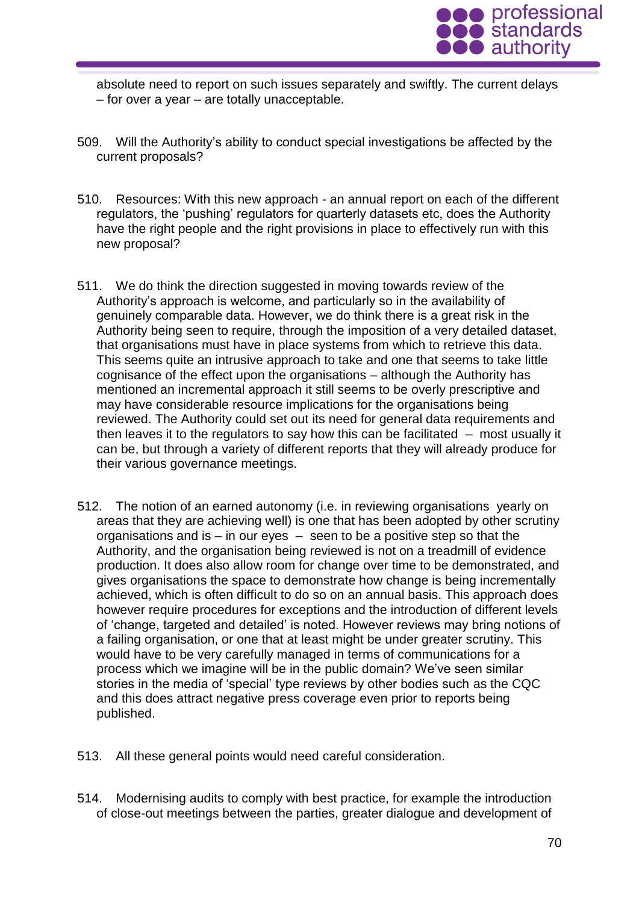

absolute need to report on such issues separately and swiftly. The current delays – for over a year – are totally unacceptable.

- 509. Will the Authority's ability to conduct special investigations be affected by the current proposals?
- 510. Resources: With this new approach an annual report on each of the different regulators, the 'pushing' regulators for quarterly datasets etc, does the Authority have the right people and the right provisions in place to effectively run with this new proposal?
- 511. We do think the direction suggested in moving towards review of the Authority's approach is welcome, and particularly so in the availability of genuinely comparable data. However, we do think there is a great risk in the Authority being seen to require, through the imposition of a very detailed dataset, that organisations must have in place systems from which to retrieve this data. This seems quite an intrusive approach to take and one that seems to take little cognisance of the effect upon the organisations – although the Authority has mentioned an incremental approach it still seems to be overly prescriptive and may have considerable resource implications for the organisations being reviewed. The Authority could set out its need for general data requirements and then leaves it to the regulators to say how this can be facilitated  $-$  most usually it can be, but through a variety of different reports that they will already produce for their various governance meetings.
- 512. The notion of an earned autonomy (i.e. in reviewing organisations yearly on areas that they are achieving well) is one that has been adopted by other scrutiny organisations and is – in our eyes – seen to be a positive step so that the Authority, and the organisation being reviewed is not on a treadmill of evidence production. It does also allow room for change over time to be demonstrated, and gives organisations the space to demonstrate how change is being incrementally achieved, which is often difficult to do so on an annual basis. This approach does however require procedures for exceptions and the introduction of different levels of 'change, targeted and detailed' is noted. However reviews may bring notions of a failing organisation, or one that at least might be under greater scrutiny. This would have to be very carefully managed in terms of communications for a process which we imagine will be in the public domain? We've seen similar stories in the media of 'special' type reviews by other bodies such as the CQC and this does attract negative press coverage even prior to reports being published.
- 513. All these general points would need careful consideration.
- 514. Modernising audits to comply with best practice, for example the introduction of close-out meetings between the parties, greater dialogue and development of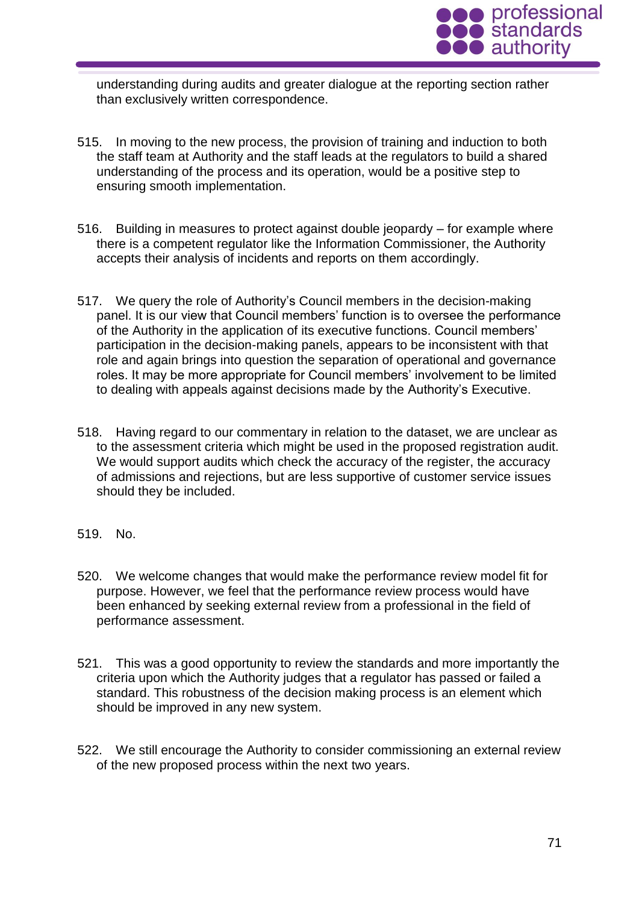

understanding during audits and greater dialogue at the reporting section rather than exclusively written correspondence.

- 515. In moving to the new process, the provision of training and induction to both the staff team at Authority and the staff leads at the regulators to build a shared understanding of the process and its operation, would be a positive step to ensuring smooth implementation.
- 516. Building in measures to protect against double jeopardy for example where there is a competent regulator like the Information Commissioner, the Authority accepts their analysis of incidents and reports on them accordingly.
- 517. We query the role of Authority's Council members in the decision-making panel. It is our view that Council members' function is to oversee the performance of the Authority in the application of its executive functions. Council members' participation in the decision-making panels, appears to be inconsistent with that role and again brings into question the separation of operational and governance roles. It may be more appropriate for Council members' involvement to be limited to dealing with appeals against decisions made by the Authority's Executive.
- 518. Having regard to our commentary in relation to the dataset, we are unclear as to the assessment criteria which might be used in the proposed registration audit. We would support audits which check the accuracy of the register, the accuracy of admissions and rejections, but are less supportive of customer service issues should they be included.
- 519. No.
- 520. We welcome changes that would make the performance review model fit for purpose. However, we feel that the performance review process would have been enhanced by seeking external review from a professional in the field of performance assessment.
- 521. This was a good opportunity to review the standards and more importantly the criteria upon which the Authority judges that a regulator has passed or failed a standard. This robustness of the decision making process is an element which should be improved in any new system.
- 522. We still encourage the Authority to consider commissioning an external review of the new proposed process within the next two years.